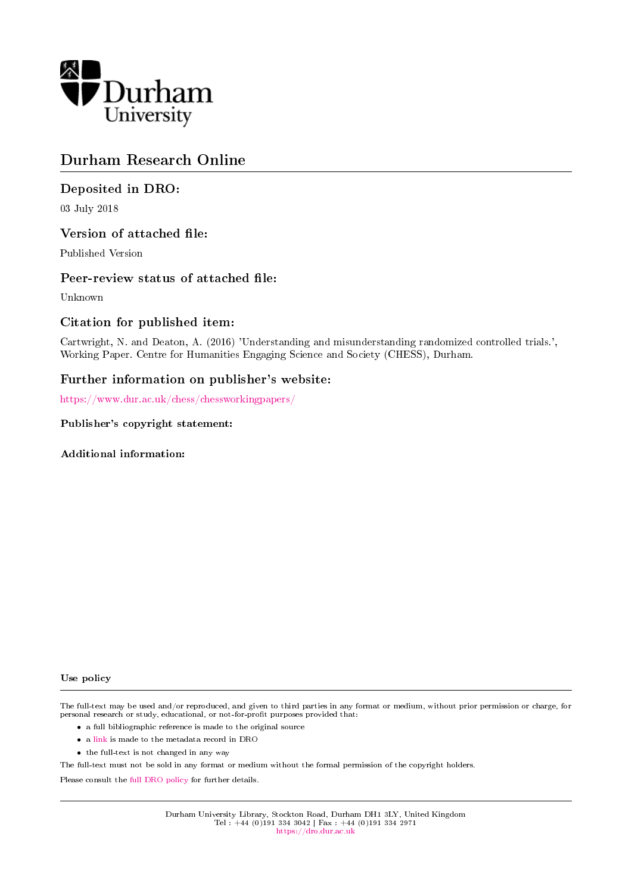

### Durham Research Online

#### Deposited in DRO:

03 July 2018

#### Version of attached file:

Published Version

#### Peer-review status of attached file:

Unknown

#### Citation for published item:

Cartwright, N. and Deaton, A. (2016) 'Understanding and misunderstanding randomized controlled trials.', Working Paper. Centre for Humanities Engaging Science and Society (CHESS), Durham.

#### Further information on publisher's website:

<https://www.dur.ac.uk/chess/chessworkingpapers/>

#### Publisher's copyright statement:

Additional information:

#### Use policy

The full-text may be used and/or reproduced, and given to third parties in any format or medium, without prior permission or charge, for personal research or study, educational, or not-for-profit purposes provided that:

- a full bibliographic reference is made to the original source
- a [link](http://dro.dur.ac.uk/19954/) is made to the metadata record in DRO
- the full-text is not changed in any way

The full-text must not be sold in any format or medium without the formal permission of the copyright holders.

Please consult the [full DRO policy](https://dro.dur.ac.uk/policies/usepolicy.pdf) for further details.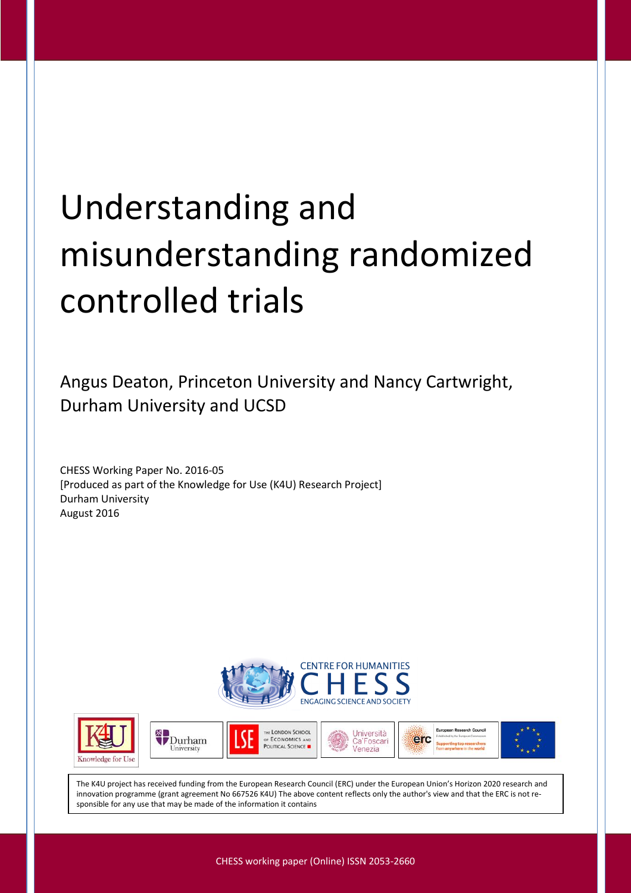# Understanding and misunderstanding randomized controlled trials

Angus Deaton, Princeton University and Nancy Cartwright, Durham University and UCSD

CHESS Working Paper No. 2016-05 [Produced as part of the Knowledge for Use (K4U) Research Project] Durham University August 2016













The K4U project has received funding from the European Research Council (ERC) under the European Union's Horizon 2020 research and innovation programme (grant agreement No 667526 K4U) The above content reflects only the author's view and that the ERC is not responsible for any use that may be made of the information it contains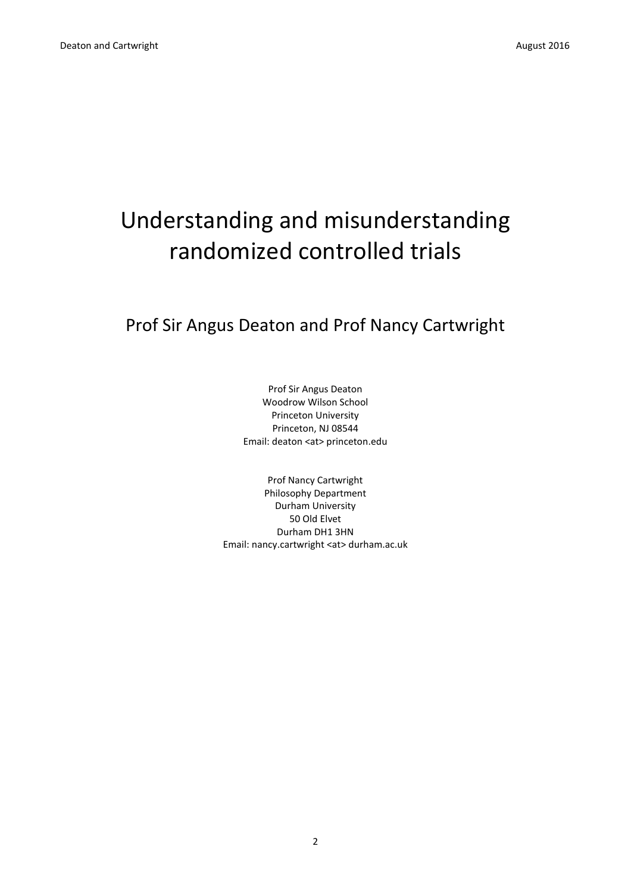## Understanding and misunderstanding randomized controlled trials

Prof Sir Angus Deaton and Prof Nancy Cartwright

Prof Sir Angus Deaton Woodrow Wilson School Princeton University Princeton, NJ 08544 Email: deaton <at> princeton.edu

Prof Nancy Cartwright Philosophy Department Durham University 50 Old Elvet Durham DH1 3HN Email: nancy.cartwright <at> durham.ac.uk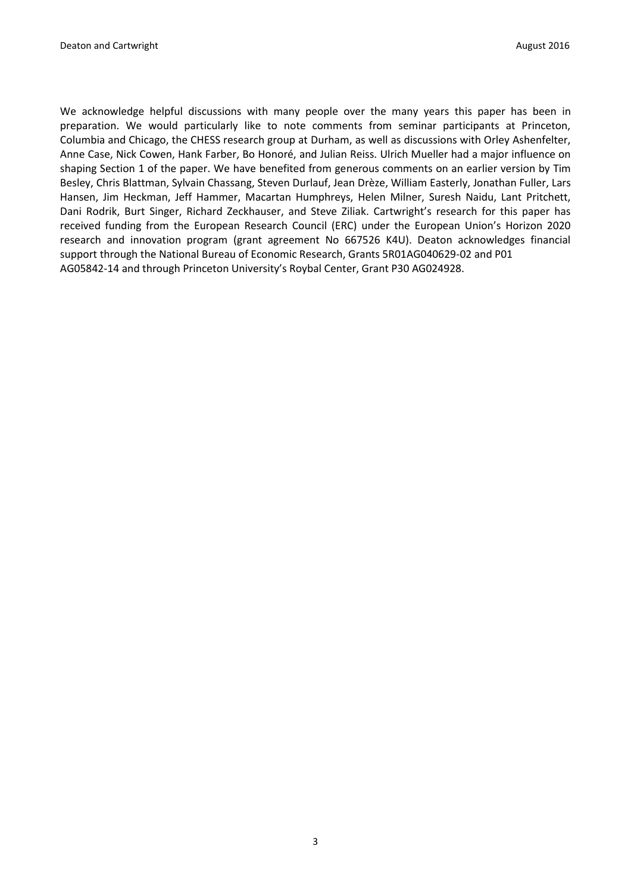We acknowledge helpful discussions with many people over the many years this paper has been in preparation. We would particularly like to note comments from seminar participants at Princeton, Columbia and Chicago, the CHESS research group at Durham, as well as discussions with Orley Ashenfelter, Anne Case, Nick Cowen, Hank Farber, Bo Honoré, and Julian Reiss. Ulrich Mueller had a major influence on shaping Section 1 of the paper. We have benefited from generous comments on an earlier version by Tim Besley, Chris Blattman, Sylvain Chassang, Steven Durlauf, Jean Drèze, William Easterly, Jonathan Fuller, Lars Hansen, Jim Heckman, Jeff Hammer, Macartan Humphreys, Helen Milner, Suresh Naidu, Lant Pritchett, Dani Rodrik, Burt Singer, Richard Zeckhauser, and Steve Ziliak. Cartwright's research for this paper has received funding from the European Research Council (ERC) under the European Union's Horizon 2020 research and innovation program (grant agreement No 667526 K4U). Deaton acknowledges financial support through the National Bureau of Economic Research, Grants 5R01AG040629-02 and P01 AG05842-14 and through Princeton University's Roybal Center, Grant P30 AG024928.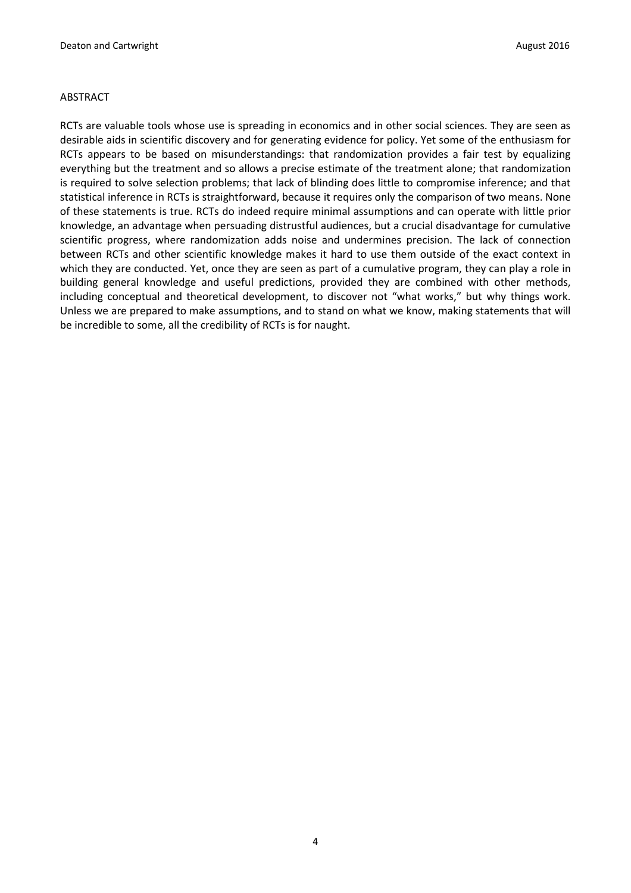#### ABSTRACT

RCTs are valuable tools whose use is spreading in economics and in other social sciences. They are seen as desirable aids in scientific discovery and for generating evidence for policy. Yet some of the enthusiasm for RCTs appears to be based on misunderstandings: that randomization provides a fair test by equalizing everything but the treatment and so allows a precise estimate of the treatment alone; that randomization is required to solve selection problems; that lack of blinding does little to compromise inference; and that statistical inference in RCTs is straightforward, because it requires only the comparison of two means. None of these statements is true. RCTs do indeed require minimal assumptions and can operate with little prior knowledge, an advantage when persuading distrustful audiences, but a crucial disadvantage for cumulative scientific progress, where randomization adds noise and undermines precision. The lack of connection between RCTs and other scientific knowledge makes it hard to use them outside of the exact context in which they are conducted. Yet, once they are seen as part of a cumulative program, they can play a role in building general knowledge and useful predictions, provided they are combined with other methods, including conceptual and theoretical development, to discover not "what works," but why things work. Unless we are prepared to make assumptions, and to stand on what we know, making statements that will be incredible to some, all the credibility of RCTs is for naught.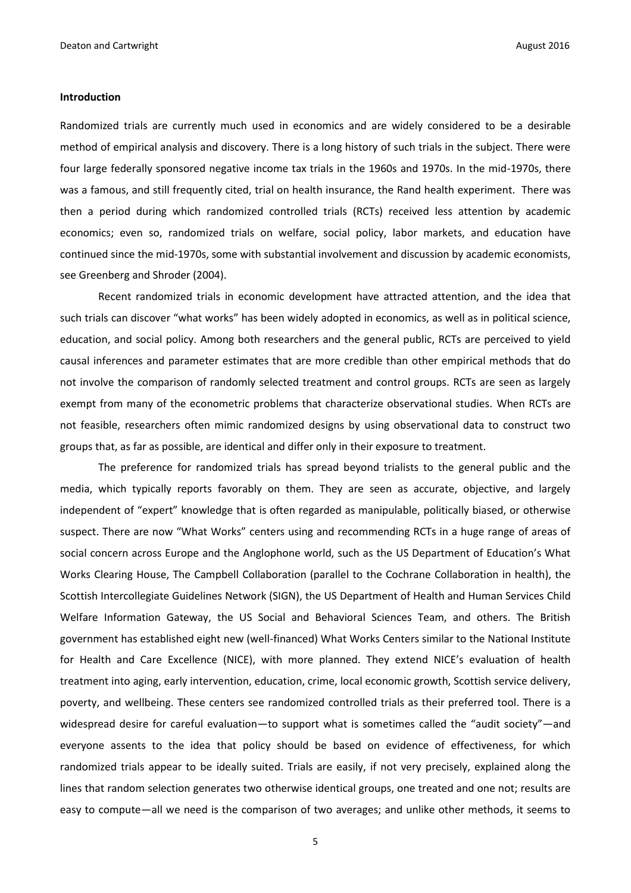#### **Introduction**

Randomized trials are currently much used in economics and are widely considered to be a desirable method of empirical analysis and discovery. There is a long history of such trials in the subject. There were four large federally sponsored negative income tax trials in the 1960s and 1970s. In the mid-1970s, there was a famous, and still frequently cited, trial on health insurance, the Rand health experiment. There was then a period during which randomized controlled trials (RCTs) received less attention by academic economics; even so, randomized trials on welfare, social policy, labor markets, and education have continued since the mid-1970s, some with substantial involvement and discussion by academic economists, see Greenberg and Shroder (2004).

Recent randomized trials in economic development have attracted attention, and the idea that such trials can discover "what works" has been widely adopted in economics, as well as in political science, education, and social policy. Among both researchers and the general public, RCTs are perceived to yield causal inferences and parameter estimates that are more credible than other empirical methods that do not involve the comparison of randomly selected treatment and control groups. RCTs are seen as largely exempt from many of the econometric problems that characterize observational studies. When RCTs are not feasible, researchers often mimic randomized designs by using observational data to construct two groups that, as far as possible, are identical and differ only in their exposure to treatment.

The preference for randomized trials has spread beyond trialists to the general public and the media, which typically reports favorably on them. They are seen as accurate, objective, and largely independent of "expert" knowledge that is often regarded as manipulable, politically biased, or otherwise suspect. There are now "What Works" centers using and recommending RCTs in a huge range of areas of social concern across Europe and the Anglophone world, such as the US Department of Education's What Works Clearing House, The Campbell Collaboration (parallel to the Cochrane Collaboration in health), the Scottish Intercollegiate Guidelines Network (SIGN), the US Department of Health and Human Services Child Welfare Information Gateway, the US Social and Behavioral Sciences Team, and others. The British government has established eight new (well-financed) What Works Centers similar to the National Institute for Health and Care Excellence (NICE), with more planned. They extend NICE's evaluation of health treatment into aging, early intervention, education, crime, local economic growth, Scottish service delivery, poverty, and wellbeing. These centers see randomized controlled trials as their preferred tool. There is a widespread desire for careful evaluation—to support what is sometimes called the "audit society"—and everyone assents to the idea that policy should be based on evidence of effectiveness, for which randomized trials appear to be ideally suited. Trials are easily, if not very precisely, explained along the lines that random selection generates two otherwise identical groups, one treated and one not; results are easy to compute—all we need is the comparison of two averages; and unlike other methods, it seems to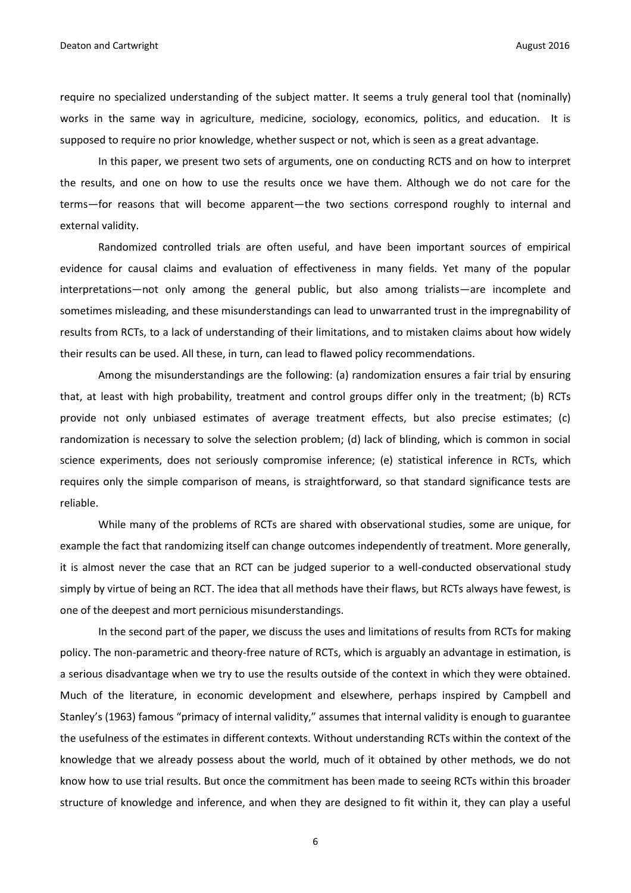require no specialized understanding of the subject matter. It seems a truly general tool that (nominally) works in the same way in agriculture, medicine, sociology, economics, politics, and education. It is supposed to require no prior knowledge, whether suspect or not, which is seen as a great advantage.

In this paper, we present two sets of arguments, one on conducting RCTS and on how to interpret the results, and one on how to use the results once we have them. Although we do not care for the terms—for reasons that will become apparent—the two sections correspond roughly to internal and external validity.

Randomized controlled trials are often useful, and have been important sources of empirical evidence for causal claims and evaluation of effectiveness in many fields. Yet many of the popular interpretations—not only among the general public, but also among trialists—are incomplete and sometimes misleading, and these misunderstandings can lead to unwarranted trust in the impregnability of results from RCTs, to a lack of understanding of their limitations, and to mistaken claims about how widely their results can be used. All these, in turn, can lead to flawed policy recommendations.

Among the misunderstandings are the following: (a) randomization ensures a fair trial by ensuring that, at least with high probability, treatment and control groups differ only in the treatment; (b) RCTs provide not only unbiased estimates of average treatment effects, but also precise estimates; (c) randomization is necessary to solve the selection problem; (d) lack of blinding, which is common in social science experiments, does not seriously compromise inference; (e) statistical inference in RCTs, which requires only the simple comparison of means, is straightforward, so that standard significance tests are reliable.

While many of the problems of RCTs are shared with observational studies, some are unique, for example the fact that randomizing itself can change outcomes independently of treatment. More generally, it is almost never the case that an RCT can be judged superior to a well-conducted observational study simply by virtue of being an RCT. The idea that all methods have their flaws, but RCTs always have fewest, is one of the deepest and mort pernicious misunderstandings.

In the second part of the paper, we discuss the uses and limitations of results from RCTs for making policy. The non-parametric and theory-free nature of RCTs, which is arguably an advantage in estimation, is a serious disadvantage when we try to use the results outside of the context in which they were obtained. Much of the literature, in economic development and elsewhere, perhaps inspired by Campbell and Stanley's (1963) famous "primacy of internal validity," assumes that internal validity is enough to guarantee the usefulness of the estimates in different contexts. Without understanding RCTs within the context of the knowledge that we already possess about the world, much of it obtained by other methods, we do not know how to use trial results. But once the commitment has been made to seeing RCTs within this broader structure of knowledge and inference, and when they are designed to fit within it, they can play a useful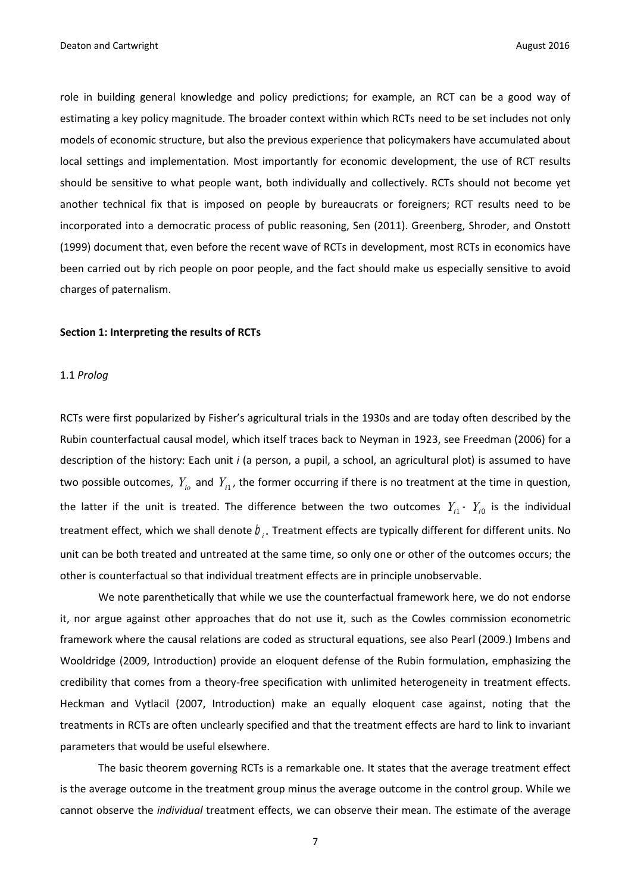role in building general knowledge and policy predictions; for example, an RCT can be a good way of estimating a key policy magnitude. The broader context within which RCTs need to be set includes not only models of economic structure, but also the previous experience that policymakers have accumulated about local settings and implementation. Most importantly for economic development, the use of RCT results should be sensitive to what people want, both individually and collectively. RCTs should not become yet another technical fix that is imposed on people by bureaucrats or foreigners; RCT results need to be incorporated into a democratic process of public reasoning, Sen (2011). Greenberg, Shroder, and Onstott (1999) document that, even before the recent wave of RCTs in development, most RCTs in economics have been carried out by rich people on poor people, and the fact should make us especially sensitive to avoid charges of paternalism.

#### **Section 1: Interpreting the results of RCTs**

#### 1.1 *Prolog*

RCTs were first popularized by Fisher's agricultural trials in the 1930s and are today often described by the Rubin counterfactual causal model, which itself traces back to Neyman in 1923, see Freedman (2006) for a description of the history: Each unit *i* (a person, a pupil, a school, an agricultural plot) is assumed to have two possible outcomes,  $Y_{i_0}$  and  $Y_{i_1}$ , the former occurring if there is no treatment at the time in question, the latter if the unit is treated. The difference between the two outcomes  $Y_{i1}$  –  $Y_{i0}$  is the individual treatment effect, which we shall denote  $b_i$ . Treatment effects are typically different for different units. No unit can be both treated and untreated at the same time, so only one or other of the outcomes occurs; the other is counterfactual so that individual treatment effects are in principle unobservable.

We note parenthetically that while we use the counterfactual framework here, we do not endorse it, nor argue against other approaches that do not use it, such as the Cowles commission econometric framework where the causal relations are coded as structural equations, see also Pearl (2009.) Imbens and Wooldridge (2009, Introduction) provide an eloquent defense of the Rubin formulation, emphasizing the credibility that comes from a theory-free specification with unlimited heterogeneity in treatment effects. Heckman and Vytlacil (2007, Introduction) make an equally eloquent case against, noting that the treatments in RCTs are often unclearly specified and that the treatment effects are hard to link to invariant parameters that would be useful elsewhere.

The basic theorem governing RCTs is a remarkable one. It states that the average treatment effect is the average outcome in the treatment group minus the average outcome in the control group. While we cannot observe the *individual* treatment effects, we can observe their mean. The estimate of the average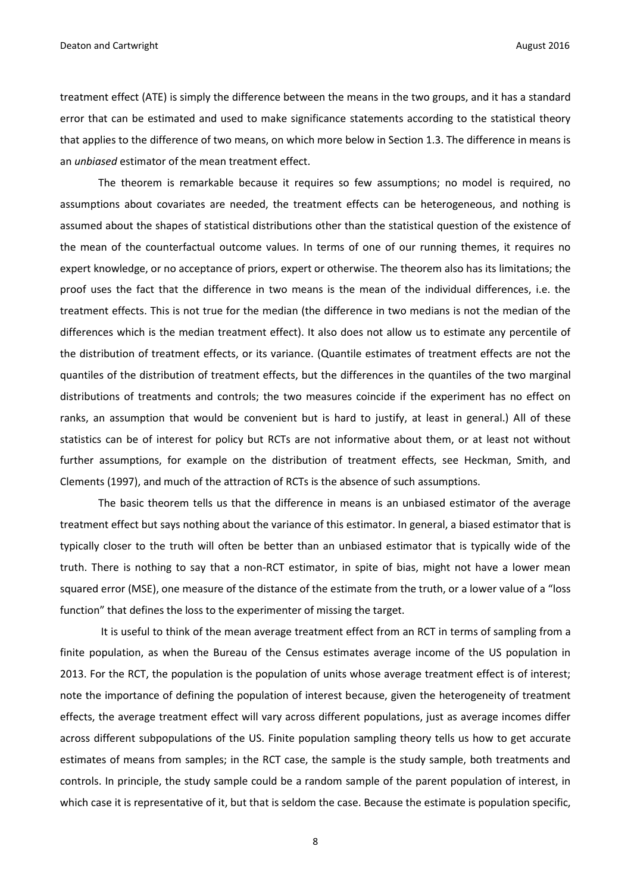treatment effect (ATE) is simply the difference between the means in the two groups, and it has a standard error that can be estimated and used to make significance statements according to the statistical theory that applies to the difference of two means, on which more below in Section 1.3. The difference in means is an *unbiased* estimator of the mean treatment effect.

The theorem is remarkable because it requires so few assumptions; no model is required, no assumptions about covariates are needed, the treatment effects can be heterogeneous, and nothing is assumed about the shapes of statistical distributions other than the statistical question of the existence of the mean of the counterfactual outcome values. In terms of one of our running themes, it requires no expert knowledge, or no acceptance of priors, expert or otherwise. The theorem also has its limitations; the proof uses the fact that the difference in two means is the mean of the individual differences, i.e. the treatment effects. This is not true for the median (the difference in two medians is not the median of the differences which is the median treatment effect). It also does not allow us to estimate any percentile of the distribution of treatment effects, or its variance. (Quantile estimates of treatment effects are not the quantiles of the distribution of treatment effects, but the differences in the quantiles of the two marginal distributions of treatments and controls; the two measures coincide if the experiment has no effect on ranks, an assumption that would be convenient but is hard to justify, at least in general.) All of these statistics can be of interest for policy but RCTs are not informative about them, or at least not without further assumptions, for example on the distribution of treatment effects, see Heckman, Smith, and Clements (1997), and much of the attraction of RCTs is the absence of such assumptions.

The basic theorem tells us that the difference in means is an unbiased estimator of the average treatment effect but says nothing about the variance of this estimator. In general, a biased estimator that is typically closer to the truth will often be better than an unbiased estimator that is typically wide of the truth. There is nothing to say that a non-RCT estimator, in spite of bias, might not have a lower mean squared error (MSE), one measure of the distance of the estimate from the truth, or a lower value of a "loss function" that defines the loss to the experimenter of missing the target.

It is useful to think of the mean average treatment effect from an RCT in terms of sampling from a finite population, as when the Bureau of the Census estimates average income of the US population in 2013. For the RCT, the population is the population of units whose average treatment effect is of interest; note the importance of defining the population of interest because, given the heterogeneity of treatment effects, the average treatment effect will vary across different populations, just as average incomes differ across different subpopulations of the US. Finite population sampling theory tells us how to get accurate estimates of means from samples; in the RCT case, the sample is the study sample, both treatments and controls. In principle, the study sample could be a random sample of the parent population of interest, in which case it is representative of it, but that is seldom the case. Because the estimate is population specific,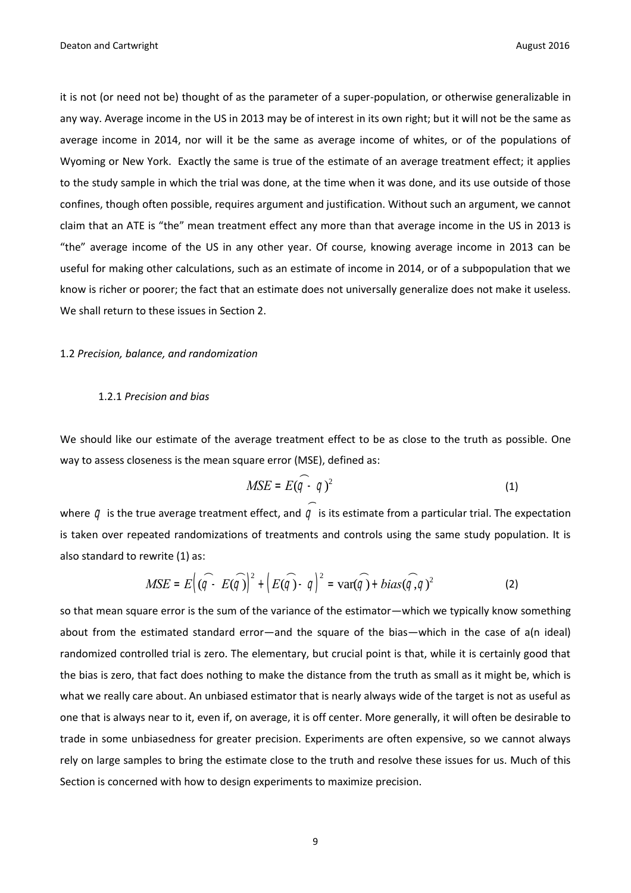it is not (or need not be) thought of as the parameter of a super-population, or otherwise generalizable in any way. Average income in the US in 2013 may be of interest in its own right; but it will not be the same as average income in 2014, nor will it be the same as average income of whites, or of the populations of Wyoming or New York. Exactly the same is true of the estimate of an average treatment effect; it applies to the study sample in which the trial was done, at the time when it was done, and its use outside of those confines, though often possible, requires argument and justification. Without such an argument, we cannot claim that an ATE is "the" mean treatment effect any more than that average income in the US in 2013 is "the" average income of the US in any other year. Of course, knowing average income in 2013 can be useful for making other calculations, such as an estimate of income in 2014, or of a subpopulation that we know is richer or poorer; the fact that an estimate does not universally generalize does not make it useless. We shall return to these issues in Section 2.

#### 1.2 *Precision, balance, and randomization*

#### 1.2.1 *Precision and bias*

We should like our estimate of the average treatment effect to be as close to the truth as possible. One way to assess closeness is the mean square error (MSE), defined as:

$$
MSE = E(\widehat{q} - q)^2
$$
 (1)

where  $q$  is the true average treatment effect, and  $q$  is its estimate from a particular trial. The expectation is taken over repeated randomizations of treatments and controls using the same study population. It is also standard to rewrite (1) as:

$$
MSE = E\left((\widehat{q} - E(\widehat{q})\right)^2 + \left(E(\widehat{q}) - q\right)^2 = \text{var}(\widehat{q}) + bias(\widehat{q}, q)^2 \tag{2}
$$

so that mean square error is the sum of the variance of the estimator—which we typically know something about from the estimated standard error—and the square of the bias—which in the case of a(n ideal) randomized controlled trial is zero. The elementary, but crucial point is that, while it is certainly good that the bias is zero, that fact does nothing to make the distance from the truth as small as it might be, which is what we really care about. An unbiased estimator that is nearly always wide of the target is not as useful as one that is always near to it, even if, on average, it is off center. More generally, it will often be desirable to trade in some unbiasedness for greater precision. Experiments are often expensive, so we cannot always rely on large samples to bring the estimate close to the truth and resolve these issues for us. Much of this Section is concerned with how to design experiments to maximize precision.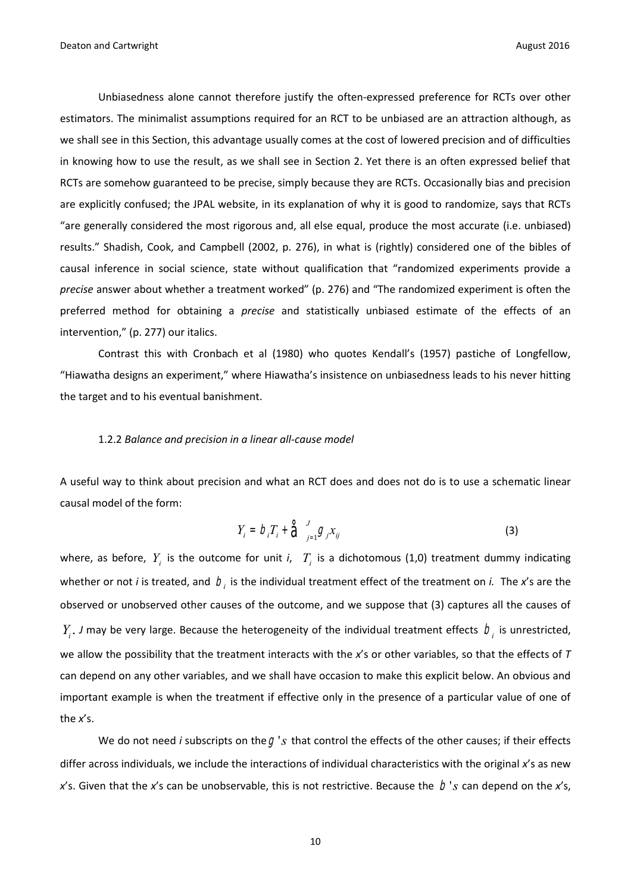Unbiasedness alone cannot therefore justify the often-expressed preference for RCTs over other estimators. The minimalist assumptions required for an RCT to be unbiased are an attraction although, as we shall see in this Section, this advantage usually comes at the cost of lowered precision and of difficulties in knowing how to use the result, as we shall see in Section 2. Yet there is an often expressed belief that RCTs are somehow guaranteed to be precise, simply because they are RCTs. Occasionally bias and precision are explicitly confused; the JPAL website, in its explanation of why it is good to randomize, says that RCTs "are generally considered the most rigorous and, all else equal, produce the most accurate (i.e. unbiased) results." Shadish, Cook, and Campbell (2002, p. 276), in what is (rightly) considered one of the bibles of causal inference in social science, state without qualification that "randomized experiments provide a *precise* answer about whether a treatment worked" (p. 276) and "The randomized experiment is often the preferred method for obtaining a *precise* and statistically unbiased estimate of the effects of an intervention," (p. 277) our italics.

Contrast this with Cronbach et al (1980) who quotes Kendall's (1957) pastiche of Longfellow, "Hiawatha designs an experiment," where Hiawatha's insistence on unbiasedness leads to his never hitting the target and to his eventual banishment.

#### 1.2.2 *Balance and precision in a linear all-cause model*

A useful way to think about precision and what an RCT does and does not do is to use a schematic linear causal model of the form:

$$
Y_i = D_i T_i + \hat{\Theta}_{j=1}^J \mathcal{G}_j x_{ij}
$$
 (3)

where, as before,  $Y_i$  is the outcome for unit *i*,  $T_i$  is a dichotomous (1,0) treatment dummy indicating whether or not *i* is treated, and  $b<sub>i</sub>$  is the individual treatment effect of the treatment on *i*. The *x*'s are the observed or unobserved other causes of the outcome, and we suppose that (3) captures all the causes of  $Y_i$ . J may be very large. Because the heterogeneity of the individual treatment effects  $b_i$  is unrestricted, we allow the possibility that the treatment interacts with the *x*'s or other variables, so that the effects of *T* can depend on any other variables, and we shall have occasion to make this explicit below. An obvious and important example is when the treatment if effective only in the presence of a particular value of one of the *x*'s.

We do not need *i* subscripts on the  $g$  's that control the effects of the other causes; if their effects differ across individuals, we include the interactions of individual characteristics with the original *x*'s as new x's. Given that the x's can be unobservable, this is not restrictive. Because the  $|D|$ 's can depend on the x's,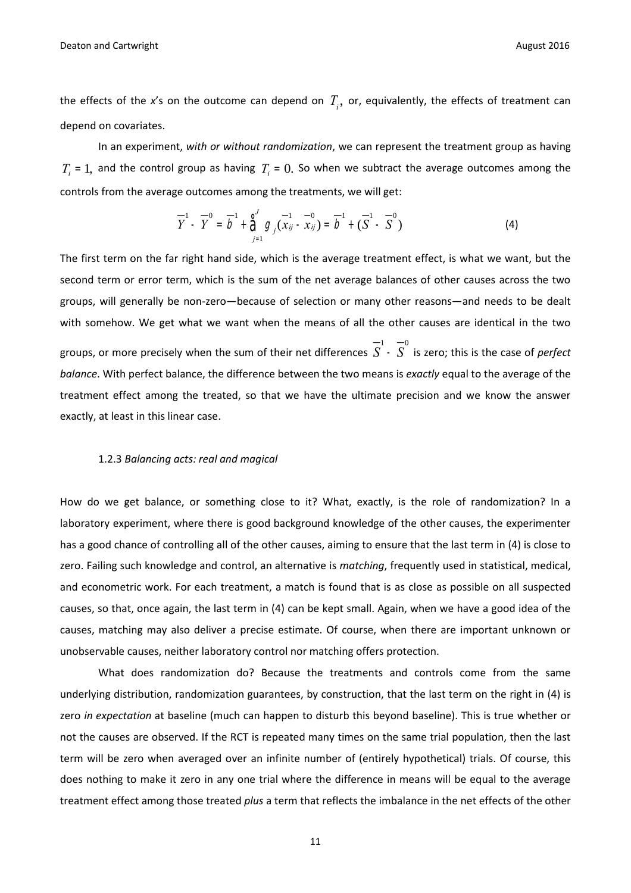**Deaton and Cartwright August 2016 Contract 2016 August 2016 August 2016** 

the effects of the x's on the outcome can depend on  $T_{\scriptscriptstyle{I}},$  or, equivalently, the effects of treatment can depend on covariates.

In an experiment, *with or without randomization*, we can represent the treatment group as having  $T_i = 1$ , and the control group as having  $T_i = 0$ . So when we subtract the average outcomes among the controls from the average outcomes among the treatments, we will get:

$$
\overline{Y}^{1} - \overline{Y}^{0} = \overline{D}^{1} + \sum_{j=1}^{J} \mathcal{G}_{j} (\overline{x}_{ij} - \overline{x}_{ij}) = \overline{D}^{1} + (\overline{S}^{1} - \overline{S}^{0})
$$
(4)

The first term on the far right hand side, which is the average treatment effect, is what we want, but the second term or error term, which is the sum of the net average balances of other causes across the two groups, will generally be non-zero—because of selection or many other reasons—and needs to be dealt with somehow. We get what we want when the means of all the other causes are identical in the two groups, or more precisely when the sum of their net differences  $\overline{S}^1$  -  $\overline{S}^0$  is zero; this is the case of *perfect balance*. With perfect balance, the difference between the two means is *exactly* equal to the average of the treatment effect among the treated, so that we have the ultimate precision and we know the answer exactly, at least in this linear case.

#### 1.2.3 *Balancing acts: real and magical*

How do we get balance, or something close to it? What, exactly, is the role of randomization? In a laboratory experiment, where there is good background knowledge of the other causes, the experimenter has a good chance of controlling all of the other causes, aiming to ensure that the last term in (4) is close to zero. Failing such knowledge and control, an alternative is *matching*, frequently used in statistical, medical, and econometric work. For each treatment, a match is found that is as close as possible on all suspected causes, so that, once again, the last term in (4) can be kept small. Again, when we have a good idea of the causes, matching may also deliver a precise estimate. Of course, when there are important unknown or unobservable causes, neither laboratory control nor matching offers protection.

What does randomization do? Because the treatments and controls come from the same underlying distribution, randomization guarantees, by construction, that the last term on the right in (4) is zero *in expectation* at baseline (much can happen to disturb this beyond baseline). This is true whether or not the causes are observed. If the RCT is repeated many times on the same trial population, then the last term will be zero when averaged over an infinite number of (entirely hypothetical) trials. Of course, this does nothing to make it zero in any one trial where the difference in means will be equal to the average treatment effect among those treated *plus* a term that reflects the imbalance in the net effects of the other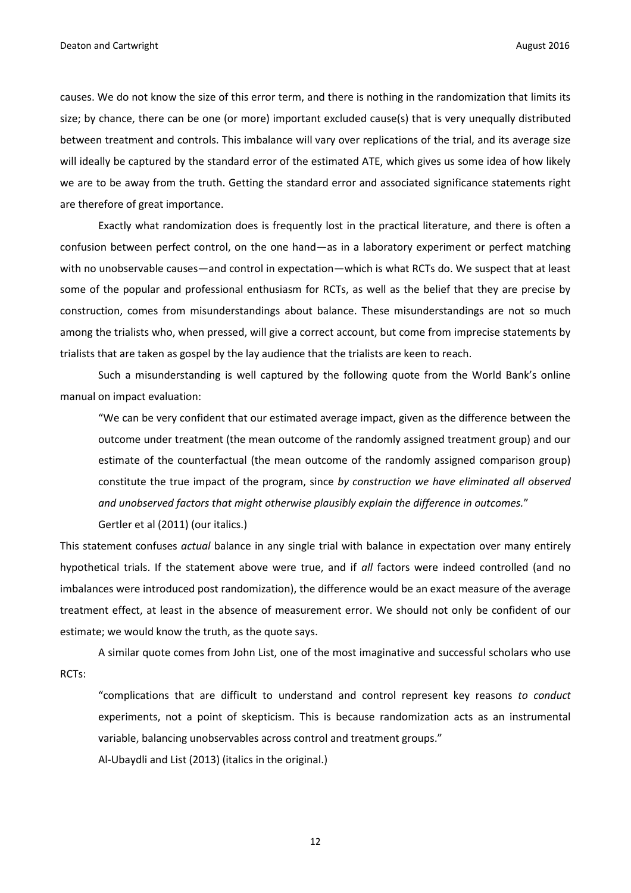causes. We do not know the size of this error term, and there is nothing in the randomization that limits its size; by chance, there can be one (or more) important excluded cause(s) that is very unequally distributed between treatment and controls. This imbalance will vary over replications of the trial, and its average size will ideally be captured by the standard error of the estimated ATE, which gives us some idea of how likely we are to be away from the truth. Getting the standard error and associated significance statements right are therefore of great importance.

Exactly what randomization does is frequently lost in the practical literature, and there is often a confusion between perfect control, on the one hand—as in a laboratory experiment or perfect matching with no unobservable causes—and control in expectation—which is what RCTs do. We suspect that at least some of the popular and professional enthusiasm for RCTs, as well as the belief that they are precise by construction, comes from misunderstandings about balance. These misunderstandings are not so much among the trialists who, when pressed, will give a correct account, but come from imprecise statements by trialists that are taken as gospel by the lay audience that the trialists are keen to reach.

Such a misunderstanding is well captured by the following quote from the World Bank's online manual on impact evaluation:

"We can be very confident that our estimated average impact, given as the difference between the outcome under treatment (the mean outcome of the randomly assigned treatment group) and our estimate of the counterfactual (the mean outcome of the randomly assigned comparison group) constitute the true impact of the program, since *by construction we have eliminated all observed and unobserved factors that might otherwise plausibly explain the difference in outcomes.*"

Gertler et al (2011) (our italics.)

This statement confuses *actual* balance in any single trial with balance in expectation over many entirely hypothetical trials. If the statement above were true, and if *all* factors were indeed controlled (and no imbalances were introduced post randomization), the difference would be an exact measure of the average treatment effect, at least in the absence of measurement error. We should not only be confident of our estimate; we would know the truth, as the quote says.

A similar quote comes from John List, one of the most imaginative and successful scholars who use RCTs:

"complications that are difficult to understand and control represent key reasons *to conduct* experiments, not a point of skepticism. This is because randomization acts as an instrumental variable, balancing unobservables across control and treatment groups."

Al-Ubaydli and List (2013) (italics in the original.)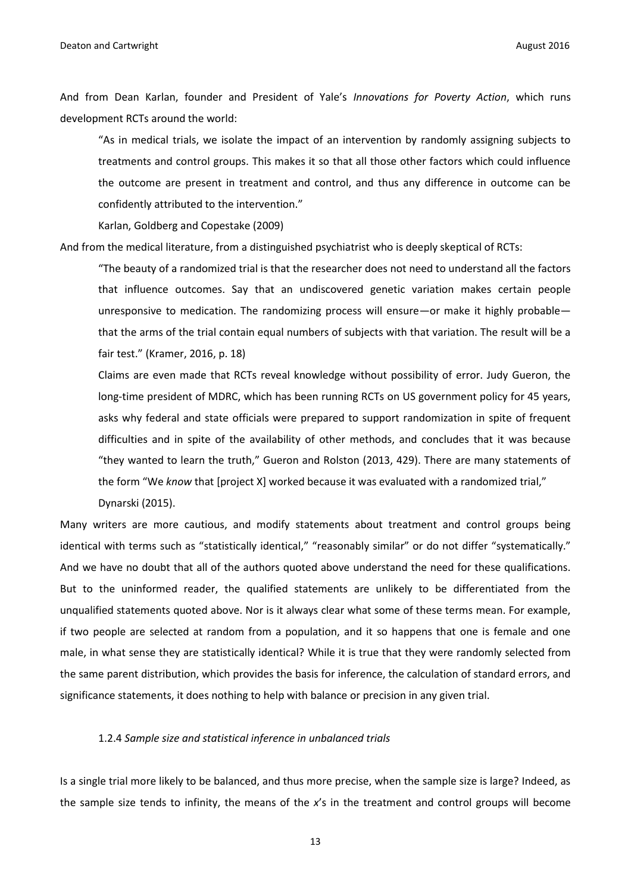And from Dean Karlan, founder and President of Yale's *Innovations for Poverty Action*, which runs development RCTs around the world:

"As in medical trials, we isolate the impact of an intervention by randomly assigning subjects to treatments and control groups. This makes it so that all those other factors which could influence the outcome are present in treatment and control, and thus any difference in outcome can be confidently attributed to the intervention."

Karlan, Goldberg and Copestake (2009)

And from the medical literature, from a distinguished psychiatrist who is deeply skeptical of RCTs:

"The beauty of a randomized trial is that the researcher does not need to understand all the factors that influence outcomes. Say that an undiscovered genetic variation makes certain people unresponsive to medication. The randomizing process will ensure—or make it highly probable that the arms of the trial contain equal numbers of subjects with that variation. The result will be a fair test." (Kramer, 2016, p. 18)

Claims are even made that RCTs reveal knowledge without possibility of error. Judy Gueron, the long-time president of MDRC, which has been running RCTs on US government policy for 45 years, asks why federal and state officials were prepared to support randomization in spite of frequent difficulties and in spite of the availability of other methods, and concludes that it was because "they wanted to learn the truth," Gueron and Rolston (2013, 429). There are many statements of the form "We *know* that [project X] worked because it was evaluated with a randomized trial," Dynarski (2015).

Many writers are more cautious, and modify statements about treatment and control groups being identical with terms such as "statistically identical," "reasonably similar" or do not differ "systematically." And we have no doubt that all of the authors quoted above understand the need for these qualifications. But to the uninformed reader, the qualified statements are unlikely to be differentiated from the unqualified statements quoted above. Nor is it always clear what some of these terms mean. For example, if two people are selected at random from a population, and it so happens that one is female and one male, in what sense they are statistically identical? While it is true that they were randomly selected from the same parent distribution, which provides the basis for inference, the calculation of standard errors, and significance statements, it does nothing to help with balance or precision in any given trial.

#### 1.2.4 *Sample size and statistical inference in unbalanced trials*

Is a single trial more likely to be balanced, and thus more precise, when the sample size is large? Indeed, as the sample size tends to infinity, the means of the *x*'s in the treatment and control groups will become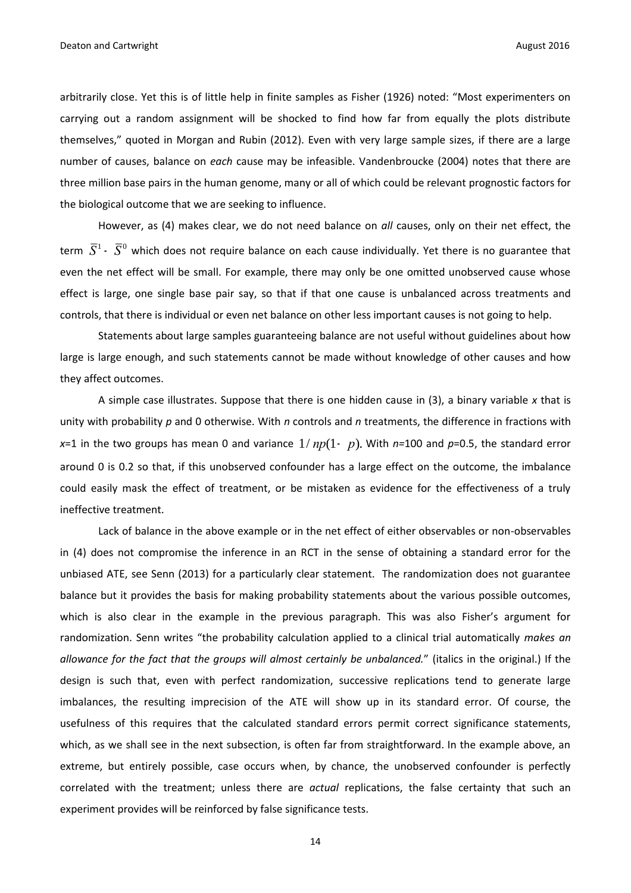arbitrarily close. Yet this is of little help in finite samples as Fisher (1926) noted: "Most experimenters on carrying out a random assignment will be shocked to find how far from equally the plots distribute themselves," quoted in Morgan and Rubin (2012). Even with very large sample sizes, if there are a large number of causes, balance on *each* cause may be infeasible. Vandenbroucke (2004) notes that there are three million base pairs in the human genome, many or all of which could be relevant prognostic factors for the biological outcome that we are seeking to influence.

However, as (4) makes clear, we do not need balance on *all* causes, only on their net effect, the term  $\,\overline{S}{}^1$  –  $\overline{S}{}^0$  which does not require balance on each cause individually. Yet there is no guarantee that even the net effect will be small. For example, there may only be one omitted unobserved cause whose effect is large, one single base pair say, so that if that one cause is unbalanced across treatments and controls, that there is individual or even net balance on other less important causes is not going to help.

Statements about large samples guaranteeing balance are not useful without guidelines about how large is large enough, and such statements cannot be made without knowledge of other causes and how they affect outcomes.

A simple case illustrates. Suppose that there is one hidden cause in (3), a binary variable *x* that is unity with probability *p* and 0 otherwise. With *n* controls and *n* treatments, the difference in fractions with *x*=1 in the two groups has mean 0 and variance 1/ *np*(1- *p*). With *n=*100 and *p*=0.5, the standard error around 0 is 0.2 so that, if this unobserved confounder has a large effect on the outcome, the imbalance could easily mask the effect of treatment, or be mistaken as evidence for the effectiveness of a truly ineffective treatment.

Lack of balance in the above example or in the net effect of either observables or non-observables in (4) does not compromise the inference in an RCT in the sense of obtaining a standard error for the unbiased ATE, see Senn (2013) for a particularly clear statement. The randomization does not guarantee balance but it provides the basis for making probability statements about the various possible outcomes, which is also clear in the example in the previous paragraph. This was also Fisher's argument for randomization. Senn writes "the probability calculation applied to a clinical trial automatically *makes an allowance for the fact that the groups will almost certainly be unbalanced.*" (italics in the original.) If the design is such that, even with perfect randomization, successive replications tend to generate large imbalances, the resulting imprecision of the ATE will show up in its standard error. Of course, the usefulness of this requires that the calculated standard errors permit correct significance statements, which, as we shall see in the next subsection, is often far from straightforward. In the example above, an extreme, but entirely possible, case occurs when, by chance, the unobserved confounder is perfectly correlated with the treatment; unless there are *actual* replications, the false certainty that such an experiment provides will be reinforced by false significance tests.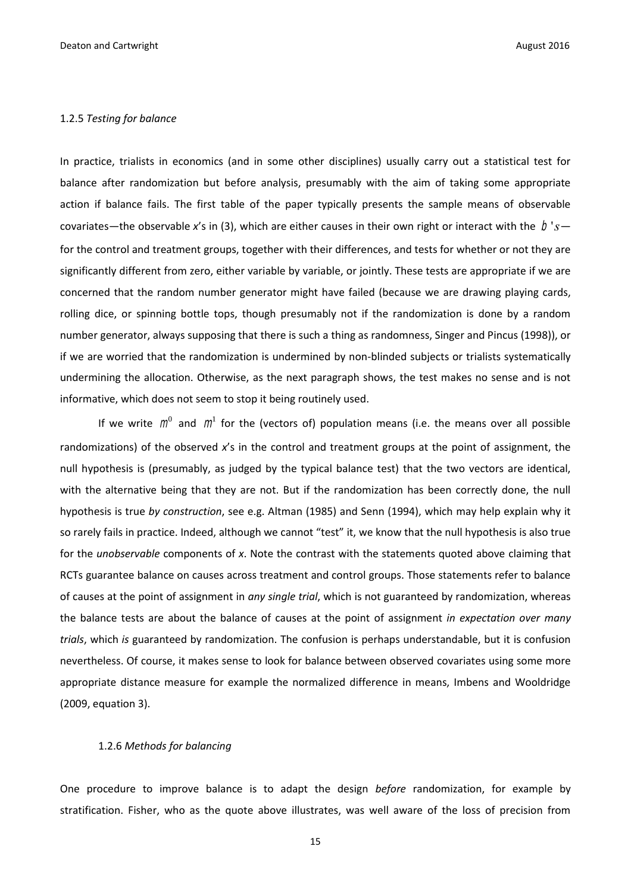#### 1.2.5 *Testing for balance*

In practice, trialists in economics (and in some other disciplines) usually carry out a statistical test for balance after randomization but before analysis, presumably with the aim of taking some appropriate action if balance fails. The first table of the paper typically presents the sample means of observable covariates—the observable x's in (3), which are either causes in their own right or interact with the  $|b's - b|$ for the control and treatment groups, together with their differences, and tests for whether or not they are significantly different from zero, either variable by variable, or jointly. These tests are appropriate if we are concerned that the random number generator might have failed (because we are drawing playing cards, rolling dice, or spinning bottle tops, though presumably not if the randomization is done by a random number generator, always supposing that there is such a thing as randomness, Singer and Pincus (1998)), or if we are worried that the randomization is undermined by non-blinded subjects or trialists systematically undermining the allocation. Otherwise, as the next paragraph shows, the test makes no sense and is not informative, which does not seem to stop it being routinely used.

If we write  $m^0$  and  $m^1$  for the (vectors of) population means (i.e. the means over all possible randomizations) of the observed *x*'s in the control and treatment groups at the point of assignment, the null hypothesis is (presumably, as judged by the typical balance test) that the two vectors are identical, with the alternative being that they are not. But if the randomization has been correctly done, the null hypothesis is true *by construction*, see e.g. Altman (1985) and Senn (1994), which may help explain why it so rarely fails in practice. Indeed, although we cannot "test" it, we know that the null hypothesis is also true for the *unobservable* components of *x*. Note the contrast with the statements quoted above claiming that RCTs guarantee balance on causes across treatment and control groups. Those statements refer to balance of causes at the point of assignment in *any single trial*, which is not guaranteed by randomization, whereas the balance tests are about the balance of causes at the point of assignment *in expectation over many trials*, which *is* guaranteed by randomization. The confusion is perhaps understandable, but it is confusion nevertheless. Of course, it makes sense to look for balance between observed covariates using some more appropriate distance measure for example the normalized difference in means, Imbens and Wooldridge (2009, equation 3).

#### 1.2.6 *Methods for balancing*

One procedure to improve balance is to adapt the design *before* randomization, for example by stratification. Fisher, who as the quote above illustrates, was well aware of the loss of precision from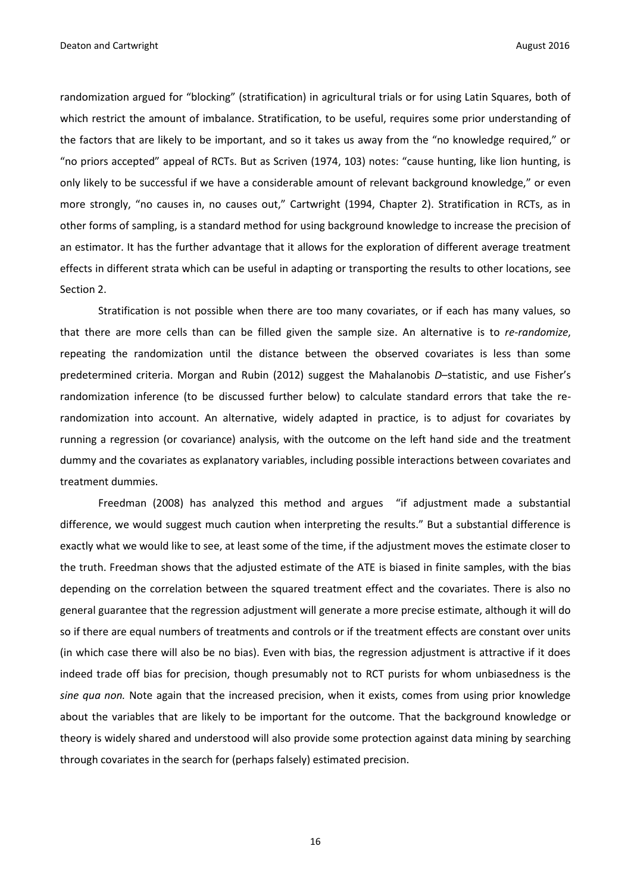randomization argued for "blocking" (stratification) in agricultural trials or for using Latin Squares, both of which restrict the amount of imbalance. Stratification, to be useful, requires some prior understanding of the factors that are likely to be important, and so it takes us away from the "no knowledge required," or "no priors accepted" appeal of RCTs. But as Scriven (1974, 103) notes: "cause hunting, like lion hunting, is only likely to be successful if we have a considerable amount of relevant background knowledge," or even more strongly, "no causes in, no causes out," Cartwright (1994, Chapter 2). Stratification in RCTs, as in other forms of sampling, is a standard method for using background knowledge to increase the precision of an estimator. It has the further advantage that it allows for the exploration of different average treatment effects in different strata which can be useful in adapting or transporting the results to other locations, see Section 2.

Stratification is not possible when there are too many covariates, or if each has many values, so that there are more cells than can be filled given the sample size. An alternative is to *re-randomize*, repeating the randomization until the distance between the observed covariates is less than some predetermined criteria. Morgan and Rubin (2012) suggest the Mahalanobis *D*–statistic, and use Fisher's randomization inference (to be discussed further below) to calculate standard errors that take the rerandomization into account. An alternative, widely adapted in practice, is to adjust for covariates by running a regression (or covariance) analysis, with the outcome on the left hand side and the treatment dummy and the covariates as explanatory variables, including possible interactions between covariates and treatment dummies.

Freedman (2008) has analyzed this method and argues "if adjustment made a substantial difference, we would suggest much caution when interpreting the results." But a substantial difference is exactly what we would like to see, at least some of the time, if the adjustment moves the estimate closer to the truth. Freedman shows that the adjusted estimate of the ATE is biased in finite samples, with the bias depending on the correlation between the squared treatment effect and the covariates. There is also no general guarantee that the regression adjustment will generate a more precise estimate, although it will do so if there are equal numbers of treatments and controls or if the treatment effects are constant over units (in which case there will also be no bias). Even with bias, the regression adjustment is attractive if it does indeed trade off bias for precision, though presumably not to RCT purists for whom unbiasedness is the *sine qua non.* Note again that the increased precision, when it exists, comes from using prior knowledge about the variables that are likely to be important for the outcome. That the background knowledge or theory is widely shared and understood will also provide some protection against data mining by searching through covariates in the search for (perhaps falsely) estimated precision.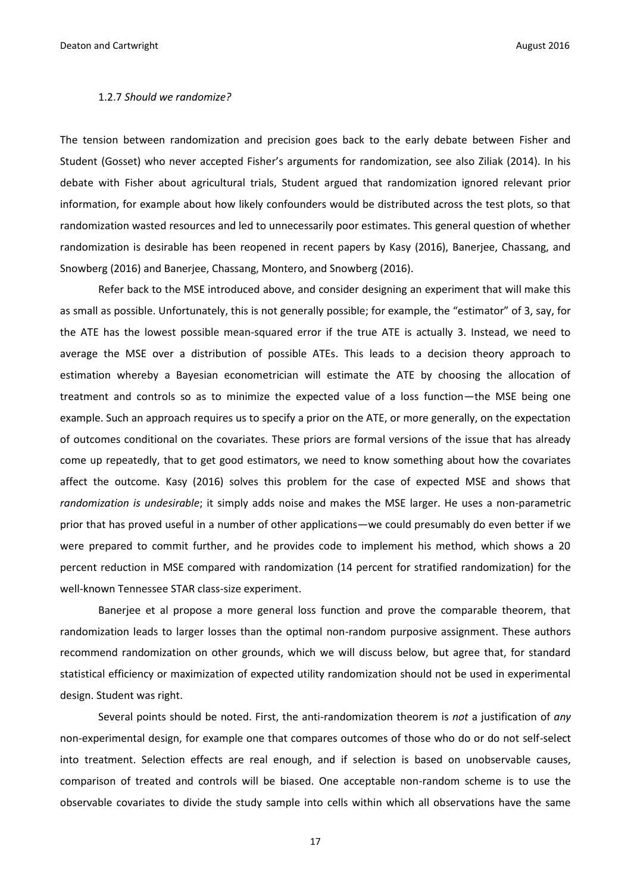#### 1.2.7 *Should we randomize?*

The tension between randomization and precision goes back to the early debate between Fisher and Student (Gosset) who never accepted Fisher's arguments for randomization, see also Ziliak (2014). In his debate with Fisher about agricultural trials, Student argued that randomization ignored relevant prior information, for example about how likely confounders would be distributed across the test plots, so that randomization wasted resources and led to unnecessarily poor estimates. This general question of whether randomization is desirable has been reopened in recent papers by Kasy (2016), Banerjee, Chassang, and Snowberg (2016) and Banerjee, Chassang, Montero, and Snowberg (2016).

Refer back to the MSE introduced above, and consider designing an experiment that will make this as small as possible. Unfortunately, this is not generally possible; for example, the "estimator" of 3, say, for the ATE has the lowest possible mean-squared error if the true ATE is actually 3. Instead, we need to average the MSE over a distribution of possible ATEs. This leads to a decision theory approach to estimation whereby a Bayesian econometrician will estimate the ATE by choosing the allocation of treatment and controls so as to minimize the expected value of a loss function—the MSE being one example. Such an approach requires us to specify a prior on the ATE, or more generally, on the expectation of outcomes conditional on the covariates. These priors are formal versions of the issue that has already come up repeatedly, that to get good estimators, we need to know something about how the covariates affect the outcome. Kasy (2016) solves this problem for the case of expected MSE and shows that *randomization is undesirable*; it simply adds noise and makes the MSE larger. He uses a non-parametric prior that has proved useful in a number of other applications—we could presumably do even better if we were prepared to commit further, and he provides code to implement his method, which shows a 20 percent reduction in MSE compared with randomization (14 percent for stratified randomization) for the well-known Tennessee STAR class-size experiment.

Banerjee et al propose a more general loss function and prove the comparable theorem, that randomization leads to larger losses than the optimal non-random purposive assignment. These authors recommend randomization on other grounds, which we will discuss below, but agree that, for standard statistical efficiency or maximization of expected utility randomization should not be used in experimental design. Student was right.

Several points should be noted. First, the anti-randomization theorem is *not* a justification of *any* non-experimental design, for example one that compares outcomes of those who do or do not self-select into treatment. Selection effects are real enough, and if selection is based on unobservable causes, comparison of treated and controls will be biased. One acceptable non-random scheme is to use the observable covariates to divide the study sample into cells within which all observations have the same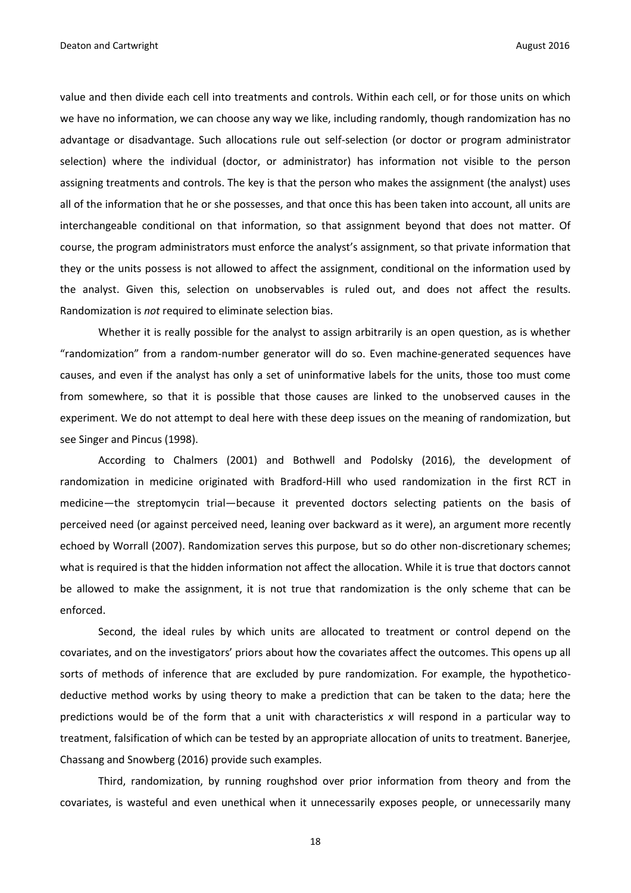value and then divide each cell into treatments and controls. Within each cell, or for those units on which we have no information, we can choose any way we like, including randomly, though randomization has no advantage or disadvantage. Such allocations rule out self-selection (or doctor or program administrator selection) where the individual (doctor, or administrator) has information not visible to the person assigning treatments and controls. The key is that the person who makes the assignment (the analyst) uses all of the information that he or she possesses, and that once this has been taken into account, all units are interchangeable conditional on that information, so that assignment beyond that does not matter. Of course, the program administrators must enforce the analyst's assignment, so that private information that they or the units possess is not allowed to affect the assignment, conditional on the information used by the analyst. Given this, selection on unobservables is ruled out, and does not affect the results. Randomization is *not* required to eliminate selection bias.

Whether it is really possible for the analyst to assign arbitrarily is an open question, as is whether "randomization" from a random-number generator will do so. Even machine-generated sequences have causes, and even if the analyst has only a set of uninformative labels for the units, those too must come from somewhere, so that it is possible that those causes are linked to the unobserved causes in the experiment. We do not attempt to deal here with these deep issues on the meaning of randomization, but see Singer and Pincus (1998).

According to Chalmers (2001) and Bothwell and Podolsky (2016), the development of randomization in medicine originated with Bradford-Hill who used randomization in the first RCT in medicine—the streptomycin trial—because it prevented doctors selecting patients on the basis of perceived need (or against perceived need, leaning over backward as it were), an argument more recently echoed by Worrall (2007). Randomization serves this purpose, but so do other non-discretionary schemes; what is required is that the hidden information not affect the allocation. While it is true that doctors cannot be allowed to make the assignment, it is not true that randomization is the only scheme that can be enforced.

Second, the ideal rules by which units are allocated to treatment or control depend on the covariates, and on the investigators' priors about how the covariates affect the outcomes. This opens up all sorts of methods of inference that are excluded by pure randomization. For example, the hypotheticodeductive method works by using theory to make a prediction that can be taken to the data; here the predictions would be of the form that a unit with characteristics *x* will respond in a particular way to treatment, falsification of which can be tested by an appropriate allocation of units to treatment. Banerjee, Chassang and Snowberg (2016) provide such examples.

Third, randomization, by running roughshod over prior information from theory and from the covariates, is wasteful and even unethical when it unnecessarily exposes people, or unnecessarily many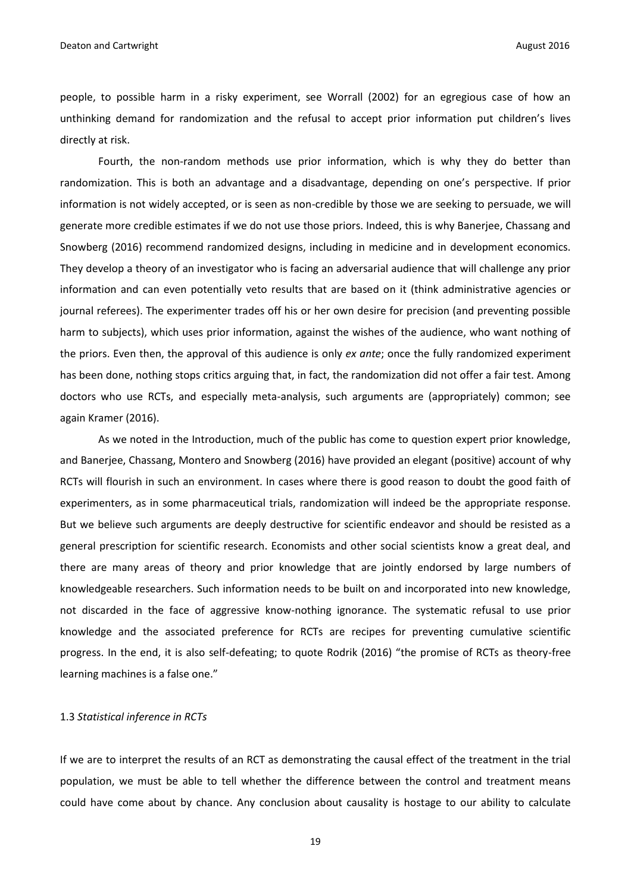people, to possible harm in a risky experiment, see Worrall (2002) for an egregious case of how an unthinking demand for randomization and the refusal to accept prior information put children's lives directly at risk.

Fourth, the non-random methods use prior information, which is why they do better than randomization. This is both an advantage and a disadvantage, depending on one's perspective. If prior information is not widely accepted, or is seen as non-credible by those we are seeking to persuade, we will generate more credible estimates if we do not use those priors. Indeed, this is why Banerjee, Chassang and Snowberg (2016) recommend randomized designs, including in medicine and in development economics. They develop a theory of an investigator who is facing an adversarial audience that will challenge any prior information and can even potentially veto results that are based on it (think administrative agencies or journal referees). The experimenter trades off his or her own desire for precision (and preventing possible harm to subjects), which uses prior information, against the wishes of the audience, who want nothing of the priors. Even then, the approval of this audience is only *ex ante*; once the fully randomized experiment has been done, nothing stops critics arguing that, in fact, the randomization did not offer a fair test. Among doctors who use RCTs, and especially meta-analysis, such arguments are (appropriately) common; see again Kramer (2016).

As we noted in the Introduction, much of the public has come to question expert prior knowledge, and Banerjee, Chassang, Montero and Snowberg (2016) have provided an elegant (positive) account of why RCTs will flourish in such an environment. In cases where there is good reason to doubt the good faith of experimenters, as in some pharmaceutical trials, randomization will indeed be the appropriate response. But we believe such arguments are deeply destructive for scientific endeavor and should be resisted as a general prescription for scientific research. Economists and other social scientists know a great deal, and there are many areas of theory and prior knowledge that are jointly endorsed by large numbers of knowledgeable researchers. Such information needs to be built on and incorporated into new knowledge, not discarded in the face of aggressive know-nothing ignorance. The systematic refusal to use prior knowledge and the associated preference for RCTs are recipes for preventing cumulative scientific progress. In the end, it is also self-defeating; to quote Rodrik (2016) "the promise of RCTs as theory-free learning machines is a false one."

#### 1.3 *Statistical inference in RCTs*

If we are to interpret the results of an RCT as demonstrating the causal effect of the treatment in the trial population, we must be able to tell whether the difference between the control and treatment means could have come about by chance. Any conclusion about causality is hostage to our ability to calculate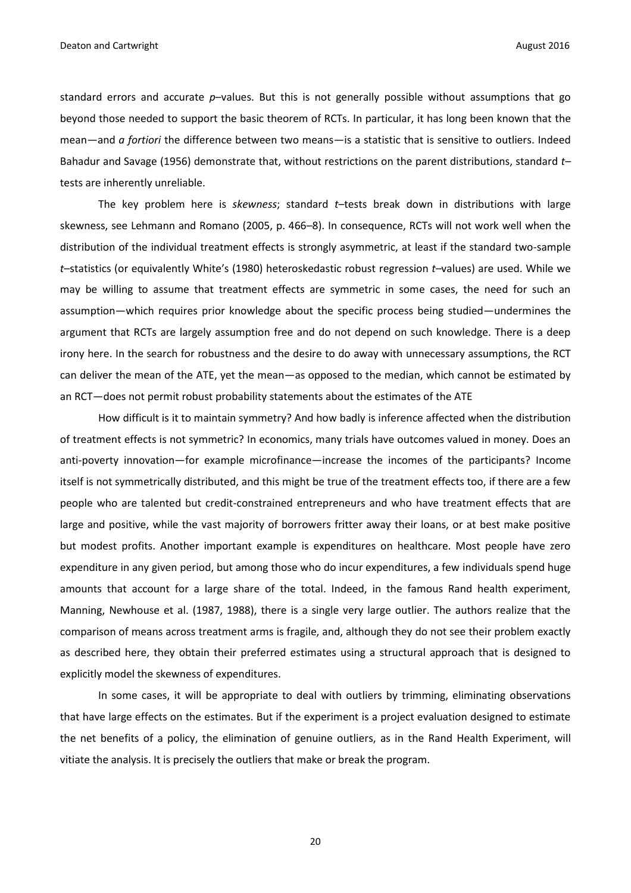standard errors and accurate *p*–values. But this is not generally possible without assumptions that go beyond those needed to support the basic theorem of RCTs. In particular, it has long been known that the mean—and *a fortiori* the difference between two means—is a statistic that is sensitive to outliers. Indeed Bahadur and Savage (1956) demonstrate that, without restrictions on the parent distributions, standard *t–* tests are inherently unreliable.

The key problem here is *skewness*; standard *t–*tests break down in distributions with large skewness, see Lehmann and Romano (2005, p. 466–8). In consequence, RCTs will not work well when the distribution of the individual treatment effects is strongly asymmetric, at least if the standard two-sample *t*–statistics (or equivalently White's (1980) heteroskedastic robust regression *t–*values) are used. While we may be willing to assume that treatment effects are symmetric in some cases, the need for such an assumption—which requires prior knowledge about the specific process being studied—undermines the argument that RCTs are largely assumption free and do not depend on such knowledge. There is a deep irony here. In the search for robustness and the desire to do away with unnecessary assumptions, the RCT can deliver the mean of the ATE, yet the mean—as opposed to the median, which cannot be estimated by an RCT—does not permit robust probability statements about the estimates of the ATE

How difficult is it to maintain symmetry? And how badly is inference affected when the distribution of treatment effects is not symmetric? In economics, many trials have outcomes valued in money. Does an anti-poverty innovation—for example microfinance—increase the incomes of the participants? Income itself is not symmetrically distributed, and this might be true of the treatment effects too, if there are a few people who are talented but credit-constrained entrepreneurs and who have treatment effects that are large and positive, while the vast majority of borrowers fritter away their loans, or at best make positive but modest profits. Another important example is expenditures on healthcare. Most people have zero expenditure in any given period, but among those who do incur expenditures, a few individuals spend huge amounts that account for a large share of the total. Indeed, in the famous Rand health experiment, Manning, Newhouse et al. (1987, 1988), there is a single very large outlier. The authors realize that the comparison of means across treatment arms is fragile, and, although they do not see their problem exactly as described here, they obtain their preferred estimates using a structural approach that is designed to explicitly model the skewness of expenditures.

In some cases, it will be appropriate to deal with outliers by trimming, eliminating observations that have large effects on the estimates. But if the experiment is a project evaluation designed to estimate the net benefits of a policy, the elimination of genuine outliers, as in the Rand Health Experiment, will vitiate the analysis. It is precisely the outliers that make or break the program.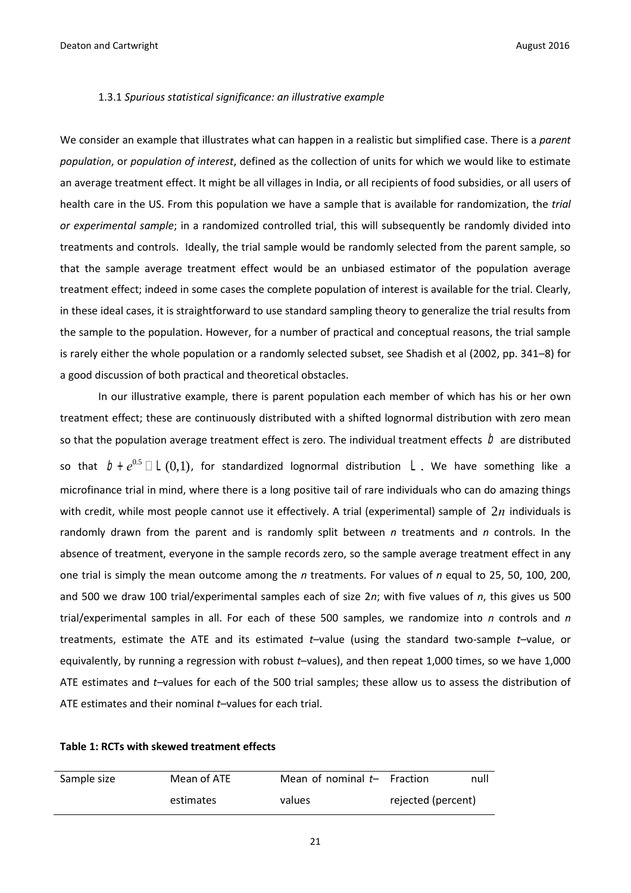#### 1.3.1 *Spurious statistical significance: an illustrative example*

We consider an example that illustrates what can happen in a realistic but simplified case. There is a *parent population*, or *population of interest*, defined as the collection of units for which we would like to estimate an average treatment effect. It might be all villages in India, or all recipients of food subsidies, or all users of health care in the US. From this population we have a sample that is available for randomization, the *trial or experimental sample*; in a randomized controlled trial, this will subsequently be randomly divided into treatments and controls. Ideally, the trial sample would be randomly selected from the parent sample, so that the sample average treatment effect would be an unbiased estimator of the population average treatment effect; indeed in some cases the complete population of interest is available for the trial. Clearly, in these ideal cases, it is straightforward to use standard sampling theory to generalize the trial results from the sample to the population. However, for a number of practical and conceptual reasons, the trial sample is rarely either the whole population or a randomly selected subset, see Shadish et al (2002, pp. 341–8) for a good discussion of both practical and theoretical obstacles.

In our illustrative example, there is parent population each member of which has his or her own treatment effect; these are continuously distributed with a shifted lognormal distribution with zero mean so that the population average treatment effect is zero. The individual treatment effects  $\,\mathit{D}\,$  are distributed so that  $b + e^{0.5} \Box \Box (0,1)$ , for standardized lognormal distribution  $\Box$ . We have something like a microfinance trial in mind, where there is a long positive tail of rare individuals who can do amazing things with credit, while most people cannot use it effectively. A trial (experimental) sample of  $2n$  individuals is randomly drawn from the parent and is randomly split between *n* treatments and *n* controls. In the absence of treatment, everyone in the sample records zero, so the sample average treatment effect in any one trial is simply the mean outcome among the *n* treatments. For values of *n* equal to 25, 50, 100, 200, and 500 we draw 100 trial/experimental samples each of size 2*n*; with five values of *n*, this gives us 500 trial/experimental samples in all. For each of these 500 samples, we randomize into *n* controls and *n* treatments, estimate the ATE and its estimated *t–*value (using the standard two-sample *t*–value, or equivalently, by running a regression with robust *t*–values), and then repeat 1,000 times, so we have 1,000 ATE estimates and *t–*values for each of the 500 trial samples; these allow us to assess the distribution of ATE estimates and their nominal *t–*values for each trial.

|  |  | Table 1: RCTs with skewed treatment effects |
|--|--|---------------------------------------------|
|--|--|---------------------------------------------|

| Sample size | Mean of ATE | Mean of nominal $t-$ Fraction |                    | null |
|-------------|-------------|-------------------------------|--------------------|------|
|             | estimates   | values                        | rejected (percent) |      |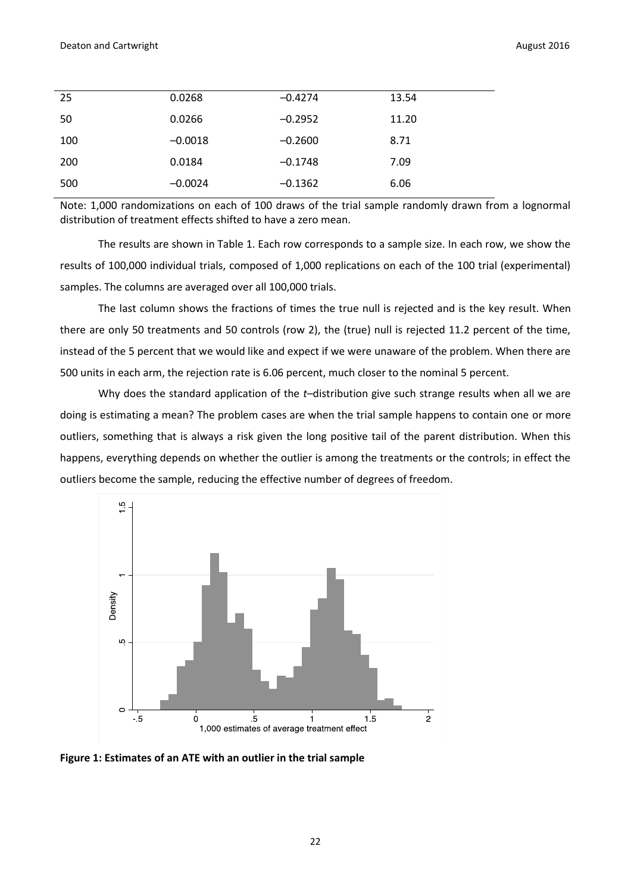| 25  | 0.0268    | $-0.4274$ | 13.54 |
|-----|-----------|-----------|-------|
| 50  | 0.0266    | $-0.2952$ | 11.20 |
| 100 | $-0.0018$ | $-0.2600$ | 8.71  |
| 200 | 0.0184    | $-0.1748$ | 7.09  |
| 500 | $-0.0024$ | $-0.1362$ | 6.06  |

Note: 1,000 randomizations on each of 100 draws of the trial sample randomly drawn from a lognormal distribution of treatment effects shifted to have a zero mean.

The results are shown in Table 1. Each row corresponds to a sample size. In each row, we show the results of 100,000 individual trials, composed of 1,000 replications on each of the 100 trial (experimental) samples. The columns are averaged over all 100,000 trials.

The last column shows the fractions of times the true null is rejected and is the key result. When there are only 50 treatments and 50 controls (row 2), the (true) null is rejected 11.2 percent of the time, instead of the 5 percent that we would like and expect if we were unaware of the problem. When there are 500 units in each arm, the rejection rate is 6.06 percent, much closer to the nominal 5 percent.

Why does the standard application of the *t*-distribution give such strange results when all we are doing is estimating a mean? The problem cases are when the trial sample happens to contain one or more outliers, something that is always a risk given the long positive tail of the parent distribution. When this happens, everything depends on whether the outlier is among the treatments or the controls; in effect the outliers become the sample, reducing the effective number of degrees of freedom.



**Figure 1: Estimates of an ATE with an outlier in the trial sample**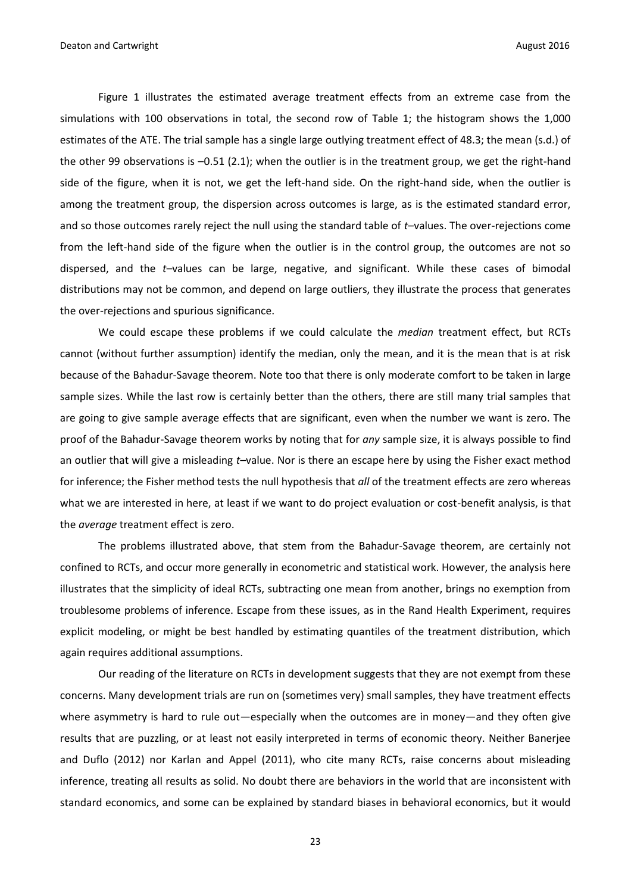Figure 1 illustrates the estimated average treatment effects from an extreme case from the simulations with 100 observations in total, the second row of Table 1; the histogram shows the 1,000 estimates of the ATE. The trial sample has a single large outlying treatment effect of 48.3; the mean (s.d.) of the other 99 observations is –0.51 (2.1); when the outlier is in the treatment group, we get the right-hand side of the figure, when it is not, we get the left-hand side. On the right-hand side, when the outlier is among the treatment group, the dispersion across outcomes is large, as is the estimated standard error, and so those outcomes rarely reject the null using the standard table of *t*–values. The over-rejections come from the left-hand side of the figure when the outlier is in the control group, the outcomes are not so dispersed, and the *t–*values can be large, negative, and significant. While these cases of bimodal distributions may not be common, and depend on large outliers, they illustrate the process that generates the over-rejections and spurious significance.

We could escape these problems if we could calculate the *median* treatment effect, but RCTs cannot (without further assumption) identify the median, only the mean, and it is the mean that is at risk because of the Bahadur-Savage theorem. Note too that there is only moderate comfort to be taken in large sample sizes. While the last row is certainly better than the others, there are still many trial samples that are going to give sample average effects that are significant, even when the number we want is zero. The proof of the Bahadur-Savage theorem works by noting that for *any* sample size, it is always possible to find an outlier that will give a misleading *t–*value. Nor is there an escape here by using the Fisher exact method for inference; the Fisher method tests the null hypothesis that *all* of the treatment effects are zero whereas what we are interested in here, at least if we want to do project evaluation or cost-benefit analysis, is that the *average* treatment effect is zero.

The problems illustrated above, that stem from the Bahadur-Savage theorem, are certainly not confined to RCTs, and occur more generally in econometric and statistical work. However, the analysis here illustrates that the simplicity of ideal RCTs, subtracting one mean from another, brings no exemption from troublesome problems of inference. Escape from these issues, as in the Rand Health Experiment, requires explicit modeling, or might be best handled by estimating quantiles of the treatment distribution, which again requires additional assumptions.

Our reading of the literature on RCTs in development suggests that they are not exempt from these concerns. Many development trials are run on (sometimes very) small samples, they have treatment effects where asymmetry is hard to rule out—especially when the outcomes are in money—and they often give results that are puzzling, or at least not easily interpreted in terms of economic theory. Neither Banerjee and Duflo (2012) nor Karlan and Appel (2011), who cite many RCTs, raise concerns about misleading inference, treating all results as solid. No doubt there are behaviors in the world that are inconsistent with standard economics, and some can be explained by standard biases in behavioral economics, but it would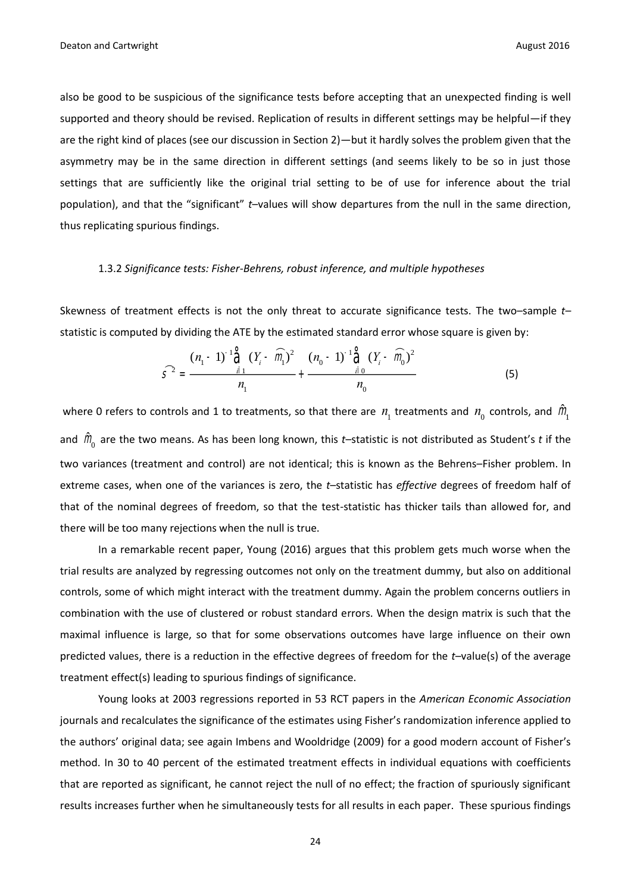also be good to be suspicious of the significance tests before accepting that an unexpected finding is well supported and theory should be revised. Replication of results in different settings may be helpful—if they are the right kind of places (see our discussion in Section 2)—but it hardly solves the problem given that the asymmetry may be in the same direction in different settings (and seems likely to be so in just those settings that are sufficiently like the original trial setting to be of use for inference about the trial population), and that the "significant" *t*–values will show departures from the null in the same direction, thus replicating spurious findings.

#### 1.3.2 *Significance tests: Fisher-Behrens, robust inference, and multiple hypotheses*

Skewness of treatment effects is not the only threat to accurate significance tests. The two–sample *t–* statistic is computed by dividing the ATE by the estimated standard error whose square is given by:

$$
\widehat{S}^{2} = \frac{(n_{1} - 1)^{-1} \mathring{\widehat{G}} \left( Y_{i} - \widehat{m}_{1} \right)^{2}}{n_{1}} + \frac{(n_{0} - 1)^{-1} \mathring{\widehat{G}} \left( Y_{i} - \widehat{m}_{0} \right)^{2}}{n_{0}}
$$
(5)

where 0 refers to controls and 1 to treatments, so that there are  $n_1$  treatments and  $n_0$  controls, and  $\hat{m}$ <sub>1</sub> and m ˆ 0 are the two means. As has been long known, this *t*–statistic is not distributed as Student's *t* if the two variances (treatment and control) are not identical; this is known as the Behrens–Fisher problem. In extreme cases, when one of the variances is zero, the *t*–statistic has *effective* degrees of freedom half of that of the nominal degrees of freedom, so that the test-statistic has thicker tails than allowed for, and there will be too many rejections when the null is true.

In a remarkable recent paper, Young (2016) argues that this problem gets much worse when the trial results are analyzed by regressing outcomes not only on the treatment dummy, but also on additional controls, some of which might interact with the treatment dummy. Again the problem concerns outliers in combination with the use of clustered or robust standard errors. When the design matrix is such that the maximal influence is large, so that for some observations outcomes have large influence on their own predicted values, there is a reduction in the effective degrees of freedom for the *t–*value(s) of the average treatment effect(s) leading to spurious findings of significance.

Young looks at 2003 regressions reported in 53 RCT papers in the *American Economic Association* journals and recalculates the significance of the estimates using Fisher's randomization inference applied to the authors' original data; see again Imbens and Wooldridge (2009) for a good modern account of Fisher's method. In 30 to 40 percent of the estimated treatment effects in individual equations with coefficients that are reported as significant, he cannot reject the null of no effect; the fraction of spuriously significant results increases further when he simultaneously tests for all results in each paper. These spurious findings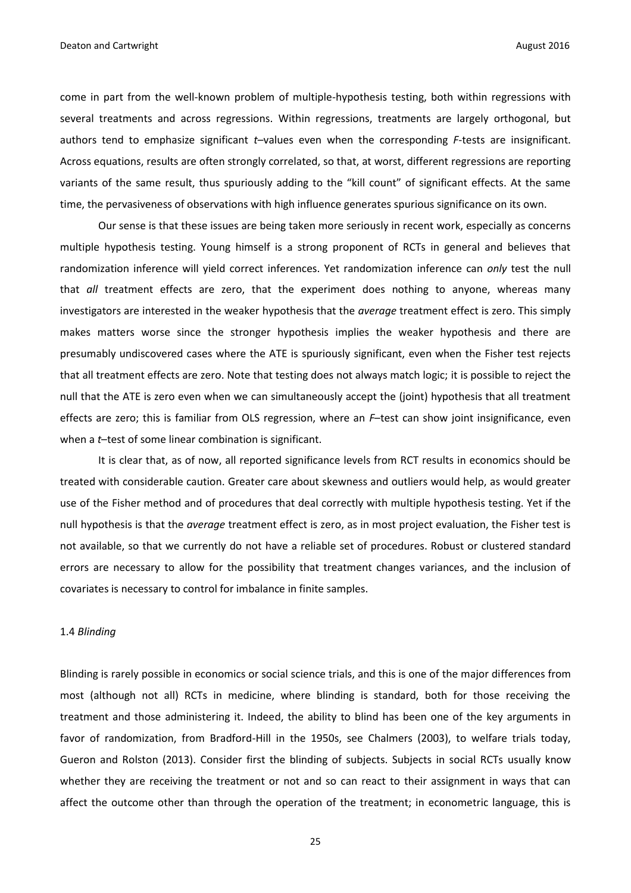come in part from the well-known problem of multiple-hypothesis testing, both within regressions with several treatments and across regressions. Within regressions, treatments are largely orthogonal, but authors tend to emphasize significant *t*–values even when the corresponding *F*-tests are insignificant. Across equations, results are often strongly correlated, so that, at worst, different regressions are reporting variants of the same result, thus spuriously adding to the "kill count" of significant effects. At the same time, the pervasiveness of observations with high influence generates spurious significance on its own.

Our sense is that these issues are being taken more seriously in recent work, especially as concerns multiple hypothesis testing. Young himself is a strong proponent of RCTs in general and believes that randomization inference will yield correct inferences. Yet randomization inference can *only* test the null that *all* treatment effects are zero, that the experiment does nothing to anyone, whereas many investigators are interested in the weaker hypothesis that the *average* treatment effect is zero. This simply makes matters worse since the stronger hypothesis implies the weaker hypothesis and there are presumably undiscovered cases where the ATE is spuriously significant, even when the Fisher test rejects that all treatment effects are zero. Note that testing does not always match logic; it is possible to reject the null that the ATE is zero even when we can simultaneously accept the (joint) hypothesis that all treatment effects are zero; this is familiar from OLS regression, where an *F*–test can show joint insignificance, even when a *t*–test of some linear combination is significant.

It is clear that, as of now, all reported significance levels from RCT results in economics should be treated with considerable caution. Greater care about skewness and outliers would help, as would greater use of the Fisher method and of procedures that deal correctly with multiple hypothesis testing. Yet if the null hypothesis is that the *average* treatment effect is zero, as in most project evaluation, the Fisher test is not available, so that we currently do not have a reliable set of procedures. Robust or clustered standard errors are necessary to allow for the possibility that treatment changes variances, and the inclusion of covariates is necessary to control for imbalance in finite samples.

#### 1.4 *Blinding*

Blinding is rarely possible in economics or social science trials, and this is one of the major differences from most (although not all) RCTs in medicine, where blinding is standard, both for those receiving the treatment and those administering it. Indeed, the ability to blind has been one of the key arguments in favor of randomization, from Bradford-Hill in the 1950s, see Chalmers (2003), to welfare trials today, Gueron and Rolston (2013). Consider first the blinding of subjects. Subjects in social RCTs usually know whether they are receiving the treatment or not and so can react to their assignment in ways that can affect the outcome other than through the operation of the treatment; in econometric language, this is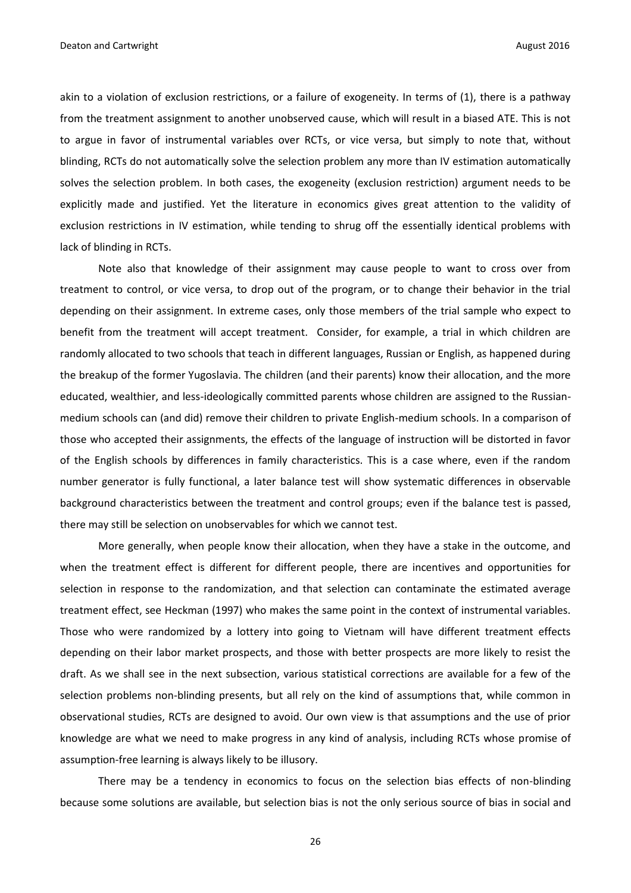akin to a violation of exclusion restrictions, or a failure of exogeneity. In terms of (1), there is a pathway from the treatment assignment to another unobserved cause, which will result in a biased ATE. This is not to argue in favor of instrumental variables over RCTs, or vice versa, but simply to note that, without blinding, RCTs do not automatically solve the selection problem any more than IV estimation automatically solves the selection problem. In both cases, the exogeneity (exclusion restriction) argument needs to be explicitly made and justified. Yet the literature in economics gives great attention to the validity of exclusion restrictions in IV estimation, while tending to shrug off the essentially identical problems with lack of blinding in RCTs.

Note also that knowledge of their assignment may cause people to want to cross over from treatment to control, or vice versa, to drop out of the program, or to change their behavior in the trial depending on their assignment. In extreme cases, only those members of the trial sample who expect to benefit from the treatment will accept treatment. Consider, for example, a trial in which children are randomly allocated to two schools that teach in different languages, Russian or English, as happened during the breakup of the former Yugoslavia. The children (and their parents) know their allocation, and the more educated, wealthier, and less-ideologically committed parents whose children are assigned to the Russianmedium schools can (and did) remove their children to private English-medium schools. In a comparison of those who accepted their assignments, the effects of the language of instruction will be distorted in favor of the English schools by differences in family characteristics. This is a case where, even if the random number generator is fully functional, a later balance test will show systematic differences in observable background characteristics between the treatment and control groups; even if the balance test is passed, there may still be selection on unobservables for which we cannot test.

More generally, when people know their allocation, when they have a stake in the outcome, and when the treatment effect is different for different people, there are incentives and opportunities for selection in response to the randomization, and that selection can contaminate the estimated average treatment effect, see Heckman (1997) who makes the same point in the context of instrumental variables. Those who were randomized by a lottery into going to Vietnam will have different treatment effects depending on their labor market prospects, and those with better prospects are more likely to resist the draft. As we shall see in the next subsection, various statistical corrections are available for a few of the selection problems non-blinding presents, but all rely on the kind of assumptions that, while common in observational studies, RCTs are designed to avoid. Our own view is that assumptions and the use of prior knowledge are what we need to make progress in any kind of analysis, including RCTs whose promise of assumption-free learning is always likely to be illusory.

There may be a tendency in economics to focus on the selection bias effects of non-blinding because some solutions are available, but selection bias is not the only serious source of bias in social and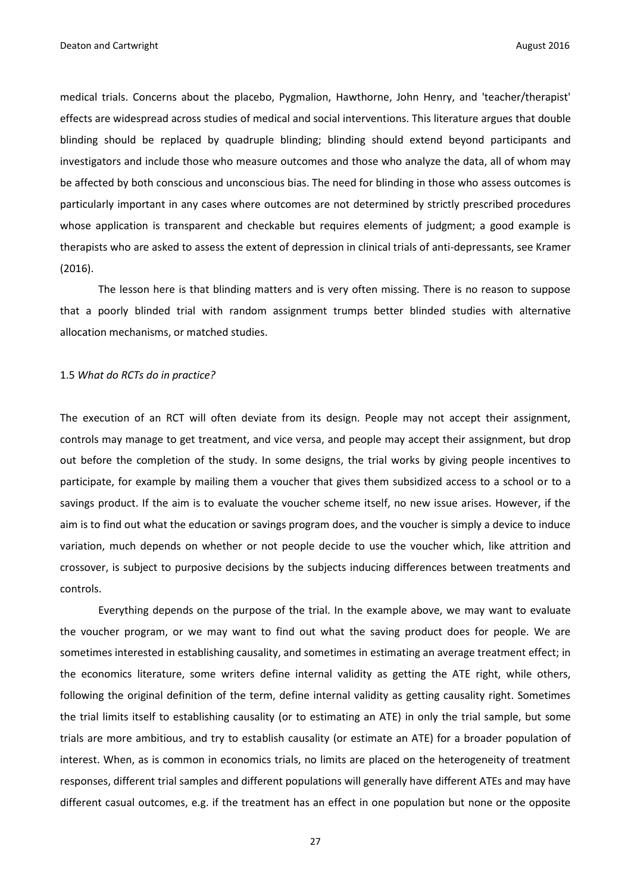medical trials. Concerns about the placebo, Pygmalion, Hawthorne, John Henry, and 'teacher/therapist' effects are widespread across studies of medical and social interventions. This literature argues that double blinding should be replaced by quadruple blinding; blinding should extend beyond participants and investigators and include those who measure outcomes and those who analyze the data, all of whom may be affected by both conscious and unconscious bias. The need for blinding in those who assess outcomes is particularly important in any cases where outcomes are not determined by strictly prescribed procedures whose application is transparent and checkable but requires elements of judgment; a good example is therapists who are asked to assess the extent of depression in clinical trials of anti-depressants, see Kramer (2016).

The lesson here is that blinding matters and is very often missing. There is no reason to suppose that a poorly blinded trial with random assignment trumps better blinded studies with alternative allocation mechanisms, or matched studies.

#### 1.5 *What do RCTs do in practice?*

The execution of an RCT will often deviate from its design. People may not accept their assignment, controls may manage to get treatment, and vice versa, and people may accept their assignment, but drop out before the completion of the study. In some designs, the trial works by giving people incentives to participate, for example by mailing them a voucher that gives them subsidized access to a school or to a savings product. If the aim is to evaluate the voucher scheme itself, no new issue arises. However, if the aim is to find out what the education or savings program does, and the voucher is simply a device to induce variation, much depends on whether or not people decide to use the voucher which, like attrition and crossover, is subject to purposive decisions by the subjects inducing differences between treatments and controls.

Everything depends on the purpose of the trial. In the example above, we may want to evaluate the voucher program, or we may want to find out what the saving product does for people. We are sometimes interested in establishing causality, and sometimes in estimating an average treatment effect; in the economics literature, some writers define internal validity as getting the ATE right, while others, following the original definition of the term, define internal validity as getting causality right. Sometimes the trial limits itself to establishing causality (or to estimating an ATE) in only the trial sample, but some trials are more ambitious, and try to establish causality (or estimate an ATE) for a broader population of interest. When, as is common in economics trials, no limits are placed on the heterogeneity of treatment responses, different trial samples and different populations will generally have different ATEs and may have different casual outcomes, e.g. if the treatment has an effect in one population but none or the opposite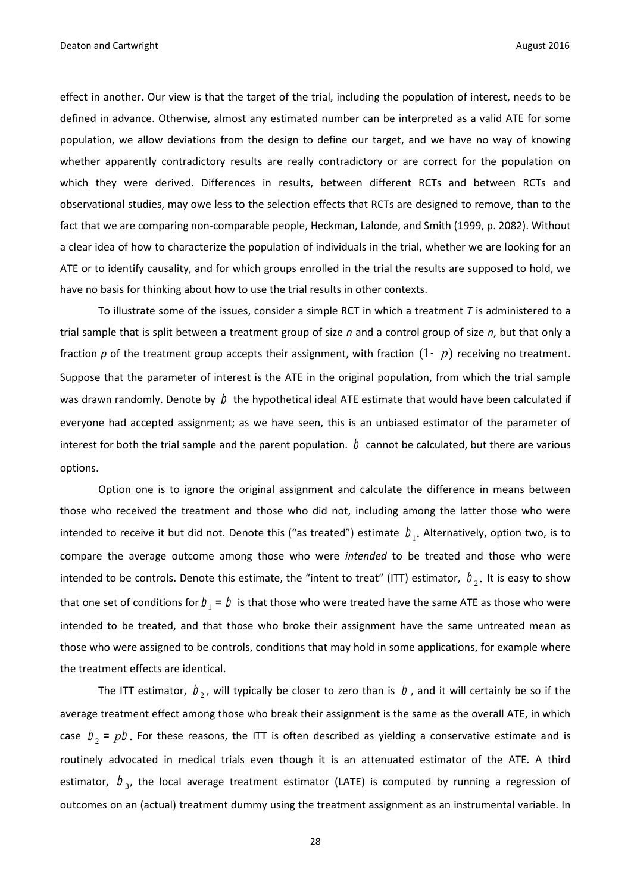effect in another. Our view is that the target of the trial, including the population of interest, needs to be defined in advance. Otherwise, almost any estimated number can be interpreted as a valid ATE for some population, we allow deviations from the design to define our target, and we have no way of knowing whether apparently contradictory results are really contradictory or are correct for the population on which they were derived. Differences in results, between different RCTs and between RCTs and observational studies, may owe less to the selection effects that RCTs are designed to remove, than to the fact that we are comparing non-comparable people, Heckman, Lalonde, and Smith (1999, p. 2082). Without a clear idea of how to characterize the population of individuals in the trial, whether we are looking for an ATE or to identify causality, and for which groups enrolled in the trial the results are supposed to hold, we have no basis for thinking about how to use the trial results in other contexts.

To illustrate some of the issues, consider a simple RCT in which a treatment *T* is administered to a trial sample that is split between a treatment group of size *n* and a control group of size *n*, but that only a fraction  $p$  of the treatment group accepts their assignment, with fraction  $(1-p)$  receiving no treatment. Suppose that the parameter of interest is the ATE in the original population, from which the trial sample was drawn randomly. Denote by  $\,\mathit{D}\,$  the hypothetical ideal ATE estimate that would have been calculated if everyone had accepted assignment; as we have seen, this is an unbiased estimator of the parameter of interest for both the trial sample and the parent population.  $\,D$  cannot be calculated, but there are various options.

Option one is to ignore the original assignment and calculate the difference in means between those who received the treatment and those who did not, including among the latter those who were intended to receive it but did not. Denote this ("as treated") estimate  $\,\,b_{\!1}^{}$ . Alternatively, option two, is to compare the average outcome among those who were *intended* to be treated and those who were intended to be controls. Denote this estimate, the "intent to treat" (ITT) estimator,  $b_2$ . It is easy to show that one set of conditions for  $b_{\!1}$  =  $b$  is that those who were treated have the same ATE as those who were intended to be treated, and that those who broke their assignment have the same untreated mean as those who were assigned to be controls, conditions that may hold in some applications, for example where the treatment effects are identical.

The ITT estimator,  $b_2$ , will typically be closer to zero than is  $\,b$ , and it will certainly be so if the average treatment effect among those who break their assignment is the same as the overall ATE, in which case  $b_2 = pb$ . For these reasons, the ITT is often described as yielding a conservative estimate and is routinely advocated in medical trials even though it is an attenuated estimator of the ATE. A third estimator,  $b_{3}$ , the local average treatment estimator (LATE) is computed by running a regression of outcomes on an (actual) treatment dummy using the treatment assignment as an instrumental variable. In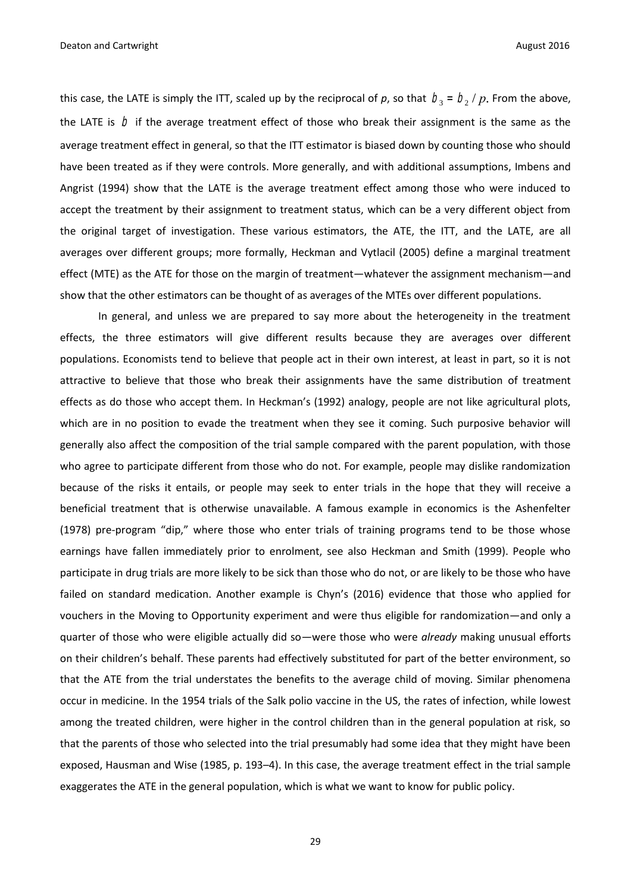this case, the LATE is simply the ITT, scaled up by the reciprocal of p, so that  $b_3 = b_2 / p$ . From the above, the LATE is  $\,\mathrel{D}\,$  if the average treatment effect of those who break their assignment is the same as the average treatment effect in general, so that the ITT estimator is biased down by counting those who should have been treated as if they were controls. More generally, and with additional assumptions, Imbens and Angrist (1994) show that the LATE is the average treatment effect among those who were induced to accept the treatment by their assignment to treatment status, which can be a very different object from the original target of investigation. These various estimators, the ATE, the ITT, and the LATE, are all averages over different groups; more formally, Heckman and Vytlacil (2005) define a marginal treatment effect (MTE) as the ATE for those on the margin of treatment—whatever the assignment mechanism—and show that the other estimators can be thought of as averages of the MTEs over different populations.

In general, and unless we are prepared to say more about the heterogeneity in the treatment effects, the three estimators will give different results because they are averages over different populations. Economists tend to believe that people act in their own interest, at least in part, so it is not attractive to believe that those who break their assignments have the same distribution of treatment effects as do those who accept them. In Heckman's (1992) analogy, people are not like agricultural plots, which are in no position to evade the treatment when they see it coming. Such purposive behavior will generally also affect the composition of the trial sample compared with the parent population, with those who agree to participate different from those who do not. For example, people may dislike randomization because of the risks it entails, or people may seek to enter trials in the hope that they will receive a beneficial treatment that is otherwise unavailable. A famous example in economics is the Ashenfelter (1978) pre-program "dip," where those who enter trials of training programs tend to be those whose earnings have fallen immediately prior to enrolment, see also Heckman and Smith (1999). People who participate in drug trials are more likely to be sick than those who do not, or are likely to be those who have failed on standard medication. Another example is Chyn's (2016) evidence that those who applied for vouchers in the Moving to Opportunity experiment and were thus eligible for randomization—and only a quarter of those who were eligible actually did so—were those who were *already* making unusual efforts on their children's behalf. These parents had effectively substituted for part of the better environment, so that the ATE from the trial understates the benefits to the average child of moving. Similar phenomena occur in medicine. In the 1954 trials of the Salk polio vaccine in the US, the rates of infection, while lowest among the treated children, were higher in the control children than in the general population at risk, so that the parents of those who selected into the trial presumably had some idea that they might have been exposed, Hausman and Wise (1985, p. 193–4). In this case, the average treatment effect in the trial sample exaggerates the ATE in the general population, which is what we want to know for public policy.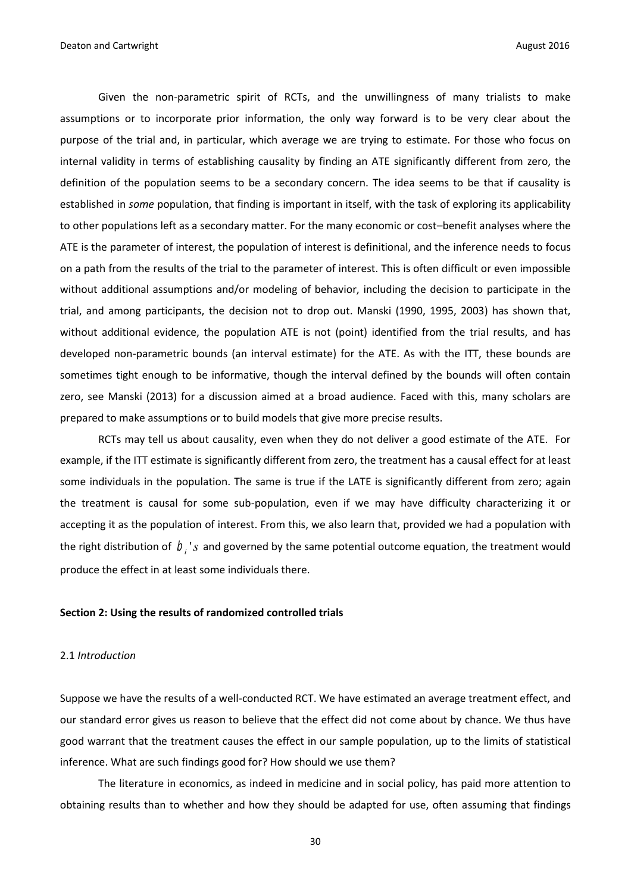Given the non-parametric spirit of RCTs, and the unwillingness of many trialists to make assumptions or to incorporate prior information, the only way forward is to be very clear about the purpose of the trial and, in particular, which average we are trying to estimate. For those who focus on internal validity in terms of establishing causality by finding an ATE significantly different from zero, the definition of the population seems to be a secondary concern. The idea seems to be that if causality is established in *some* population, that finding is important in itself, with the task of exploring its applicability to other populations left as a secondary matter. For the many economic or cost–benefit analyses where the ATE is the parameter of interest, the population of interest is definitional, and the inference needs to focus on a path from the results of the trial to the parameter of interest. This is often difficult or even impossible without additional assumptions and/or modeling of behavior, including the decision to participate in the trial, and among participants, the decision not to drop out. Manski (1990, 1995, 2003) has shown that, without additional evidence, the population ATE is not (point) identified from the trial results, and has developed non-parametric bounds (an interval estimate) for the ATE. As with the ITT, these bounds are sometimes tight enough to be informative, though the interval defined by the bounds will often contain zero, see Manski (2013) for a discussion aimed at a broad audience. Faced with this, many scholars are prepared to make assumptions or to build models that give more precise results.

RCTs may tell us about causality, even when they do not deliver a good estimate of the ATE. For example, if the ITT estimate is significantly different from zero, the treatment has a causal effect for at least some individuals in the population. The same is true if the LATE is significantly different from zero; again the treatment is causal for some sub-population, even if we may have difficulty characterizing it or accepting it as the population of interest. From this, we also learn that, provided we had a population with the right distribution of  $\langle D_i \rangle_S$  and governed by the same potential outcome equation, the treatment would produce the effect in at least some individuals there.

#### **Section 2: Using the results of randomized controlled trials**

#### 2.1 *Introduction*

Suppose we have the results of a well-conducted RCT. We have estimated an average treatment effect, and our standard error gives us reason to believe that the effect did not come about by chance. We thus have good warrant that the treatment causes the effect in our sample population, up to the limits of statistical inference. What are such findings good for? How should we use them?

The literature in economics, as indeed in medicine and in social policy, has paid more attention to obtaining results than to whether and how they should be adapted for use, often assuming that findings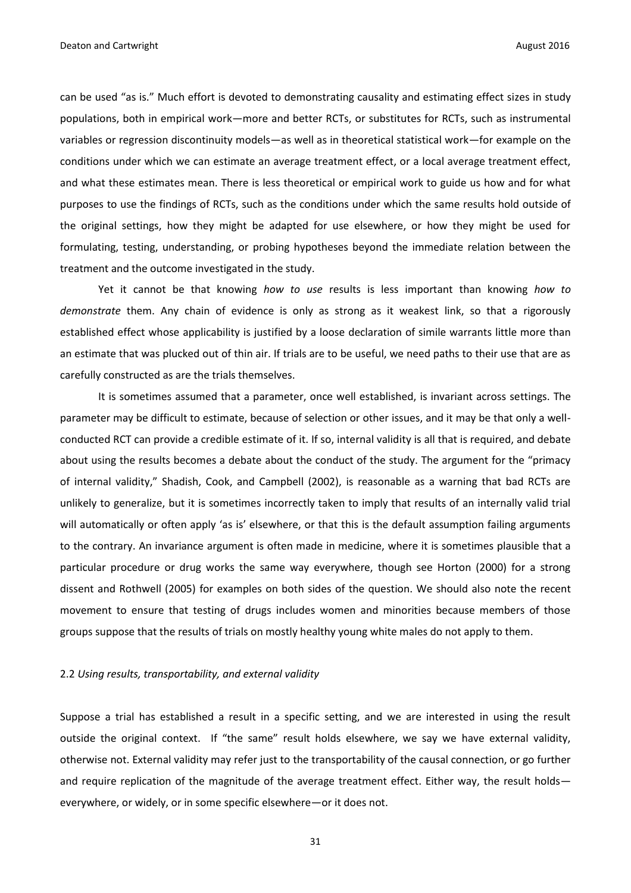can be used "as is." Much effort is devoted to demonstrating causality and estimating effect sizes in study populations, both in empirical work—more and better RCTs, or substitutes for RCTs, such as instrumental variables or regression discontinuity models—as well as in theoretical statistical work—for example on the conditions under which we can estimate an average treatment effect, or a local average treatment effect, and what these estimates mean. There is less theoretical or empirical work to guide us how and for what purposes to use the findings of RCTs, such as the conditions under which the same results hold outside of the original settings, how they might be adapted for use elsewhere, or how they might be used for formulating, testing, understanding, or probing hypotheses beyond the immediate relation between the treatment and the outcome investigated in the study.

Yet it cannot be that knowing *how to use* results is less important than knowing *how to demonstrate* them. Any chain of evidence is only as strong as it weakest link, so that a rigorously established effect whose applicability is justified by a loose declaration of simile warrants little more than an estimate that was plucked out of thin air. If trials are to be useful, we need paths to their use that are as carefully constructed as are the trials themselves.

It is sometimes assumed that a parameter, once well established, is invariant across settings. The parameter may be difficult to estimate, because of selection or other issues, and it may be that only a wellconducted RCT can provide a credible estimate of it. If so, internal validity is all that is required, and debate about using the results becomes a debate about the conduct of the study. The argument for the "primacy of internal validity," Shadish, Cook, and Campbell (2002), is reasonable as a warning that bad RCTs are unlikely to generalize, but it is sometimes incorrectly taken to imply that results of an internally valid trial will automatically or often apply 'as is' elsewhere, or that this is the default assumption failing arguments to the contrary. An invariance argument is often made in medicine, where it is sometimes plausible that a particular procedure or drug works the same way everywhere, though see Horton (2000) for a strong dissent and Rothwell (2005) for examples on both sides of the question. We should also note the recent movement to ensure that testing of drugs includes women and minorities because members of those groups suppose that the results of trials on mostly healthy young white males do not apply to them.

#### 2.2 *Using results, transportability, and external validity*

Suppose a trial has established a result in a specific setting, and we are interested in using the result outside the original context. If "the same" result holds elsewhere, we say we have external validity, otherwise not. External validity may refer just to the transportability of the causal connection, or go further and require replication of the magnitude of the average treatment effect. Either way, the result holds everywhere, or widely, or in some specific elsewhere—or it does not.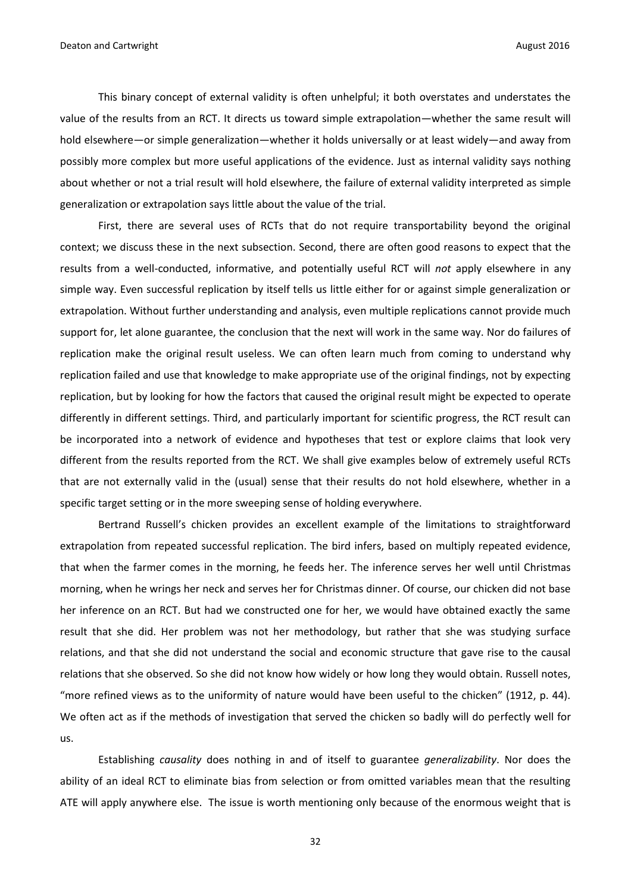This binary concept of external validity is often unhelpful; it both overstates and understates the value of the results from an RCT. It directs us toward simple extrapolation—whether the same result will hold elsewhere—or simple generalization—whether it holds universally or at least widely—and away from possibly more complex but more useful applications of the evidence. Just as internal validity says nothing about whether or not a trial result will hold elsewhere, the failure of external validity interpreted as simple generalization or extrapolation says little about the value of the trial.

First, there are several uses of RCTs that do not require transportability beyond the original context; we discuss these in the next subsection. Second, there are often good reasons to expect that the results from a well-conducted, informative, and potentially useful RCT will *not* apply elsewhere in any simple way. Even successful replication by itself tells us little either for or against simple generalization or extrapolation. Without further understanding and analysis, even multiple replications cannot provide much support for, let alone guarantee, the conclusion that the next will work in the same way. Nor do failures of replication make the original result useless. We can often learn much from coming to understand why replication failed and use that knowledge to make appropriate use of the original findings, not by expecting replication, but by looking for how the factors that caused the original result might be expected to operate differently in different settings. Third, and particularly important for scientific progress, the RCT result can be incorporated into a network of evidence and hypotheses that test or explore claims that look very different from the results reported from the RCT. We shall give examples below of extremely useful RCTs that are not externally valid in the (usual) sense that their results do not hold elsewhere, whether in a specific target setting or in the more sweeping sense of holding everywhere.

Bertrand Russell's chicken provides an excellent example of the limitations to straightforward extrapolation from repeated successful replication. The bird infers, based on multiply repeated evidence, that when the farmer comes in the morning, he feeds her. The inference serves her well until Christmas morning, when he wrings her neck and serves her for Christmas dinner. Of course, our chicken did not base her inference on an RCT. But had we constructed one for her, we would have obtained exactly the same result that she did. Her problem was not her methodology, but rather that she was studying surface relations, and that she did not understand the social and economic structure that gave rise to the causal relations that she observed. So she did not know how widely or how long they would obtain. Russell notes, "more refined views as to the uniformity of nature would have been useful to the chicken" (1912, p. 44). We often act as if the methods of investigation that served the chicken so badly will do perfectly well for us.

Establishing *causality* does nothing in and of itself to guarantee *generalizability*. Nor does the ability of an ideal RCT to eliminate bias from selection or from omitted variables mean that the resulting ATE will apply anywhere else. The issue is worth mentioning only because of the enormous weight that is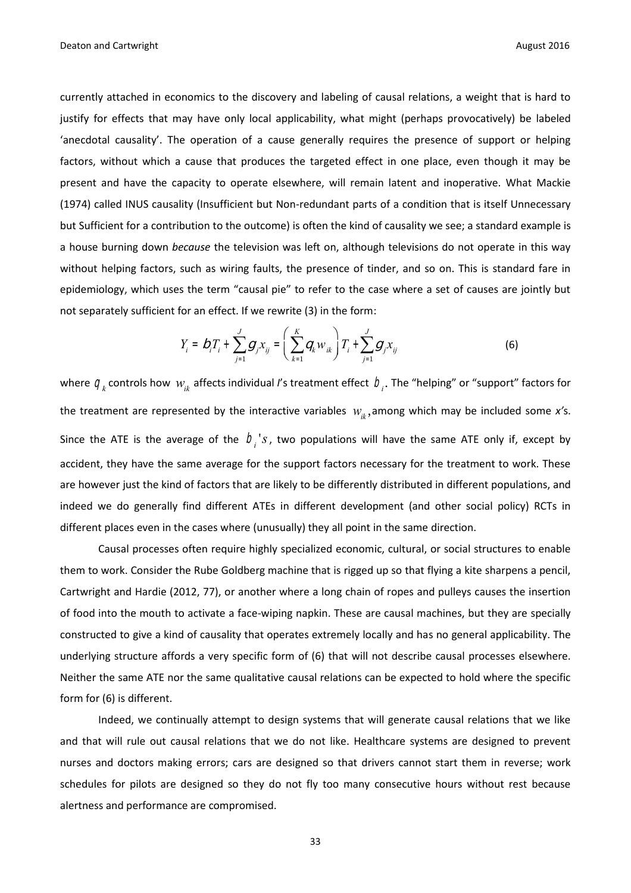currently attached in economics to the discovery and labeling of causal relations, a weight that is hard to justify for effects that may have only local applicability, what might (perhaps provocatively) be labeled 'anecdotal causality'. The operation of a cause generally requires the presence of support or helping factors, without which a cause that produces the targeted effect in one place, even though it may be present and have the capacity to operate elsewhere, will remain latent and inoperative. What Mackie (1974) called INUS causality (Insufficient but Non-redundant parts of a condition that is itself Unnecessary but Sufficient for a contribution to the outcome) is often the kind of causality we see; a standard example is a house burning down *because* the television was left on, although televisions do not operate in this way without helping factors, such as wiring faults, the presence of tinder, and so on. This is standard fare in epidemiology, which uses the term "causal pie" to refer to the case where a set of causes are jointly but not separately sufficient for an effect. If we rewrite (3) in the form:

$$
Y_{i} = D_{i}T_{i} + \sum_{j=1}^{J} g_{j}x_{ij} = \left(\sum_{k=1}^{K} q_{k}w_{ik}\right)T_{i} + \sum_{j=1}^{J} g_{j}x_{ij}
$$
(6)

where  $q_k$  controls how  $w_{ik}$  affects individual *I*'s treatment effect  $b_i$ . The "helping" or "support" factors for the treatment are represented by the interactive variables *wik* , among which may be included some *x'*s. Since the ATE is the average of the  $b_i$ 's, two populations will have the same ATE only if, except by accident, they have the same average for the support factors necessary for the treatment to work. These are however just the kind of factors that are likely to be differently distributed in different populations, and indeed we do generally find different ATEs in different development (and other social policy) RCTs in different places even in the cases where (unusually) they all point in the same direction.

Causal processes often require highly specialized economic, cultural, or social structures to enable them to work. Consider the Rube Goldberg machine that is rigged up so that flying a kite sharpens a pencil, Cartwright and Hardie (2012, 77), or another where a long chain of ropes and pulleys causes the insertion of food into the mouth to activate a face-wiping napkin. These are causal machines, but they are specially constructed to give a kind of causality that operates extremely locally and has no general applicability. The underlying structure affords a very specific form of (6) that will not describe causal processes elsewhere. Neither the same ATE nor the same qualitative causal relations can be expected to hold where the specific form for (6) is different.

Indeed, we continually attempt to design systems that will generate causal relations that we like and that will rule out causal relations that we do not like. Healthcare systems are designed to prevent nurses and doctors making errors; cars are designed so that drivers cannot start them in reverse; work schedules for pilots are designed so they do not fly too many consecutive hours without rest because alertness and performance are compromised.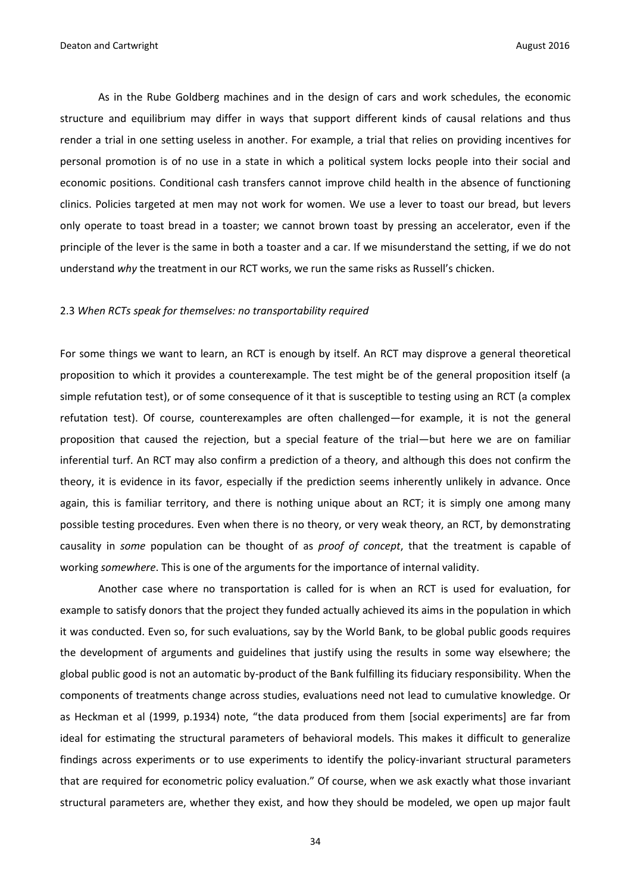As in the Rube Goldberg machines and in the design of cars and work schedules, the economic structure and equilibrium may differ in ways that support different kinds of causal relations and thus render a trial in one setting useless in another. For example, a trial that relies on providing incentives for personal promotion is of no use in a state in which a political system locks people into their social and economic positions. Conditional cash transfers cannot improve child health in the absence of functioning clinics. Policies targeted at men may not work for women. We use a lever to toast our bread, but levers only operate to toast bread in a toaster; we cannot brown toast by pressing an accelerator, even if the principle of the lever is the same in both a toaster and a car. If we misunderstand the setting, if we do not understand *why* the treatment in our RCT works, we run the same risks as Russell's chicken.

#### 2.3 *When RCTs speak for themselves: no transportability required*

For some things we want to learn, an RCT is enough by itself. An RCT may disprove a general theoretical proposition to which it provides a counterexample. The test might be of the general proposition itself (a simple refutation test), or of some consequence of it that is susceptible to testing using an RCT (a complex refutation test). Of course, counterexamples are often challenged—for example, it is not the general proposition that caused the rejection, but a special feature of the trial—but here we are on familiar inferential turf. An RCT may also confirm a prediction of a theory, and although this does not confirm the theory, it is evidence in its favor, especially if the prediction seems inherently unlikely in advance. Once again, this is familiar territory, and there is nothing unique about an RCT; it is simply one among many possible testing procedures. Even when there is no theory, or very weak theory, an RCT, by demonstrating causality in *some* population can be thought of as *proof of concept*, that the treatment is capable of working *somewhere*. This is one of the arguments for the importance of internal validity.

Another case where no transportation is called for is when an RCT is used for evaluation, for example to satisfy donors that the project they funded actually achieved its aims in the population in which it was conducted. Even so, for such evaluations, say by the World Bank, to be global public goods requires the development of arguments and guidelines that justify using the results in some way elsewhere; the global public good is not an automatic by-product of the Bank fulfilling its fiduciary responsibility. When the components of treatments change across studies, evaluations need not lead to cumulative knowledge. Or as Heckman et al (1999, p.1934) note, "the data produced from them [social experiments] are far from ideal for estimating the structural parameters of behavioral models. This makes it difficult to generalize findings across experiments or to use experiments to identify the policy-invariant structural parameters that are required for econometric policy evaluation." Of course, when we ask exactly what those invariant structural parameters are, whether they exist, and how they should be modeled, we open up major fault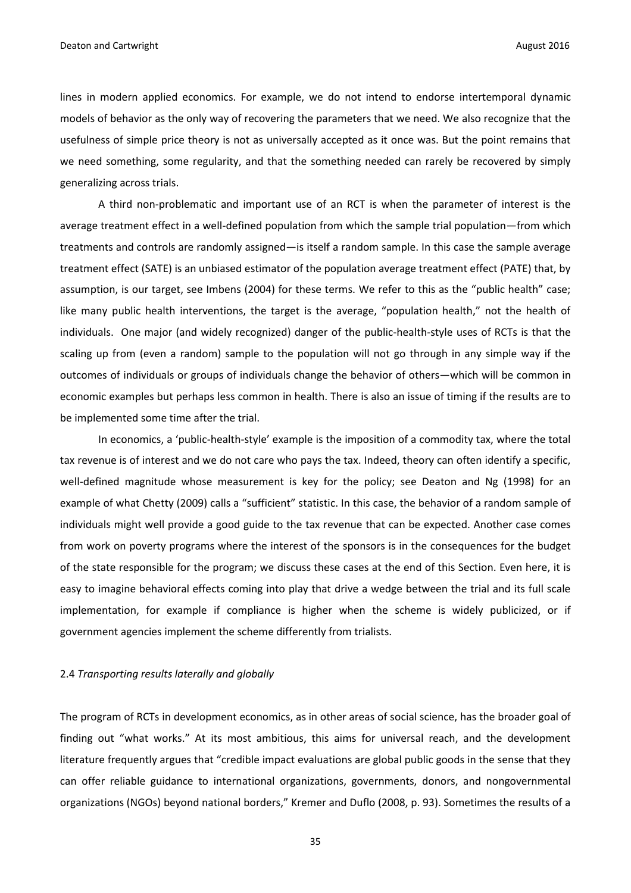lines in modern applied economics. For example, we do not intend to endorse intertemporal dynamic models of behavior as the only way of recovering the parameters that we need. We also recognize that the usefulness of simple price theory is not as universally accepted as it once was. But the point remains that we need something, some regularity, and that the something needed can rarely be recovered by simply generalizing across trials.

A third non-problematic and important use of an RCT is when the parameter of interest is the average treatment effect in a well-defined population from which the sample trial population—from which treatments and controls are randomly assigned—is itself a random sample. In this case the sample average treatment effect (SATE) is an unbiased estimator of the population average treatment effect (PATE) that, by assumption, is our target, see Imbens (2004) for these terms. We refer to this as the "public health" case; like many public health interventions, the target is the average, "population health," not the health of individuals. One major (and widely recognized) danger of the public-health-style uses of RCTs is that the scaling up from (even a random) sample to the population will not go through in any simple way if the outcomes of individuals or groups of individuals change the behavior of others—which will be common in economic examples but perhaps less common in health. There is also an issue of timing if the results are to be implemented some time after the trial.

In economics, a 'public-health-style' example is the imposition of a commodity tax, where the total tax revenue is of interest and we do not care who pays the tax. Indeed, theory can often identify a specific, well-defined magnitude whose measurement is key for the policy; see Deaton and Ng (1998) for an example of what Chetty (2009) calls a "sufficient" statistic. In this case, the behavior of a random sample of individuals might well provide a good guide to the tax revenue that can be expected. Another case comes from work on poverty programs where the interest of the sponsors is in the consequences for the budget of the state responsible for the program; we discuss these cases at the end of this Section. Even here, it is easy to imagine behavioral effects coming into play that drive a wedge between the trial and its full scale implementation, for example if compliance is higher when the scheme is widely publicized, or if government agencies implement the scheme differently from trialists.

#### 2.4 *Transporting results laterally and globally*

The program of RCTs in development economics, as in other areas of social science, has the broader goal of finding out "what works." At its most ambitious, this aims for universal reach, and the development literature frequently argues that "credible impact evaluations are global public goods in the sense that they can offer reliable guidance to international organizations, governments, donors, and nongovernmental organizations (NGOs) beyond national borders," Kremer and Duflo (2008, p. 93). Sometimes the results of a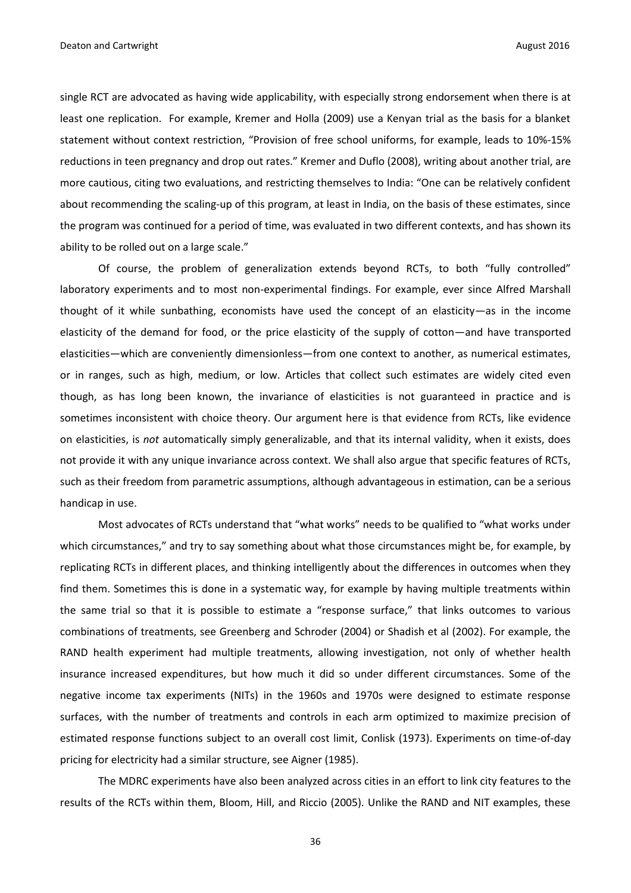single RCT are advocated as having wide applicability, with especially strong endorsement when there is at least one replication. For example, Kremer and Holla (2009) use a Kenyan trial as the basis for a blanket statement without context restriction, "Provision of free school uniforms, for example, leads to 10%-15% reductions in teen pregnancy and drop out rates." Kremer and Duflo (2008), writing about another trial, are more cautious, citing two evaluations, and restricting themselves to India: "One can be relatively confident about recommending the scaling-up of this program, at least in India, on the basis of these estimates, since the program was continued for a period of time, was evaluated in two different contexts, and has shown its ability to be rolled out on a large scale."

Of course, the problem of generalization extends beyond RCTs, to both "fully controlled" laboratory experiments and to most non-experimental findings. For example, ever since Alfred Marshall thought of it while sunbathing, economists have used the concept of an elasticity—as in the income elasticity of the demand for food, or the price elasticity of the supply of cotton—and have transported elasticities—which are conveniently dimensionless—from one context to another, as numerical estimates, or in ranges, such as high, medium, or low. Articles that collect such estimates are widely cited even though, as has long been known, the invariance of elasticities is not guaranteed in practice and is sometimes inconsistent with choice theory. Our argument here is that evidence from RCTs, like evidence on elasticities, is *not* automatically simply generalizable, and that its internal validity, when it exists, does not provide it with any unique invariance across context. We shall also argue that specific features of RCTs, such as their freedom from parametric assumptions, although advantageous in estimation, can be a serious handicap in use.

Most advocates of RCTs understand that "what works" needs to be qualified to "what works under which circumstances," and try to say something about what those circumstances might be, for example, by replicating RCTs in different places, and thinking intelligently about the differences in outcomes when they find them. Sometimes this is done in a systematic way, for example by having multiple treatments within the same trial so that it is possible to estimate a "response surface," that links outcomes to various combinations of treatments, see Greenberg and Schroder (2004) or Shadish et al (2002). For example, the RAND health experiment had multiple treatments, allowing investigation, not only of whether health insurance increased expenditures, but how much it did so under different circumstances. Some of the negative income tax experiments (NITs) in the 1960s and 1970s were designed to estimate response surfaces, with the number of treatments and controls in each arm optimized to maximize precision of estimated response functions subject to an overall cost limit, Conlisk (1973). Experiments on time-of-day pricing for electricity had a similar structure, see Aigner (1985).

The MDRC experiments have also been analyzed across cities in an effort to link city features to the results of the RCTs within them, Bloom, Hill, and Riccio (2005). Unlike the RAND and NIT examples, these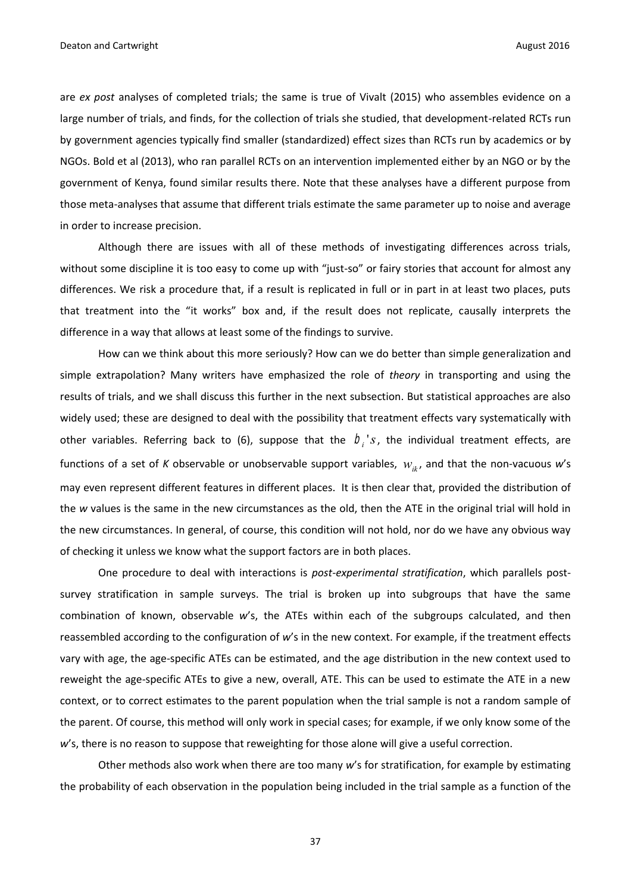are *ex post* analyses of completed trials; the same is true of Vivalt (2015) who assembles evidence on a large number of trials, and finds, for the collection of trials she studied, that development-related RCTs run by government agencies typically find smaller (standardized) effect sizes than RCTs run by academics or by NGOs. Bold et al (2013), who ran parallel RCTs on an intervention implemented either by an NGO or by the government of Kenya, found similar results there. Note that these analyses have a different purpose from those meta-analyses that assume that different trials estimate the same parameter up to noise and average in order to increase precision.

Although there are issues with all of these methods of investigating differences across trials, without some discipline it is too easy to come up with "just-so" or fairy stories that account for almost any differences. We risk a procedure that, if a result is replicated in full or in part in at least two places, puts that treatment into the "it works" box and, if the result does not replicate, causally interprets the difference in a way that allows at least some of the findings to survive.

How can we think about this more seriously? How can we do better than simple generalization and simple extrapolation? Many writers have emphasized the role of *theory* in transporting and using the results of trials, and we shall discuss this further in the next subsection. But statistical approaches are also widely used; these are designed to deal with the possibility that treatment effects vary systematically with other variables. Referring back to (6), suppose that the  $b_i$ 's, the individual treatment effects, are functions of a set of *K* observable or unobservable support variables, *wik* , and that the non-vacuous *w*'s may even represent different features in different places. It is then clear that, provided the distribution of the *w* values is the same in the new circumstances as the old, then the ATE in the original trial will hold in the new circumstances. In general, of course, this condition will not hold, nor do we have any obvious way of checking it unless we know what the support factors are in both places.

One procedure to deal with interactions is *post-experimental stratification*, which parallels postsurvey stratification in sample surveys. The trial is broken up into subgroups that have the same combination of known, observable *w*'s, the ATEs within each of the subgroups calculated, and then reassembled according to the configuration of *w*'s in the new context. For example, if the treatment effects vary with age, the age-specific ATEs can be estimated, and the age distribution in the new context used to reweight the age-specific ATEs to give a new, overall, ATE. This can be used to estimate the ATE in a new context, or to correct estimates to the parent population when the trial sample is not a random sample of the parent. Of course, this method will only work in special cases; for example, if we only know some of the w's, there is no reason to suppose that reweighting for those alone will give a useful correction.

Other methods also work when there are too many *w*'s for stratification, for example by estimating the probability of each observation in the population being included in the trial sample as a function of the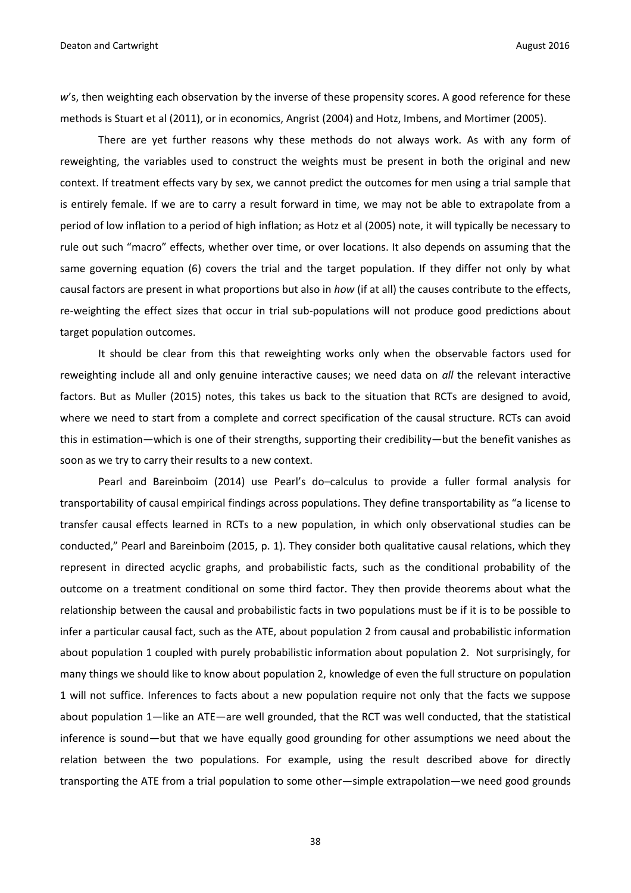w's, then weighting each observation by the inverse of these propensity scores. A good reference for these methods is Stuart et al (2011), or in economics, Angrist (2004) and Hotz, Imbens, and Mortimer (2005).

There are yet further reasons why these methods do not always work. As with any form of reweighting, the variables used to construct the weights must be present in both the original and new context. If treatment effects vary by sex, we cannot predict the outcomes for men using a trial sample that is entirely female. If we are to carry a result forward in time, we may not be able to extrapolate from a period of low inflation to a period of high inflation; as Hotz et al (2005) note, it will typically be necessary to rule out such "macro" effects, whether over time, or over locations. It also depends on assuming that the same governing equation (6) covers the trial and the target population. If they differ not only by what causal factors are present in what proportions but also in *how* (if at all) the causes contribute to the effects, re-weighting the effect sizes that occur in trial sub-populations will not produce good predictions about target population outcomes.

It should be clear from this that reweighting works only when the observable factors used for reweighting include all and only genuine interactive causes; we need data on *all* the relevant interactive factors. But as Muller (2015) notes, this takes us back to the situation that RCTs are designed to avoid, where we need to start from a complete and correct specification of the causal structure. RCTs can avoid this in estimation—which is one of their strengths, supporting their credibility—but the benefit vanishes as soon as we try to carry their results to a new context.

Pearl and Bareinboim (2014) use Pearl's do–calculus to provide a fuller formal analysis for transportability of causal empirical findings across populations. They define transportability as "a license to transfer causal effects learned in RCTs to a new population, in which only observational studies can be conducted," Pearl and Bareinboim (2015, p. 1). They consider both qualitative causal relations, which they represent in directed acyclic graphs, and probabilistic facts, such as the conditional probability of the outcome on a treatment conditional on some third factor. They then provide theorems about what the relationship between the causal and probabilistic facts in two populations must be if it is to be possible to infer a particular causal fact, such as the ATE, about population 2 from causal and probabilistic information about population 1 coupled with purely probabilistic information about population 2. Not surprisingly, for many things we should like to know about population 2, knowledge of even the full structure on population 1 will not suffice. Inferences to facts about a new population require not only that the facts we suppose about population 1—like an ATE—are well grounded, that the RCT was well conducted, that the statistical inference is sound—but that we have equally good grounding for other assumptions we need about the relation between the two populations. For example, using the result described above for directly transporting the ATE from a trial population to some other—simple extrapolation—we need good grounds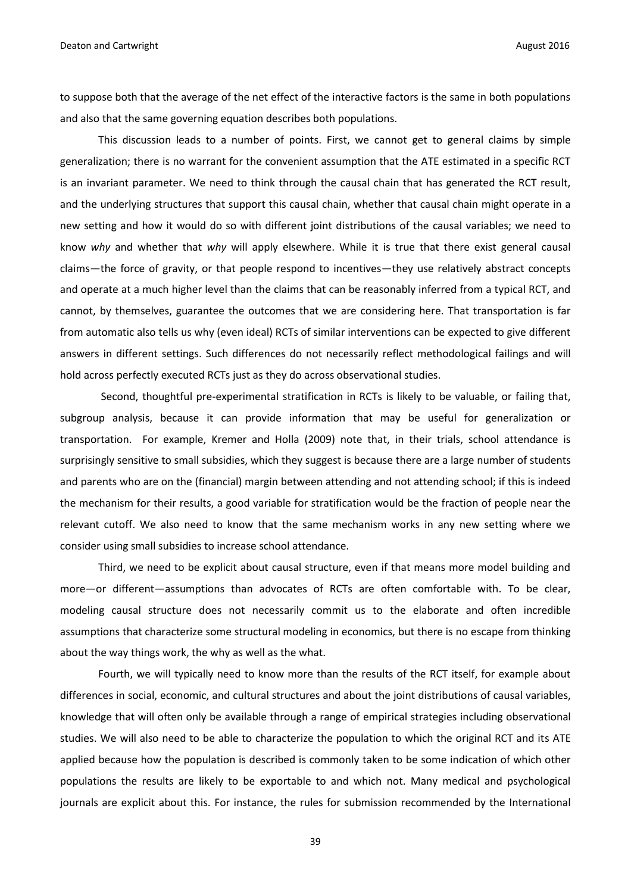to suppose both that the average of the net effect of the interactive factors is the same in both populations and also that the same governing equation describes both populations.

This discussion leads to a number of points. First, we cannot get to general claims by simple generalization; there is no warrant for the convenient assumption that the ATE estimated in a specific RCT is an invariant parameter. We need to think through the causal chain that has generated the RCT result, and the underlying structures that support this causal chain, whether that causal chain might operate in a new setting and how it would do so with different joint distributions of the causal variables; we need to know *why* and whether that *why* will apply elsewhere. While it is true that there exist general causal claims—the force of gravity, or that people respond to incentives—they use relatively abstract concepts and operate at a much higher level than the claims that can be reasonably inferred from a typical RCT, and cannot, by themselves, guarantee the outcomes that we are considering here. That transportation is far from automatic also tells us why (even ideal) RCTs of similar interventions can be expected to give different answers in different settings. Such differences do not necessarily reflect methodological failings and will hold across perfectly executed RCTs just as they do across observational studies.

Second, thoughtful pre-experimental stratification in RCTs is likely to be valuable, or failing that, subgroup analysis, because it can provide information that may be useful for generalization or transportation. For example, Kremer and Holla (2009) note that, in their trials, school attendance is surprisingly sensitive to small subsidies, which they suggest is because there are a large number of students and parents who are on the (financial) margin between attending and not attending school; if this is indeed the mechanism for their results, a good variable for stratification would be the fraction of people near the relevant cutoff. We also need to know that the same mechanism works in any new setting where we consider using small subsidies to increase school attendance.

Third, we need to be explicit about causal structure, even if that means more model building and more—or different—assumptions than advocates of RCTs are often comfortable with. To be clear, modeling causal structure does not necessarily commit us to the elaborate and often incredible assumptions that characterize some structural modeling in economics, but there is no escape from thinking about the way things work, the why as well as the what.

Fourth, we will typically need to know more than the results of the RCT itself, for example about differences in social, economic, and cultural structures and about the joint distributions of causal variables, knowledge that will often only be available through a range of empirical strategies including observational studies. We will also need to be able to characterize the population to which the original RCT and its ATE applied because how the population is described is commonly taken to be some indication of which other populations the results are likely to be exportable to and which not. Many medical and psychological journals are explicit about this. For instance, the rules for submission recommended by the International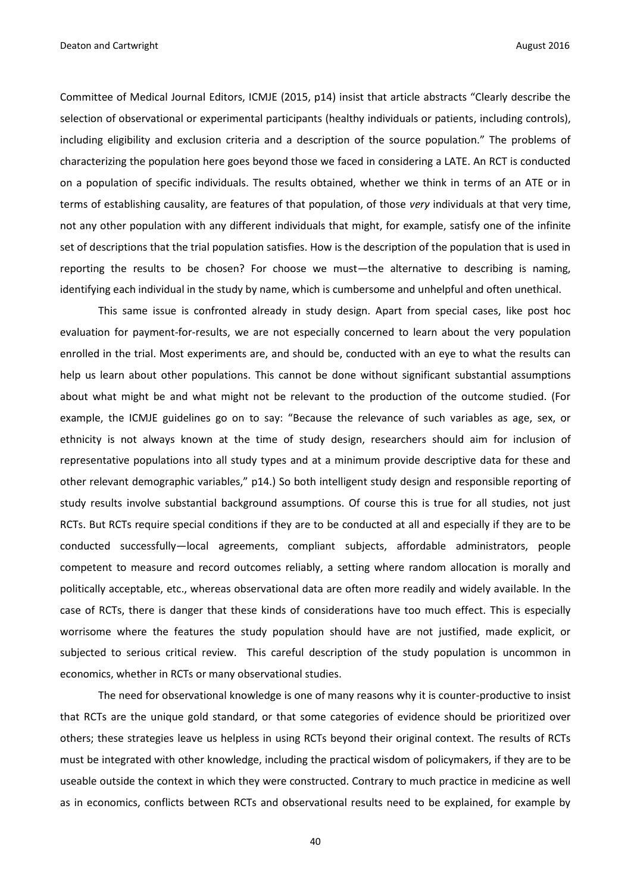Committee of Medical Journal Editors, ICMJE (2015, p14) insist that article abstracts "Clearly describe the selection of observational or experimental participants (healthy individuals or patients, including controls), including eligibility and exclusion criteria and a description of the source population." The problems of characterizing the population here goes beyond those we faced in considering a LATE. An RCT is conducted on a population of specific individuals. The results obtained, whether we think in terms of an ATE or in terms of establishing causality, are features of that population, of those *very* individuals at that very time, not any other population with any different individuals that might, for example, satisfy one of the infinite set of descriptions that the trial population satisfies. How is the description of the population that is used in reporting the results to be chosen? For choose we must—the alternative to describing is naming, identifying each individual in the study by name, which is cumbersome and unhelpful and often unethical.

This same issue is confronted already in study design. Apart from special cases, like post hoc evaluation for payment-for-results, we are not especially concerned to learn about the very population enrolled in the trial. Most experiments are, and should be, conducted with an eye to what the results can help us learn about other populations. This cannot be done without significant substantial assumptions about what might be and what might not be relevant to the production of the outcome studied. (For example, the ICMJE guidelines go on to say: "Because the relevance of such variables as age, sex, or ethnicity is not always known at the time of study design, researchers should aim for inclusion of representative populations into all study types and at a minimum provide descriptive data for these and other relevant demographic variables," p14.) So both intelligent study design and responsible reporting of study results involve substantial background assumptions. Of course this is true for all studies, not just RCTs. But RCTs require special conditions if they are to be conducted at all and especially if they are to be conducted successfully—local agreements, compliant subjects, affordable administrators, people competent to measure and record outcomes reliably, a setting where random allocation is morally and politically acceptable, etc., whereas observational data are often more readily and widely available. In the case of RCTs, there is danger that these kinds of considerations have too much effect. This is especially worrisome where the features the study population should have are not justified, made explicit, or subjected to serious critical review. This careful description of the study population is uncommon in economics, whether in RCTs or many observational studies.

The need for observational knowledge is one of many reasons why it is counter-productive to insist that RCTs are the unique gold standard, or that some categories of evidence should be prioritized over others; these strategies leave us helpless in using RCTs beyond their original context. The results of RCTs must be integrated with other knowledge, including the practical wisdom of policymakers, if they are to be useable outside the context in which they were constructed. Contrary to much practice in medicine as well as in economics, conflicts between RCTs and observational results need to be explained, for example by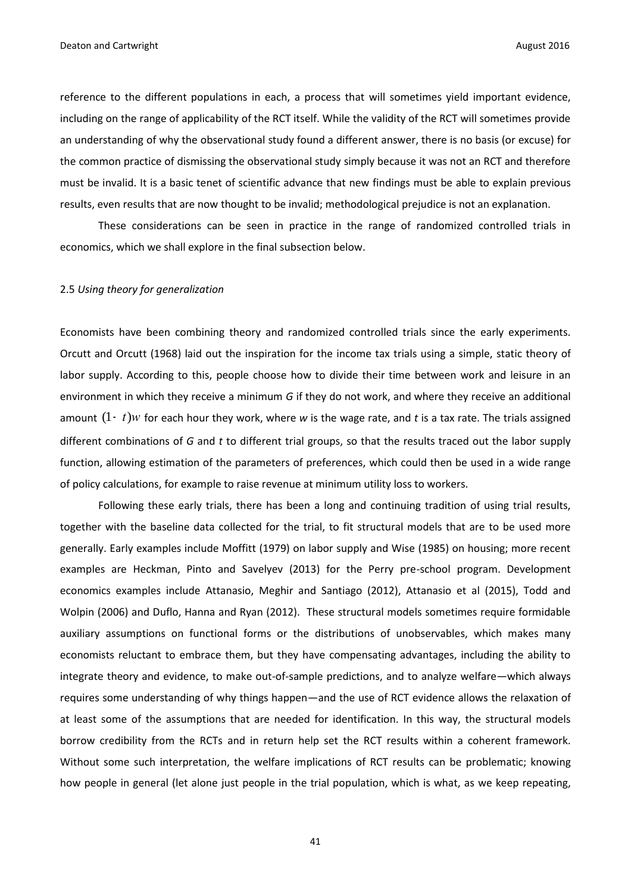reference to the different populations in each, a process that will sometimes yield important evidence, including on the range of applicability of the RCT itself. While the validity of the RCT will sometimes provide an understanding of why the observational study found a different answer, there is no basis (or excuse) for the common practice of dismissing the observational study simply because it was not an RCT and therefore must be invalid. It is a basic tenet of scientific advance that new findings must be able to explain previous results, even results that are now thought to be invalid; methodological prejudice is not an explanation.

These considerations can be seen in practice in the range of randomized controlled trials in economics, which we shall explore in the final subsection below.

#### 2.5 *Using theory for generalization*

Economists have been combining theory and randomized controlled trials since the early experiments. Orcutt and Orcutt (1968) laid out the inspiration for the income tax trials using a simple, static theory of labor supply. According to this, people choose how to divide their time between work and leisure in an environment in which they receive a minimum *G* if they do not work, and where they receive an additional amount  $(1 - t)w$  for each hour they work, where w is the wage rate, and t is a tax rate. The trials assigned different combinations of *G* and *t* to different trial groups, so that the results traced out the labor supply function, allowing estimation of the parameters of preferences, which could then be used in a wide range of policy calculations, for example to raise revenue at minimum utility loss to workers.

Following these early trials, there has been a long and continuing tradition of using trial results, together with the baseline data collected for the trial, to fit structural models that are to be used more generally. Early examples include Moffitt (1979) on labor supply and Wise (1985) on housing; more recent examples are Heckman, Pinto and Savelyev (2013) for the Perry pre-school program. Development economics examples include Attanasio, Meghir and Santiago (2012), Attanasio et al (2015), Todd and Wolpin (2006) and Duflo, Hanna and Ryan (2012). These structural models sometimes require formidable auxiliary assumptions on functional forms or the distributions of unobservables, which makes many economists reluctant to embrace them, but they have compensating advantages, including the ability to integrate theory and evidence, to make out-of-sample predictions, and to analyze welfare—which always requires some understanding of why things happen—and the use of RCT evidence allows the relaxation of at least some of the assumptions that are needed for identification. In this way, the structural models borrow credibility from the RCTs and in return help set the RCT results within a coherent framework. Without some such interpretation, the welfare implications of RCT results can be problematic; knowing how people in general (let alone just people in the trial population, which is what, as we keep repeating,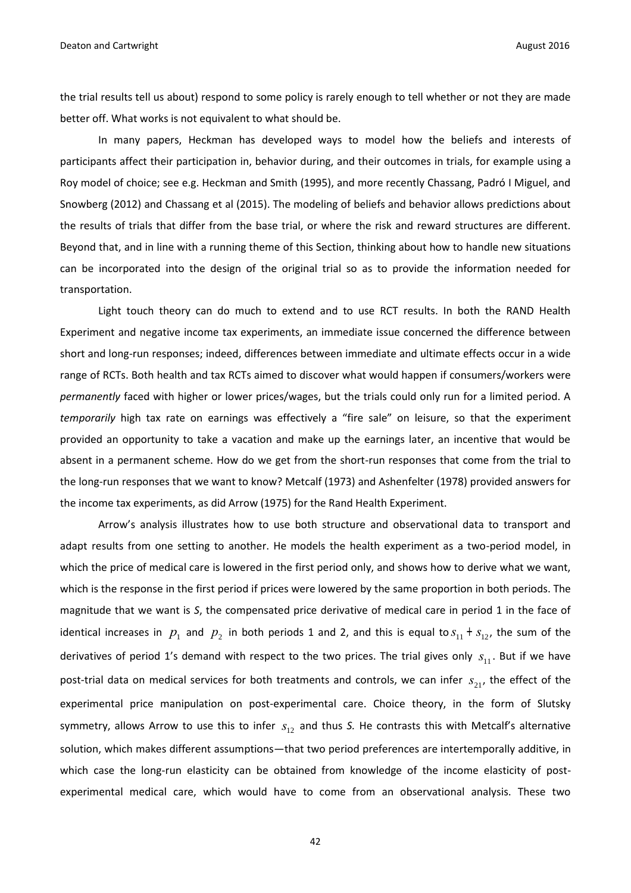the trial results tell us about) respond to some policy is rarely enough to tell whether or not they are made better off. What works is not equivalent to what should be.

In many papers, Heckman has developed ways to model how the beliefs and interests of participants affect their participation in, behavior during, and their outcomes in trials, for example using a Roy model of choice; see e.g. Heckman and Smith (1995), and more recently Chassang, Padró I Miguel, and Snowberg (2012) and Chassang et al (2015). The modeling of beliefs and behavior allows predictions about the results of trials that differ from the base trial, or where the risk and reward structures are different. Beyond that, and in line with a running theme of this Section, thinking about how to handle new situations can be incorporated into the design of the original trial so as to provide the information needed for transportation.

Light touch theory can do much to extend and to use RCT results. In both the RAND Health Experiment and negative income tax experiments, an immediate issue concerned the difference between short and long-run responses; indeed, differences between immediate and ultimate effects occur in a wide range of RCTs. Both health and tax RCTs aimed to discover what would happen if consumers/workers were *permanently* faced with higher or lower prices/wages, but the trials could only run for a limited period. A *temporarily* high tax rate on earnings was effectively a "fire sale" on leisure, so that the experiment provided an opportunity to take a vacation and make up the earnings later, an incentive that would be absent in a permanent scheme. How do we get from the short-run responses that come from the trial to the long-run responses that we want to know? Metcalf (1973) and Ashenfelter (1978) provided answers for the income tax experiments, as did Arrow (1975) for the Rand Health Experiment.

Arrow's analysis illustrates how to use both structure and observational data to transport and adapt results from one setting to another. He models the health experiment as a two-period model, in which the price of medical care is lowered in the first period only, and shows how to derive what we want, which is the response in the first period if prices were lowered by the same proportion in both periods. The magnitude that we want is *S*, the compensated price derivative of medical care in period 1 in the face of identical increases in  $p_1$  and  $p_2$  in both periods 1 and 2, and this is equal to  $s_{11} + s_{12}$ , the sum of the derivatives of period 1's demand with respect to the two prices. The trial gives only  $s_{11}$ . But if we have post-trial data on medical services for both treatments and controls, we can infer  $s_{21}$ , the effect of the experimental price manipulation on post-experimental care. Choice theory, in the form of Slutsky symmetry, allows Arrow to use this to infer  $s_{12}$  and thus S. He contrasts this with Metcalf's alternative solution, which makes different assumptions—that two period preferences are intertemporally additive, in which case the long-run elasticity can be obtained from knowledge of the income elasticity of postexperimental medical care, which would have to come from an observational analysis. These two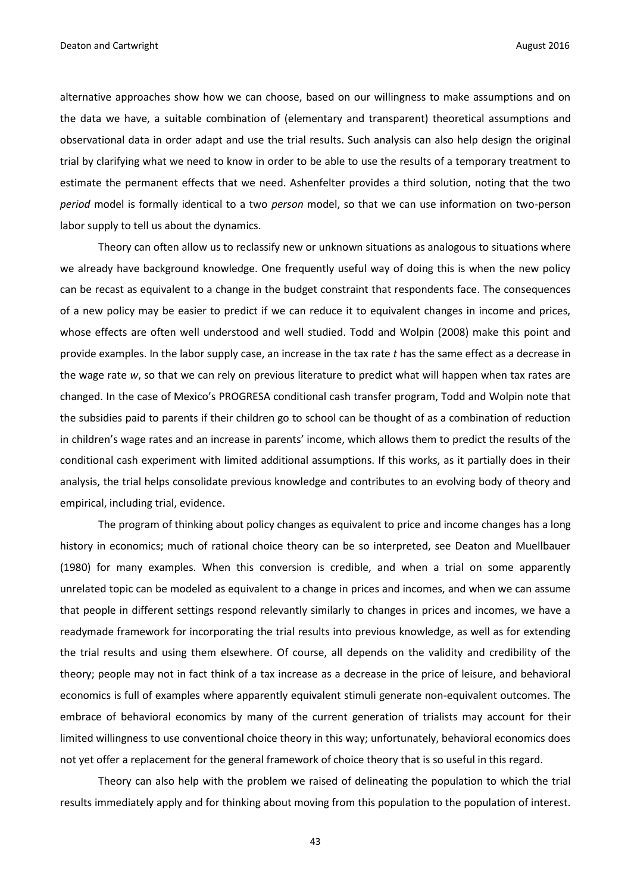alternative approaches show how we can choose, based on our willingness to make assumptions and on the data we have, a suitable combination of (elementary and transparent) theoretical assumptions and observational data in order adapt and use the trial results. Such analysis can also help design the original trial by clarifying what we need to know in order to be able to use the results of a temporary treatment to estimate the permanent effects that we need. Ashenfelter provides a third solution, noting that the two *period* model is formally identical to a two *person* model, so that we can use information on two-person labor supply to tell us about the dynamics.

Theory can often allow us to reclassify new or unknown situations as analogous to situations where we already have background knowledge. One frequently useful way of doing this is when the new policy can be recast as equivalent to a change in the budget constraint that respondents face. The consequences of a new policy may be easier to predict if we can reduce it to equivalent changes in income and prices, whose effects are often well understood and well studied. Todd and Wolpin (2008) make this point and provide examples. In the labor supply case, an increase in the tax rate *t* has the same effect as a decrease in the wage rate *w*, so that we can rely on previous literature to predict what will happen when tax rates are changed. In the case of Mexico's PROGRESA conditional cash transfer program, Todd and Wolpin note that the subsidies paid to parents if their children go to school can be thought of as a combination of reduction in children's wage rates and an increase in parents' income, which allows them to predict the results of the conditional cash experiment with limited additional assumptions. If this works, as it partially does in their analysis, the trial helps consolidate previous knowledge and contributes to an evolving body of theory and empirical, including trial, evidence.

The program of thinking about policy changes as equivalent to price and income changes has a long history in economics; much of rational choice theory can be so interpreted, see Deaton and Muellbauer (1980) for many examples. When this conversion is credible, and when a trial on some apparently unrelated topic can be modeled as equivalent to a change in prices and incomes, and when we can assume that people in different settings respond relevantly similarly to changes in prices and incomes, we have a readymade framework for incorporating the trial results into previous knowledge, as well as for extending the trial results and using them elsewhere. Of course, all depends on the validity and credibility of the theory; people may not in fact think of a tax increase as a decrease in the price of leisure, and behavioral economics is full of examples where apparently equivalent stimuli generate non-equivalent outcomes. The embrace of behavioral economics by many of the current generation of trialists may account for their limited willingness to use conventional choice theory in this way; unfortunately, behavioral economics does not yet offer a replacement for the general framework of choice theory that is so useful in this regard.

Theory can also help with the problem we raised of delineating the population to which the trial results immediately apply and for thinking about moving from this population to the population of interest.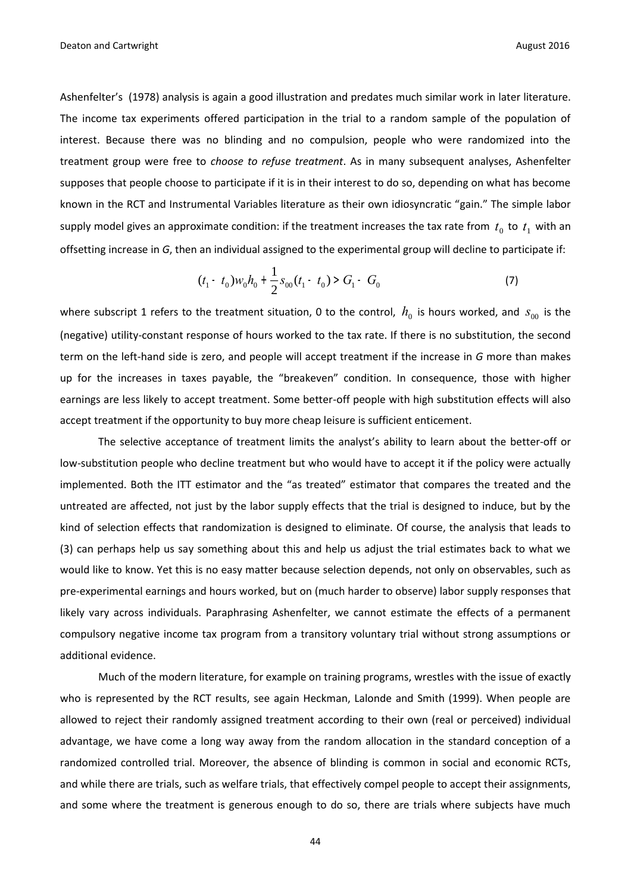Ashenfelter's (1978) analysis is again a good illustration and predates much similar work in later literature. The income tax experiments offered participation in the trial to a random sample of the population of interest. Because there was no blinding and no compulsion, people who were randomized into the treatment group were free to *choose to refuse treatment*. As in many subsequent analyses, Ashenfelter supposes that people choose to participate if it is in their interest to do so, depending on what has become known in the RCT and Instrumental Variables literature as their own idiosyncratic "gain." The simple labor supply model gives an approximate condition: if the treatment increases the tax rate from  $t_0$  to  $t_1$  with an offsetting increase in *G*, then an individual assigned to the experimental group will decline to participate if:

$$
(t_1 - t_0)w_0 h_0 + \frac{1}{2} s_{00} (t_1 - t_0) > G_1 - G_0
$$
 (7)

where subscript 1 refers to the treatment situation, 0 to the control,  $h_0^{}$  is hours worked, and  $s_{\rm 00}^{}$  is the (negative) utility-constant response of hours worked to the tax rate. If there is no substitution, the second term on the left-hand side is zero, and people will accept treatment if the increase in *G* more than makes up for the increases in taxes payable, the "breakeven" condition. In consequence, those with higher earnings are less likely to accept treatment. Some better-off people with high substitution effects will also accept treatment if the opportunity to buy more cheap leisure is sufficient enticement.

The selective acceptance of treatment limits the analyst's ability to learn about the better-off or low-substitution people who decline treatment but who would have to accept it if the policy were actually implemented. Both the ITT estimator and the "as treated" estimator that compares the treated and the untreated are affected, not just by the labor supply effects that the trial is designed to induce, but by the kind of selection effects that randomization is designed to eliminate. Of course, the analysis that leads to (3) can perhaps help us say something about this and help us adjust the trial estimates back to what we would like to know. Yet this is no easy matter because selection depends, not only on observables, such as pre-experimental earnings and hours worked, but on (much harder to observe) labor supply responses that likely vary across individuals. Paraphrasing Ashenfelter, we cannot estimate the effects of a permanent compulsory negative income tax program from a transitory voluntary trial without strong assumptions or additional evidence.

Much of the modern literature, for example on training programs, wrestles with the issue of exactly who is represented by the RCT results, see again Heckman, Lalonde and Smith (1999). When people are allowed to reject their randomly assigned treatment according to their own (real or perceived) individual advantage, we have come a long way away from the random allocation in the standard conception of a randomized controlled trial. Moreover, the absence of blinding is common in social and economic RCTs, and while there are trials, such as welfare trials, that effectively compel people to accept their assignments, and some where the treatment is generous enough to do so, there are trials where subjects have much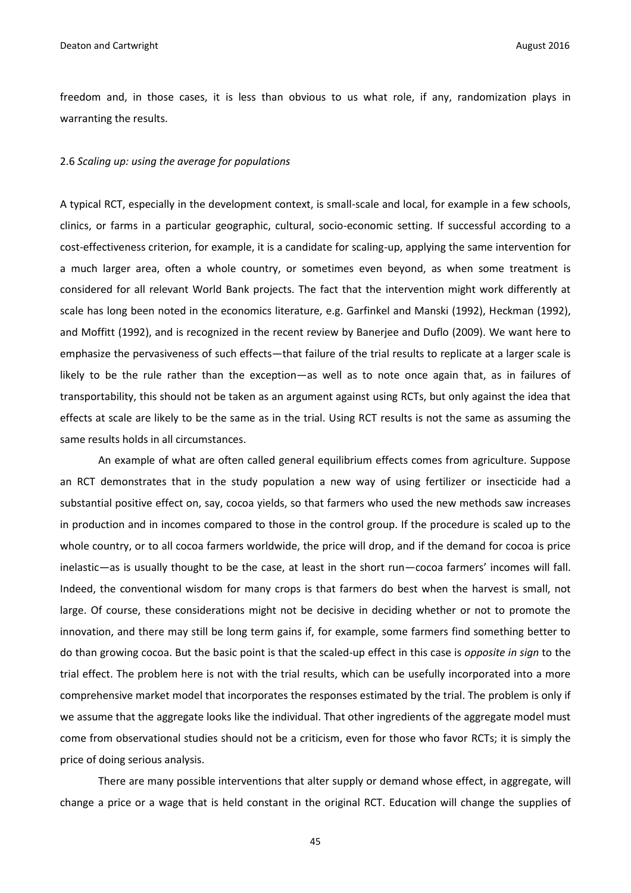freedom and, in those cases, it is less than obvious to us what role, if any, randomization plays in warranting the results.

#### 2.6 *Scaling up: using the average for populations*

A typical RCT, especially in the development context, is small-scale and local, for example in a few schools, clinics, or farms in a particular geographic, cultural, socio-economic setting. If successful according to a cost-effectiveness criterion, for example, it is a candidate for scaling-up, applying the same intervention for a much larger area, often a whole country, or sometimes even beyond, as when some treatment is considered for all relevant World Bank projects. The fact that the intervention might work differently at scale has long been noted in the economics literature, e.g. Garfinkel and Manski (1992), Heckman (1992), and Moffitt (1992), and is recognized in the recent review by Banerjee and Duflo (2009). We want here to emphasize the pervasiveness of such effects—that failure of the trial results to replicate at a larger scale is likely to be the rule rather than the exception—as well as to note once again that, as in failures of transportability, this should not be taken as an argument against using RCTs, but only against the idea that effects at scale are likely to be the same as in the trial. Using RCT results is not the same as assuming the same results holds in all circumstances.

An example of what are often called general equilibrium effects comes from agriculture. Suppose an RCT demonstrates that in the study population a new way of using fertilizer or insecticide had a substantial positive effect on, say, cocoa yields, so that farmers who used the new methods saw increases in production and in incomes compared to those in the control group. If the procedure is scaled up to the whole country, or to all cocoa farmers worldwide, the price will drop, and if the demand for cocoa is price inelastic—as is usually thought to be the case, at least in the short run—cocoa farmers' incomes will fall. Indeed, the conventional wisdom for many crops is that farmers do best when the harvest is small, not large. Of course, these considerations might not be decisive in deciding whether or not to promote the innovation, and there may still be long term gains if, for example, some farmers find something better to do than growing cocoa. But the basic point is that the scaled-up effect in this case is *opposite in sign* to the trial effect. The problem here is not with the trial results, which can be usefully incorporated into a more comprehensive market model that incorporates the responses estimated by the trial. The problem is only if we assume that the aggregate looks like the individual. That other ingredients of the aggregate model must come from observational studies should not be a criticism, even for those who favor RCTs; it is simply the price of doing serious analysis.

There are many possible interventions that alter supply or demand whose effect, in aggregate, will change a price or a wage that is held constant in the original RCT. Education will change the supplies of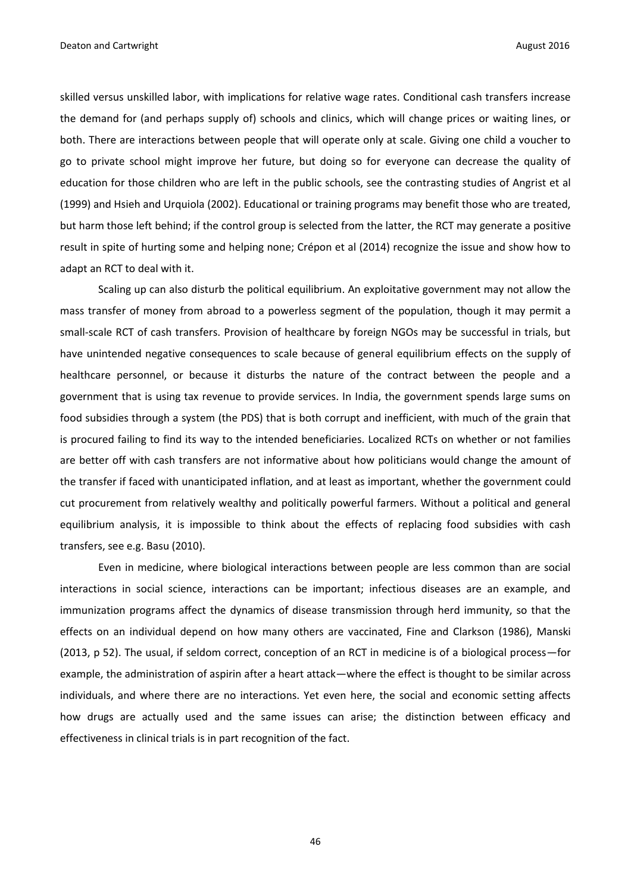skilled versus unskilled labor, with implications for relative wage rates. Conditional cash transfers increase the demand for (and perhaps supply of) schools and clinics, which will change prices or waiting lines, or both. There are interactions between people that will operate only at scale. Giving one child a voucher to go to private school might improve her future, but doing so for everyone can decrease the quality of education for those children who are left in the public schools, see the contrasting studies of Angrist et al (1999) and Hsieh and Urquiola (2002). Educational or training programs may benefit those who are treated, but harm those left behind; if the control group is selected from the latter, the RCT may generate a positive result in spite of hurting some and helping none; Crépon et al (2014) recognize the issue and show how to adapt an RCT to deal with it.

Scaling up can also disturb the political equilibrium. An exploitative government may not allow the mass transfer of money from abroad to a powerless segment of the population, though it may permit a small-scale RCT of cash transfers. Provision of healthcare by foreign NGOs may be successful in trials, but have unintended negative consequences to scale because of general equilibrium effects on the supply of healthcare personnel, or because it disturbs the nature of the contract between the people and a government that is using tax revenue to provide services. In India, the government spends large sums on food subsidies through a system (the PDS) that is both corrupt and inefficient, with much of the grain that is procured failing to find its way to the intended beneficiaries. Localized RCTs on whether or not families are better off with cash transfers are not informative about how politicians would change the amount of the transfer if faced with unanticipated inflation, and at least as important, whether the government could cut procurement from relatively wealthy and politically powerful farmers. Without a political and general equilibrium analysis, it is impossible to think about the effects of replacing food subsidies with cash transfers, see e.g. Basu (2010).

Even in medicine, where biological interactions between people are less common than are social interactions in social science, interactions can be important; infectious diseases are an example, and immunization programs affect the dynamics of disease transmission through herd immunity, so that the effects on an individual depend on how many others are vaccinated, Fine and Clarkson (1986), Manski (2013, p 52). The usual, if seldom correct, conception of an RCT in medicine is of a biological process—for example, the administration of aspirin after a heart attack—where the effect is thought to be similar across individuals, and where there are no interactions. Yet even here, the social and economic setting affects how drugs are actually used and the same issues can arise; the distinction between efficacy and effectiveness in clinical trials is in part recognition of the fact.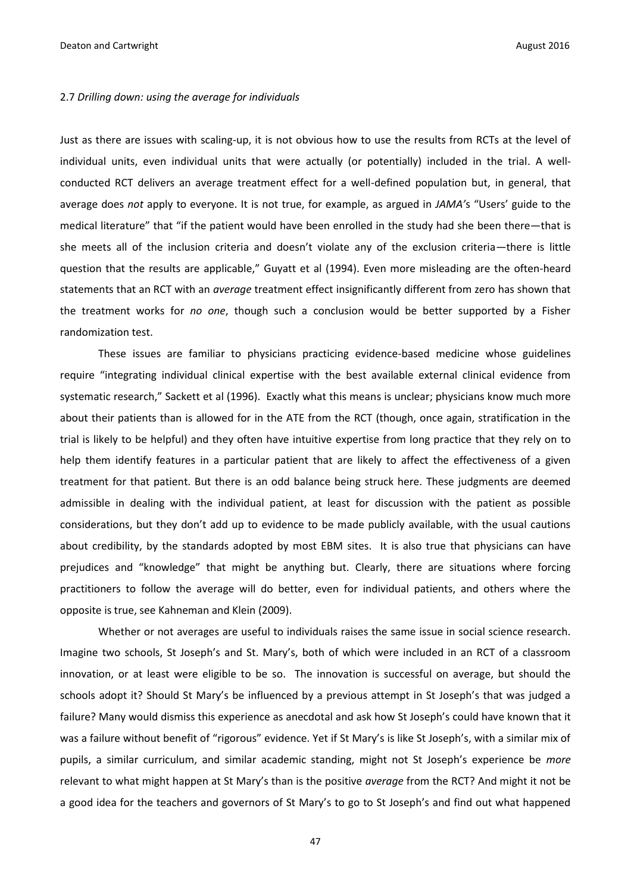#### 2.7 *Drilling down: using the average for individuals*

Just as there are issues with scaling-up, it is not obvious how to use the results from RCTs at the level of individual units, even individual units that were actually (or potentially) included in the trial. A wellconducted RCT delivers an average treatment effect for a well-defined population but, in general, that average does *not* apply to everyone. It is not true, for example, as argued in *JAMA'*s "Users' guide to the medical literature" that "if the patient would have been enrolled in the study had she been there—that is she meets all of the inclusion criteria and doesn't violate any of the exclusion criteria—there is little question that the results are applicable," Guyatt et al (1994). Even more misleading are the often-heard statements that an RCT with an *average* treatment effect insignificantly different from zero has shown that the treatment works for *no one*, though such a conclusion would be better supported by a Fisher randomization test.

These issues are familiar to physicians practicing evidence-based medicine whose guidelines require "integrating individual clinical expertise with the best available external clinical evidence from systematic research," Sackett et al (1996). Exactly what this means is unclear; physicians know much more about their patients than is allowed for in the ATE from the RCT (though, once again, stratification in the trial is likely to be helpful) and they often have intuitive expertise from long practice that they rely on to help them identify features in a particular patient that are likely to affect the effectiveness of a given treatment for that patient. But there is an odd balance being struck here. These judgments are deemed admissible in dealing with the individual patient, at least for discussion with the patient as possible considerations, but they don't add up to evidence to be made publicly available, with the usual cautions about credibility, by the standards adopted by most EBM sites. It is also true that physicians can have prejudices and "knowledge" that might be anything but. Clearly, there are situations where forcing practitioners to follow the average will do better, even for individual patients, and others where the opposite is true, see Kahneman and Klein (2009).

Whether or not averages are useful to individuals raises the same issue in social science research. Imagine two schools, St Joseph's and St. Mary's, both of which were included in an RCT of a classroom innovation, or at least were eligible to be so. The innovation is successful on average, but should the schools adopt it? Should St Mary's be influenced by a previous attempt in St Joseph's that was judged a failure? Many would dismiss this experience as anecdotal and ask how St Joseph's could have known that it was a failure without benefit of "rigorous" evidence. Yet if St Mary's is like St Joseph's, with a similar mix of pupils, a similar curriculum, and similar academic standing, might not St Joseph's experience be *more* relevant to what might happen at St Mary's than is the positive *average* from the RCT? And might it not be a good idea for the teachers and governors of St Mary's to go to St Joseph's and find out what happened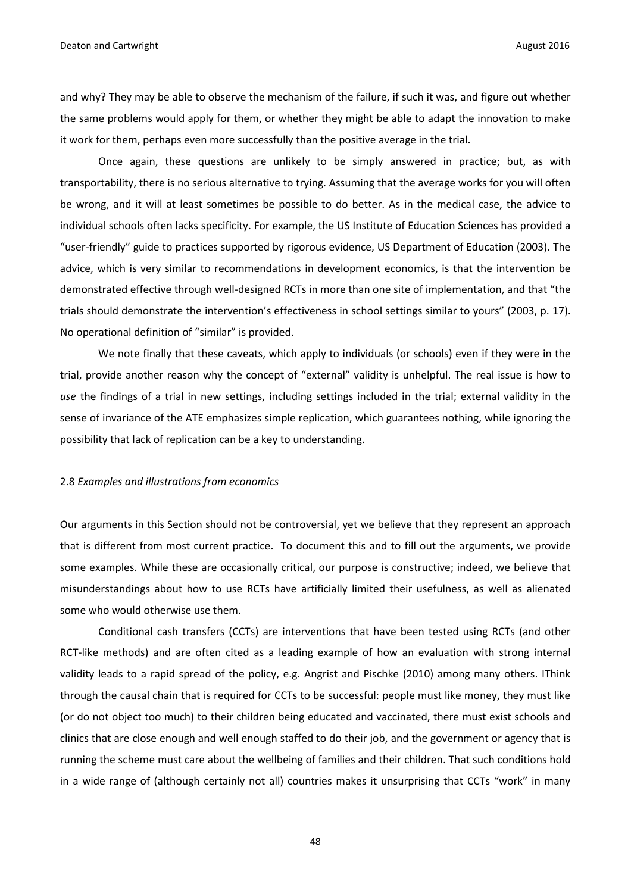and why? They may be able to observe the mechanism of the failure, if such it was, and figure out whether the same problems would apply for them, or whether they might be able to adapt the innovation to make it work for them, perhaps even more successfully than the positive average in the trial.

Once again, these questions are unlikely to be simply answered in practice; but, as with transportability, there is no serious alternative to trying. Assuming that the average works for you will often be wrong, and it will at least sometimes be possible to do better. As in the medical case, the advice to individual schools often lacks specificity. For example, the US Institute of Education Sciences has provided a "user-friendly" guide to practices supported by rigorous evidence, US Department of Education (2003). The advice, which is very similar to recommendations in development economics, is that the intervention be demonstrated effective through well-designed RCTs in more than one site of implementation, and that "the trials should demonstrate the intervention's effectiveness in school settings similar to yours" (2003, p. 17). No operational definition of "similar" is provided.

We note finally that these caveats, which apply to individuals (or schools) even if they were in the trial, provide another reason why the concept of "external" validity is unhelpful. The real issue is how to *use* the findings of a trial in new settings, including settings included in the trial; external validity in the sense of invariance of the ATE emphasizes simple replication, which guarantees nothing, while ignoring the possibility that lack of replication can be a key to understanding.

#### 2.8 *Examples and illustrations from economics*

Our arguments in this Section should not be controversial, yet we believe that they represent an approach that is different from most current practice. To document this and to fill out the arguments, we provide some examples. While these are occasionally critical, our purpose is constructive; indeed, we believe that misunderstandings about how to use RCTs have artificially limited their usefulness, as well as alienated some who would otherwise use them.

Conditional cash transfers (CCTs) are interventions that have been tested using RCTs (and other RCT-like methods) and are often cited as a leading example of how an evaluation with strong internal validity leads to a rapid spread of the policy, e.g. Angrist and Pischke (2010) among many others. IThink through the causal chain that is required for CCTs to be successful: people must like money, they must like (or do not object too much) to their children being educated and vaccinated, there must exist schools and clinics that are close enough and well enough staffed to do their job, and the government or agency that is running the scheme must care about the wellbeing of families and their children. That such conditions hold in a wide range of (although certainly not all) countries makes it unsurprising that CCTs "work" in many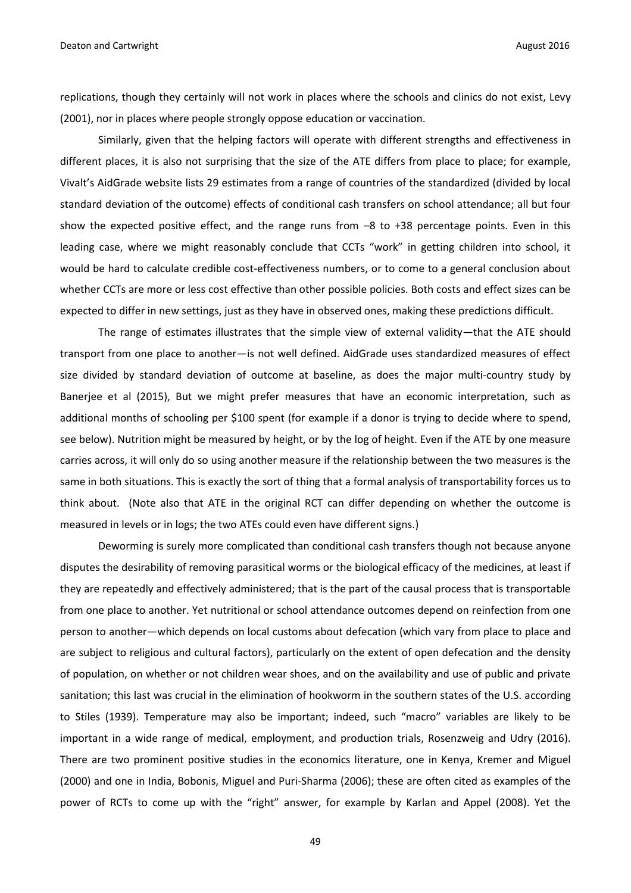replications, though they certainly will not work in places where the schools and clinics do not exist, Levy (2001), nor in places where people strongly oppose education or vaccination.

Similarly, given that the helping factors will operate with different strengths and effectiveness in different places, it is also not surprising that the size of the ATE differs from place to place; for example, Vivalt's AidGrade website lists 29 estimates from a range of countries of the standardized (divided by local standard deviation of the outcome) effects of conditional cash transfers on school attendance; all but four show the expected positive effect, and the range runs from –8 to +38 percentage points. Even in this leading case, where we might reasonably conclude that CCTs "work" in getting children into school, it would be hard to calculate credible cost-effectiveness numbers, or to come to a general conclusion about whether CCTs are more or less cost effective than other possible policies. Both costs and effect sizes can be expected to differ in new settings, just as they have in observed ones, making these predictions difficult.

The range of estimates illustrates that the simple view of external validity—that the ATE should transport from one place to another—is not well defined. AidGrade uses standardized measures of effect size divided by standard deviation of outcome at baseline, as does the major multi-country study by Banerjee et al (2015), But we might prefer measures that have an economic interpretation, such as additional months of schooling per \$100 spent (for example if a donor is trying to decide where to spend, see below). Nutrition might be measured by height, or by the log of height. Even if the ATE by one measure carries across, it will only do so using another measure if the relationship between the two measures is the same in both situations. This is exactly the sort of thing that a formal analysis of transportability forces us to think about. (Note also that ATE in the original RCT can differ depending on whether the outcome is measured in levels or in logs; the two ATEs could even have different signs.)

Deworming is surely more complicated than conditional cash transfers though not because anyone disputes the desirability of removing parasitical worms or the biological efficacy of the medicines, at least if they are repeatedly and effectively administered; that is the part of the causal process that is transportable from one place to another. Yet nutritional or school attendance outcomes depend on reinfection from one person to another—which depends on local customs about defecation (which vary from place to place and are subject to religious and cultural factors), particularly on the extent of open defecation and the density of population, on whether or not children wear shoes, and on the availability and use of public and private sanitation; this last was crucial in the elimination of hookworm in the southern states of the U.S. according to Stiles (1939). Temperature may also be important; indeed, such "macro" variables are likely to be important in a wide range of medical, employment, and production trials, Rosenzweig and Udry (2016). There are two prominent positive studies in the economics literature, one in Kenya, Kremer and Miguel (2000) and one in India, Bobonis, Miguel and Puri-Sharma (2006); these are often cited as examples of the power of RCTs to come up with the "right" answer, for example by Karlan and Appel (2008). Yet the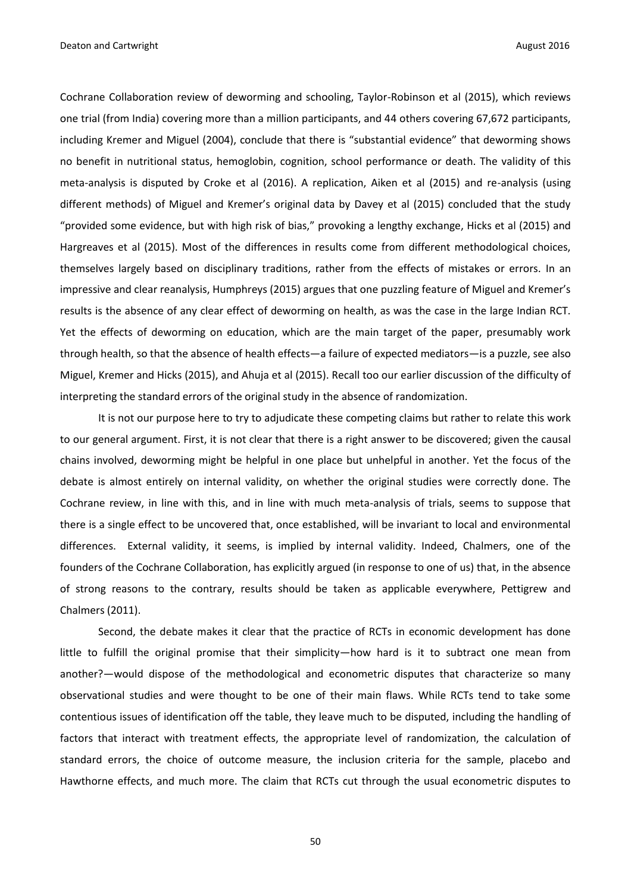Cochrane Collaboration review of deworming and schooling, Taylor-Robinson et al (2015), which reviews one trial (from India) covering more than a million participants, and 44 others covering 67,672 participants, including Kremer and Miguel (2004), conclude that there is "substantial evidence" that deworming shows no benefit in nutritional status, hemoglobin, cognition, school performance or death. The validity of this meta-analysis is disputed by Croke et al (2016). A replication, Aiken et al (2015) and re-analysis (using different methods) of Miguel and Kremer's original data by Davey et al (2015) concluded that the study "provided some evidence, but with high risk of bias," provoking a lengthy exchange, Hicks et al (2015) and Hargreaves et al (2015). Most of the differences in results come from different methodological choices, themselves largely based on disciplinary traditions, rather from the effects of mistakes or errors. In an impressive and clear reanalysis, Humphreys (2015) argues that one puzzling feature of Miguel and Kremer's results is the absence of any clear effect of deworming on health, as was the case in the large Indian RCT. Yet the effects of deworming on education, which are the main target of the paper, presumably work through health, so that the absence of health effects—a failure of expected mediators—is a puzzle, see also Miguel, Kremer and Hicks (2015), and Ahuja et al (2015). Recall too our earlier discussion of the difficulty of interpreting the standard errors of the original study in the absence of randomization.

It is not our purpose here to try to adjudicate these competing claims but rather to relate this work to our general argument. First, it is not clear that there is a right answer to be discovered; given the causal chains involved, deworming might be helpful in one place but unhelpful in another. Yet the focus of the debate is almost entirely on internal validity, on whether the original studies were correctly done. The Cochrane review, in line with this, and in line with much meta-analysis of trials, seems to suppose that there is a single effect to be uncovered that, once established, will be invariant to local and environmental differences. External validity, it seems, is implied by internal validity. Indeed, Chalmers, one of the founders of the Cochrane Collaboration, has explicitly argued (in response to one of us) that, in the absence of strong reasons to the contrary, results should be taken as applicable everywhere, Pettigrew and Chalmers (2011).

Second, the debate makes it clear that the practice of RCTs in economic development has done little to fulfill the original promise that their simplicity—how hard is it to subtract one mean from another?—would dispose of the methodological and econometric disputes that characterize so many observational studies and were thought to be one of their main flaws. While RCTs tend to take some contentious issues of identification off the table, they leave much to be disputed, including the handling of factors that interact with treatment effects, the appropriate level of randomization, the calculation of standard errors, the choice of outcome measure, the inclusion criteria for the sample, placebo and Hawthorne effects, and much more. The claim that RCTs cut through the usual econometric disputes to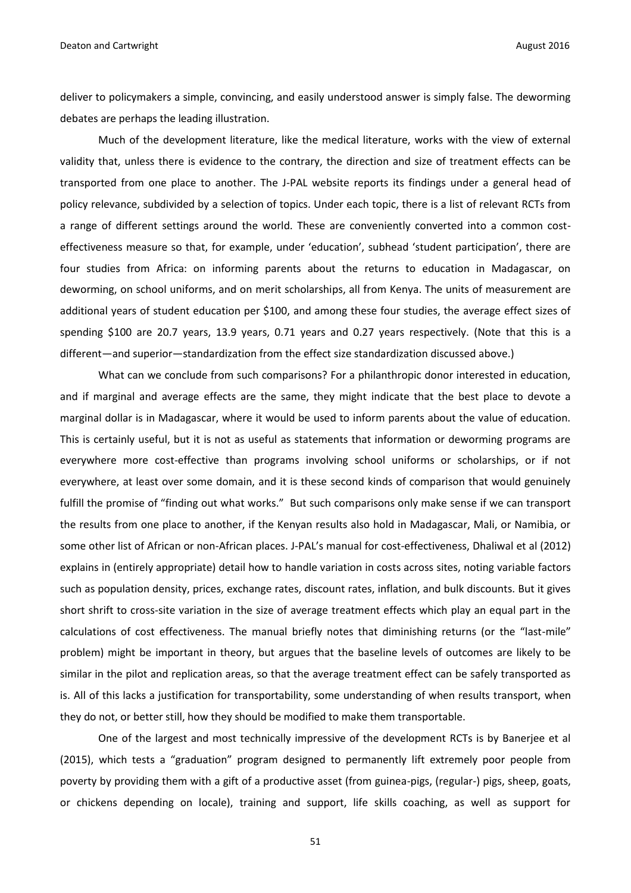deliver to policymakers a simple, convincing, and easily understood answer is simply false. The deworming debates are perhaps the leading illustration.

Much of the development literature, like the medical literature, works with the view of external validity that, unless there is evidence to the contrary, the direction and size of treatment effects can be transported from one place to another. The J-PAL website reports its findings under a general head of policy relevance, subdivided by a selection of topics. Under each topic, there is a list of relevant RCTs from a range of different settings around the world. These are conveniently converted into a common costeffectiveness measure so that, for example, under 'education', subhead 'student participation', there are four studies from Africa: on informing parents about the returns to education in Madagascar, on deworming, on school uniforms, and on merit scholarships, all from Kenya. The units of measurement are additional years of student education per \$100, and among these four studies, the average effect sizes of spending \$100 are 20.7 years, 13.9 years, 0.71 years and 0.27 years respectively. (Note that this is a different—and superior—standardization from the effect size standardization discussed above.)

What can we conclude from such comparisons? For a philanthropic donor interested in education, and if marginal and average effects are the same, they might indicate that the best place to devote a marginal dollar is in Madagascar, where it would be used to inform parents about the value of education. This is certainly useful, but it is not as useful as statements that information or deworming programs are everywhere more cost-effective than programs involving school uniforms or scholarships, or if not everywhere, at least over some domain, and it is these second kinds of comparison that would genuinely fulfill the promise of "finding out what works." But such comparisons only make sense if we can transport the results from one place to another, if the Kenyan results also hold in Madagascar, Mali, or Namibia, or some other list of African or non-African places. J-PAL's manual for cost-effectiveness, Dhaliwal et al (2012) explains in (entirely appropriate) detail how to handle variation in costs across sites, noting variable factors such as population density, prices, exchange rates, discount rates, inflation, and bulk discounts. But it gives short shrift to cross-site variation in the size of average treatment effects which play an equal part in the calculations of cost effectiveness. The manual briefly notes that diminishing returns (or the "last-mile" problem) might be important in theory, but argues that the baseline levels of outcomes are likely to be similar in the pilot and replication areas, so that the average treatment effect can be safely transported as is. All of this lacks a justification for transportability, some understanding of when results transport, when they do not, or better still, how they should be modified to make them transportable.

One of the largest and most technically impressive of the development RCTs is by Banerjee et al (2015), which tests a "graduation" program designed to permanently lift extremely poor people from poverty by providing them with a gift of a productive asset (from guinea-pigs, (regular-) pigs, sheep, goats, or chickens depending on locale), training and support, life skills coaching, as well as support for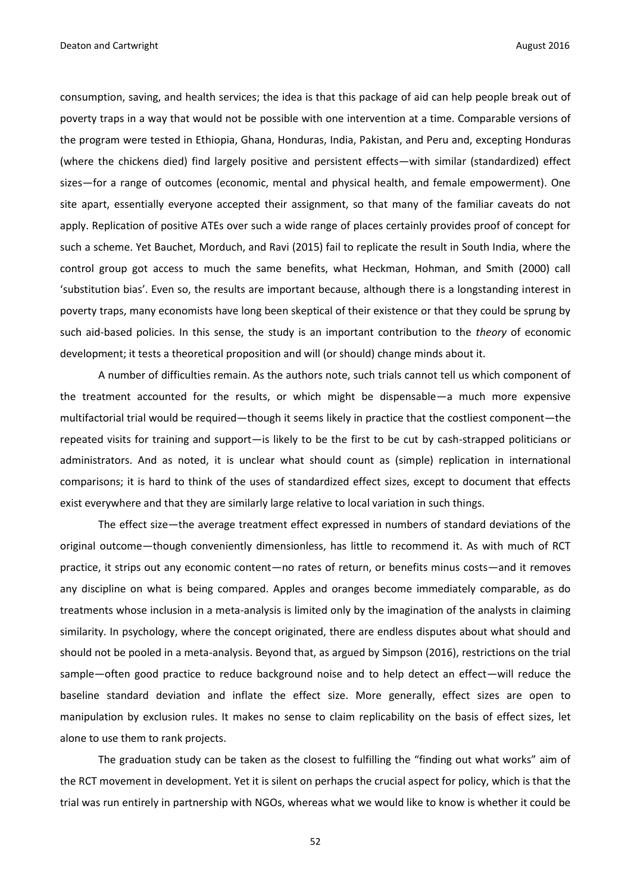consumption, saving, and health services; the idea is that this package of aid can help people break out of poverty traps in a way that would not be possible with one intervention at a time. Comparable versions of the program were tested in Ethiopia, Ghana, Honduras, India, Pakistan, and Peru and, excepting Honduras (where the chickens died) find largely positive and persistent effects—with similar (standardized) effect sizes—for a range of outcomes (economic, mental and physical health, and female empowerment). One site apart, essentially everyone accepted their assignment, so that many of the familiar caveats do not apply. Replication of positive ATEs over such a wide range of places certainly provides proof of concept for such a scheme. Yet Bauchet, Morduch, and Ravi (2015) fail to replicate the result in South India, where the control group got access to much the same benefits, what Heckman, Hohman, and Smith (2000) call 'substitution bias'. Even so, the results are important because, although there is a longstanding interest in poverty traps, many economists have long been skeptical of their existence or that they could be sprung by such aid-based policies. In this sense, the study is an important contribution to the *theory* of economic development; it tests a theoretical proposition and will (or should) change minds about it.

A number of difficulties remain. As the authors note, such trials cannot tell us which component of the treatment accounted for the results, or which might be dispensable—a much more expensive multifactorial trial would be required—though it seems likely in practice that the costliest component—the repeated visits for training and support—is likely to be the first to be cut by cash-strapped politicians or administrators. And as noted, it is unclear what should count as (simple) replication in international comparisons; it is hard to think of the uses of standardized effect sizes, except to document that effects exist everywhere and that they are similarly large relative to local variation in such things.

The effect size—the average treatment effect expressed in numbers of standard deviations of the original outcome—though conveniently dimensionless, has little to recommend it. As with much of RCT practice, it strips out any economic content—no rates of return, or benefits minus costs—and it removes any discipline on what is being compared. Apples and oranges become immediately comparable, as do treatments whose inclusion in a meta-analysis is limited only by the imagination of the analysts in claiming similarity. In psychology, where the concept originated, there are endless disputes about what should and should not be pooled in a meta-analysis. Beyond that, as argued by Simpson (2016), restrictions on the trial sample—often good practice to reduce background noise and to help detect an effect—will reduce the baseline standard deviation and inflate the effect size. More generally, effect sizes are open to manipulation by exclusion rules. It makes no sense to claim replicability on the basis of effect sizes, let alone to use them to rank projects.

The graduation study can be taken as the closest to fulfilling the "finding out what works" aim of the RCT movement in development. Yet it is silent on perhaps the crucial aspect for policy, which is that the trial was run entirely in partnership with NGOs, whereas what we would like to know is whether it could be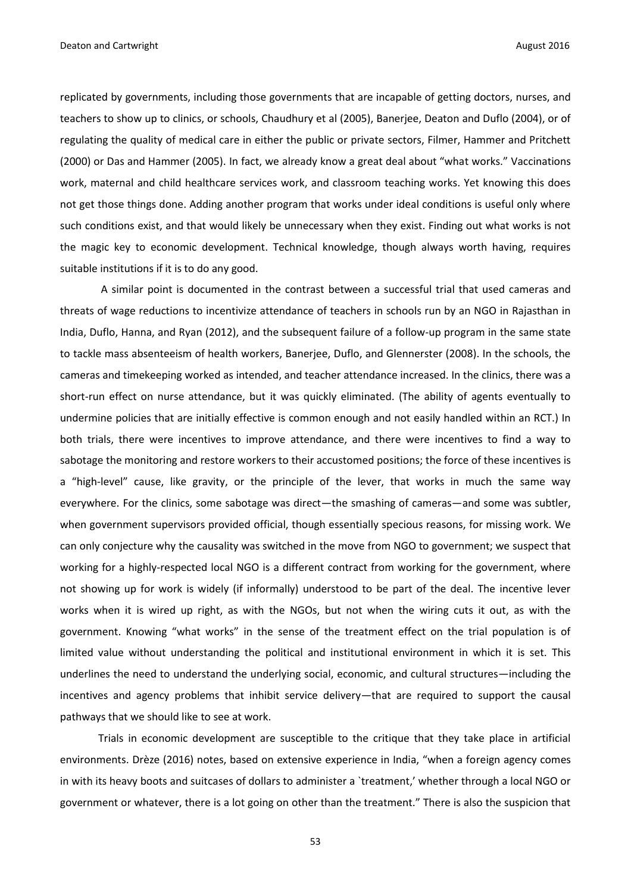replicated by governments, including those governments that are incapable of getting doctors, nurses, and teachers to show up to clinics, or schools, Chaudhury et al (2005), Banerjee, Deaton and Duflo (2004), or of regulating the quality of medical care in either the public or private sectors, Filmer, Hammer and Pritchett (2000) or Das and Hammer (2005). In fact, we already know a great deal about "what works." Vaccinations work, maternal and child healthcare services work, and classroom teaching works. Yet knowing this does not get those things done. Adding another program that works under ideal conditions is useful only where such conditions exist, and that would likely be unnecessary when they exist. Finding out what works is not the magic key to economic development. Technical knowledge, though always worth having, requires suitable institutions if it is to do any good.

A similar point is documented in the contrast between a successful trial that used cameras and threats of wage reductions to incentivize attendance of teachers in schools run by an NGO in Rajasthan in India, Duflo, Hanna, and Ryan (2012), and the subsequent failure of a follow-up program in the same state to tackle mass absenteeism of health workers, Banerjee, Duflo, and Glennerster (2008). In the schools, the cameras and timekeeping worked as intended, and teacher attendance increased. In the clinics, there was a short-run effect on nurse attendance, but it was quickly eliminated. (The ability of agents eventually to undermine policies that are initially effective is common enough and not easily handled within an RCT.) In both trials, there were incentives to improve attendance, and there were incentives to find a way to sabotage the monitoring and restore workers to their accustomed positions; the force of these incentives is a "high-level" cause, like gravity, or the principle of the lever, that works in much the same way everywhere. For the clinics, some sabotage was direct—the smashing of cameras—and some was subtler, when government supervisors provided official, though essentially specious reasons, for missing work. We can only conjecture why the causality was switched in the move from NGO to government; we suspect that working for a highly-respected local NGO is a different contract from working for the government, where not showing up for work is widely (if informally) understood to be part of the deal. The incentive lever works when it is wired up right, as with the NGOs, but not when the wiring cuts it out, as with the government. Knowing "what works" in the sense of the treatment effect on the trial population is of limited value without understanding the political and institutional environment in which it is set. This underlines the need to understand the underlying social, economic, and cultural structures—including the incentives and agency problems that inhibit service delivery—that are required to support the causal pathways that we should like to see at work.

Trials in economic development are susceptible to the critique that they take place in artificial environments. Drèze (2016) notes, based on extensive experience in India, "when a foreign agency comes in with its heavy boots and suitcases of dollars to administer a `treatment,' whether through a local NGO or government or whatever, there is a lot going on other than the treatment." There is also the suspicion that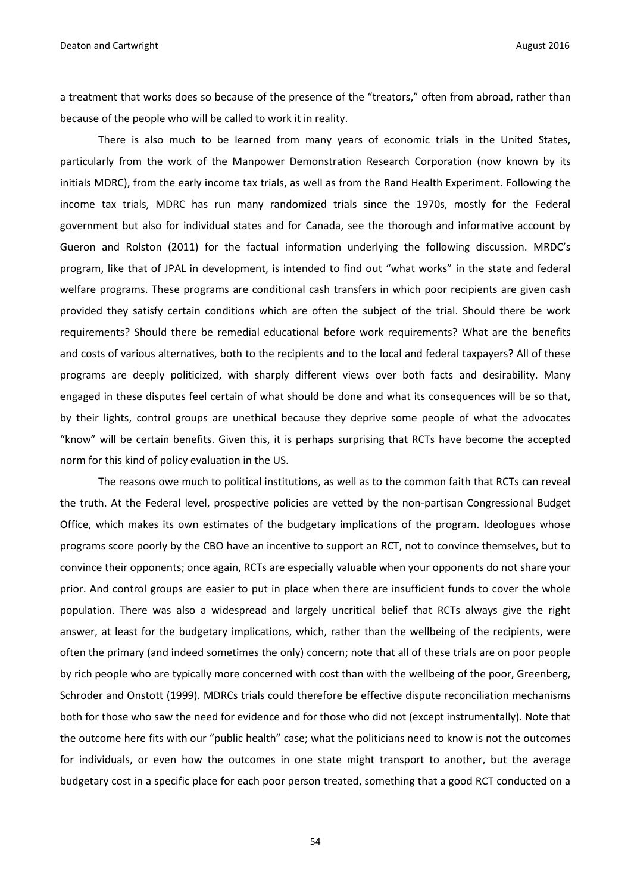a treatment that works does so because of the presence of the "treators," often from abroad, rather than because of the people who will be called to work it in reality.

There is also much to be learned from many years of economic trials in the United States, particularly from the work of the Manpower Demonstration Research Corporation (now known by its initials MDRC), from the early income tax trials, as well as from the Rand Health Experiment. Following the income tax trials, MDRC has run many randomized trials since the 1970s, mostly for the Federal government but also for individual states and for Canada, see the thorough and informative account by Gueron and Rolston (2011) for the factual information underlying the following discussion. MRDC's program, like that of JPAL in development, is intended to find out "what works" in the state and federal welfare programs. These programs are conditional cash transfers in which poor recipients are given cash provided they satisfy certain conditions which are often the subject of the trial. Should there be work requirements? Should there be remedial educational before work requirements? What are the benefits and costs of various alternatives, both to the recipients and to the local and federal taxpayers? All of these programs are deeply politicized, with sharply different views over both facts and desirability. Many engaged in these disputes feel certain of what should be done and what its consequences will be so that, by their lights, control groups are unethical because they deprive some people of what the advocates "know" will be certain benefits. Given this, it is perhaps surprising that RCTs have become the accepted norm for this kind of policy evaluation in the US.

The reasons owe much to political institutions, as well as to the common faith that RCTs can reveal the truth. At the Federal level, prospective policies are vetted by the non-partisan Congressional Budget Office, which makes its own estimates of the budgetary implications of the program. Ideologues whose programs score poorly by the CBO have an incentive to support an RCT, not to convince themselves, but to convince their opponents; once again, RCTs are especially valuable when your opponents do not share your prior. And control groups are easier to put in place when there are insufficient funds to cover the whole population. There was also a widespread and largely uncritical belief that RCTs always give the right answer, at least for the budgetary implications, which, rather than the wellbeing of the recipients, were often the primary (and indeed sometimes the only) concern; note that all of these trials are on poor people by rich people who are typically more concerned with cost than with the wellbeing of the poor, Greenberg, Schroder and Onstott (1999). MDRCs trials could therefore be effective dispute reconciliation mechanisms both for those who saw the need for evidence and for those who did not (except instrumentally). Note that the outcome here fits with our "public health" case; what the politicians need to know is not the outcomes for individuals, or even how the outcomes in one state might transport to another, but the average budgetary cost in a specific place for each poor person treated, something that a good RCT conducted on a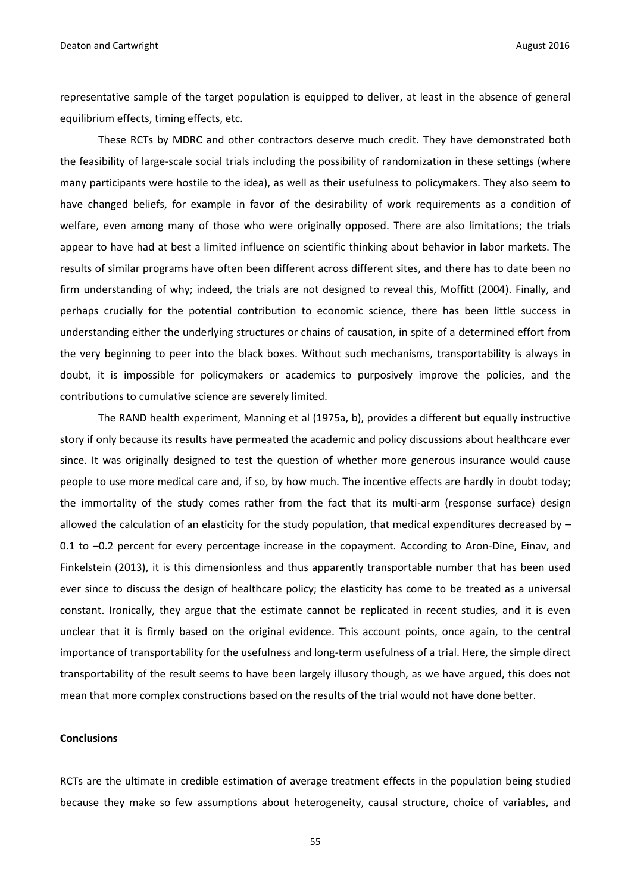representative sample of the target population is equipped to deliver, at least in the absence of general equilibrium effects, timing effects, etc.

These RCTs by MDRC and other contractors deserve much credit. They have demonstrated both the feasibility of large-scale social trials including the possibility of randomization in these settings (where many participants were hostile to the idea), as well as their usefulness to policymakers. They also seem to have changed beliefs, for example in favor of the desirability of work requirements as a condition of welfare, even among many of those who were originally opposed. There are also limitations; the trials appear to have had at best a limited influence on scientific thinking about behavior in labor markets. The results of similar programs have often been different across different sites, and there has to date been no firm understanding of why; indeed, the trials are not designed to reveal this, Moffitt (2004). Finally, and perhaps crucially for the potential contribution to economic science, there has been little success in understanding either the underlying structures or chains of causation, in spite of a determined effort from the very beginning to peer into the black boxes. Without such mechanisms, transportability is always in doubt, it is impossible for policymakers or academics to purposively improve the policies, and the contributions to cumulative science are severely limited.

The RAND health experiment, Manning et al (1975a, b), provides a different but equally instructive story if only because its results have permeated the academic and policy discussions about healthcare ever since. It was originally designed to test the question of whether more generous insurance would cause people to use more medical care and, if so, by how much. The incentive effects are hardly in doubt today; the immortality of the study comes rather from the fact that its multi-arm (response surface) design allowed the calculation of an elasticity for the study population, that medical expenditures decreased by – 0.1 to –0.2 percent for every percentage increase in the copayment. According to Aron-Dine, Einav, and Finkelstein (2013), it is this dimensionless and thus apparently transportable number that has been used ever since to discuss the design of healthcare policy; the elasticity has come to be treated as a universal constant. Ironically, they argue that the estimate cannot be replicated in recent studies, and it is even unclear that it is firmly based on the original evidence. This account points, once again, to the central importance of transportability for the usefulness and long-term usefulness of a trial. Here, the simple direct transportability of the result seems to have been largely illusory though, as we have argued, this does not mean that more complex constructions based on the results of the trial would not have done better.

#### **Conclusions**

RCTs are the ultimate in credible estimation of average treatment effects in the population being studied because they make so few assumptions about heterogeneity, causal structure, choice of variables, and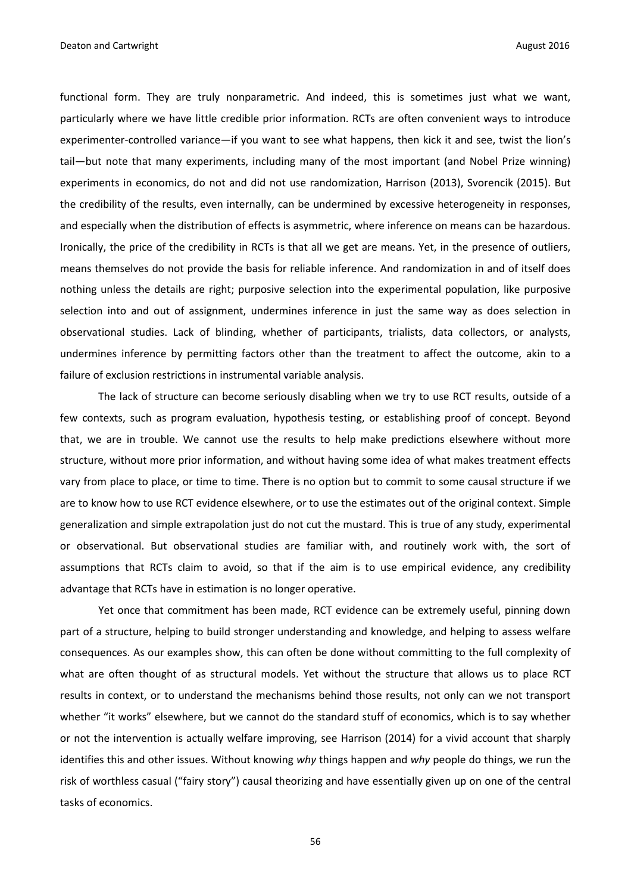functional form. They are truly nonparametric. And indeed, this is sometimes just what we want, particularly where we have little credible prior information. RCTs are often convenient ways to introduce experimenter-controlled variance—if you want to see what happens, then kick it and see, twist the lion's tail—but note that many experiments, including many of the most important (and Nobel Prize winning) experiments in economics, do not and did not use randomization, Harrison (2013), Svorencik (2015). But the credibility of the results, even internally, can be undermined by excessive heterogeneity in responses, and especially when the distribution of effects is asymmetric, where inference on means can be hazardous. Ironically, the price of the credibility in RCTs is that all we get are means. Yet, in the presence of outliers, means themselves do not provide the basis for reliable inference. And randomization in and of itself does nothing unless the details are right; purposive selection into the experimental population, like purposive selection into and out of assignment, undermines inference in just the same way as does selection in observational studies. Lack of blinding, whether of participants, trialists, data collectors, or analysts, undermines inference by permitting factors other than the treatment to affect the outcome, akin to a failure of exclusion restrictions in instrumental variable analysis.

The lack of structure can become seriously disabling when we try to use RCT results, outside of a few contexts, such as program evaluation, hypothesis testing, or establishing proof of concept. Beyond that, we are in trouble. We cannot use the results to help make predictions elsewhere without more structure, without more prior information, and without having some idea of what makes treatment effects vary from place to place, or time to time. There is no option but to commit to some causal structure if we are to know how to use RCT evidence elsewhere, or to use the estimates out of the original context. Simple generalization and simple extrapolation just do not cut the mustard. This is true of any study, experimental or observational. But observational studies are familiar with, and routinely work with, the sort of assumptions that RCTs claim to avoid, so that if the aim is to use empirical evidence, any credibility advantage that RCTs have in estimation is no longer operative.

Yet once that commitment has been made, RCT evidence can be extremely useful, pinning down part of a structure, helping to build stronger understanding and knowledge, and helping to assess welfare consequences. As our examples show, this can often be done without committing to the full complexity of what are often thought of as structural models. Yet without the structure that allows us to place RCT results in context, or to understand the mechanisms behind those results, not only can we not transport whether "it works" elsewhere, but we cannot do the standard stuff of economics, which is to say whether or not the intervention is actually welfare improving, see Harrison (2014) for a vivid account that sharply identifies this and other issues. Without knowing *why* things happen and *why* people do things, we run the risk of worthless casual ("fairy story") causal theorizing and have essentially given up on one of the central tasks of economics.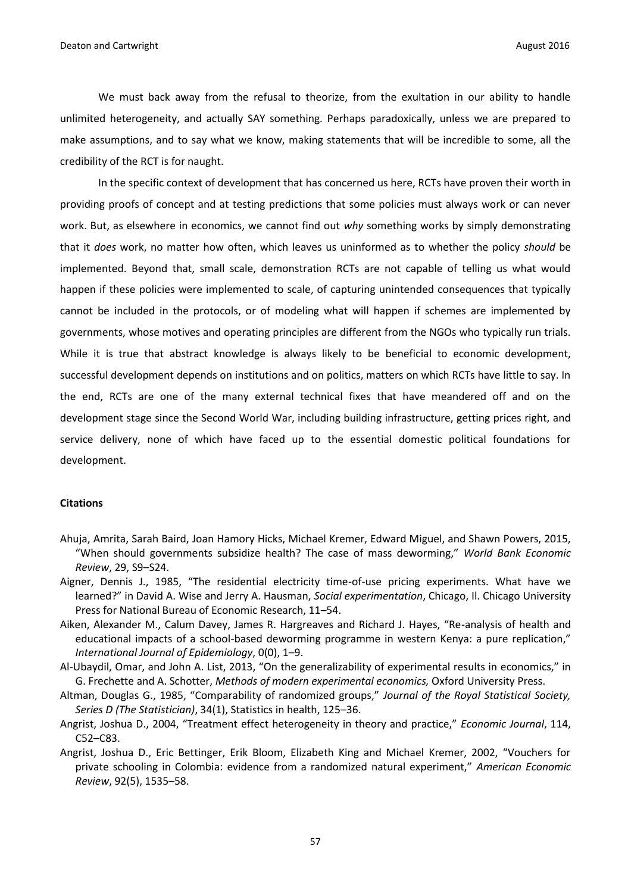We must back away from the refusal to theorize, from the exultation in our ability to handle unlimited heterogeneity, and actually SAY something. Perhaps paradoxically, unless we are prepared to make assumptions, and to say what we know, making statements that will be incredible to some, all the credibility of the RCT is for naught.

In the specific context of development that has concerned us here, RCTs have proven their worth in providing proofs of concept and at testing predictions that some policies must always work or can never work. But, as elsewhere in economics, we cannot find out *why* something works by simply demonstrating that it *does* work, no matter how often, which leaves us uninformed as to whether the policy *should* be implemented. Beyond that, small scale, demonstration RCTs are not capable of telling us what would happen if these policies were implemented to scale, of capturing unintended consequences that typically cannot be included in the protocols, or of modeling what will happen if schemes are implemented by governments, whose motives and operating principles are different from the NGOs who typically run trials. While it is true that abstract knowledge is always likely to be beneficial to economic development, successful development depends on institutions and on politics, matters on which RCTs have little to say. In the end, RCTs are one of the many external technical fixes that have meandered off and on the development stage since the Second World War, including building infrastructure, getting prices right, and service delivery, none of which have faced up to the essential domestic political foundations for development.

#### **Citations**

- Ahuja, Amrita, Sarah Baird, Joan Hamory Hicks, Michael Kremer, Edward Miguel, and Shawn Powers, 2015, "When should governments subsidize health? The case of mass deworming," *World Bank Economic Review*, 29, S9–S24.
- Aigner, Dennis J., 1985, "The residential electricity time-of-use pricing experiments. What have we learned?" in David A. Wise and Jerry A. Hausman, *Social experimentation*, Chicago, Il. Chicago University Press for National Bureau of Economic Research, 11–54.
- Aiken, Alexander M., Calum Davey, James R. Hargreaves and Richard J. Hayes, "Re-analysis of health and educational impacts of a school-based deworming programme in western Kenya: a pure replication," *International Journal of Epidemiology*, 0(0), 1–9.
- Al-Ubaydil, Omar, and John A. List, 2013, "On the generalizability of experimental results in economics," in G. Frechette and A. Schotter, *Methods of modern experimental economics,* Oxford University Press.
- Altman, Douglas G., 1985, "Comparability of randomized groups," *Journal of the Royal Statistical Society, Series D (The Statistician)*, 34(1), Statistics in health, 125–36.
- Angrist, Joshua D., 2004, "Treatment effect heterogeneity in theory and practice," *Economic Journal*, 114, C52–C83.
- Angrist, Joshua D., Eric Bettinger, Erik Bloom, Elizabeth King and Michael Kremer, 2002, "Vouchers for private schooling in Colombia: evidence from a randomized natural experiment," *American Economic Review*, 92(5), 1535–58.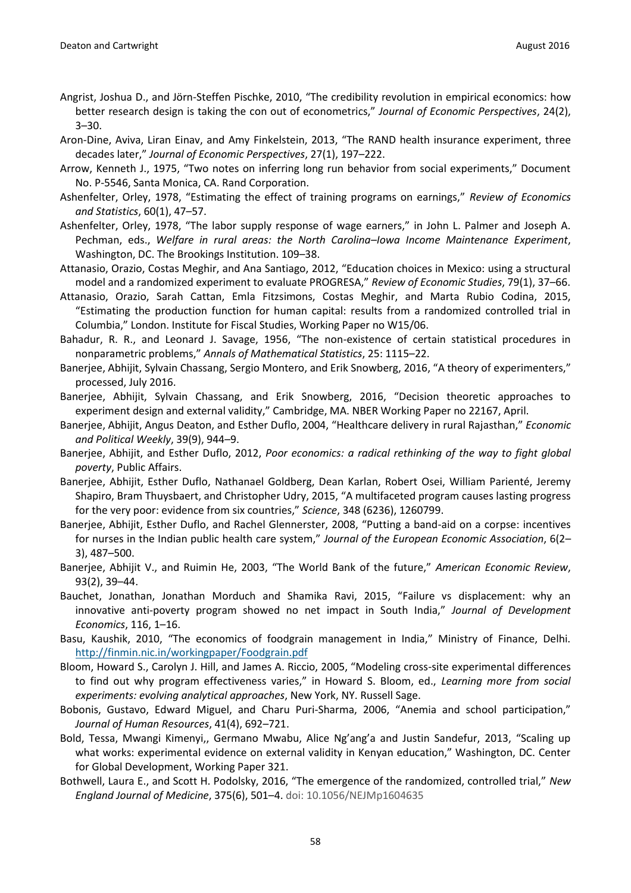- Angrist, Joshua D., and Jörn-Steffen Pischke, 2010, "The credibility revolution in empirical economics: how better research design is taking the con out of econometrics," *Journal of Economic Perspectives*, 24(2), 3–30.
- Aron-Dine, Aviva, Liran Einav, and Amy Finkelstein, 2013, "The RAND health insurance experiment, three decades later," *Journal of Economic Perspectives*, 27(1), 197–222.
- Arrow, Kenneth J., 1975, "Two notes on inferring long run behavior from social experiments," Document No. P-5546, Santa Monica, CA. Rand Corporation.
- Ashenfelter, Orley, 1978, "Estimating the effect of training programs on earnings," *Review of Economics and Statistics*, 60(1), 47–57.
- Ashenfelter, Orley, 1978, "The labor supply response of wage earners," in John L. Palmer and Joseph A. Pechman, eds., *Welfare in rural areas: the North Carolina–Iowa Income Maintenance Experiment*, Washington, DC. The Brookings Institution. 109–38.
- Attanasio, Orazio, Costas Meghir, and Ana Santiago, 2012, "Education choices in Mexico: using a structural model and a randomized experiment to evaluate PROGRESA," *Review of Economic Studies*, 79(1), 37–66.
- Attanasio, Orazio, Sarah Cattan, Emla Fitzsimons, Costas Meghir, and Marta Rubio Codina, 2015, "Estimating the production function for human capital: results from a randomized controlled trial in Columbia," London. Institute for Fiscal Studies, Working Paper no W15/06.
- Bahadur, R. R., and Leonard J. Savage, 1956, "The non-existence of certain statistical procedures in nonparametric problems," *Annals of Mathematical Statistics*, 25: 1115–22.
- Banerjee, Abhijit, Sylvain Chassang, Sergio Montero, and Erik Snowberg, 2016, "A theory of experimenters," processed, July 2016.
- Banerjee, Abhijit, Sylvain Chassang, and Erik Snowberg, 2016, "Decision theoretic approaches to experiment design and external validity," Cambridge, MA. NBER Working Paper no 22167, April.
- Banerjee, Abhijit, Angus Deaton, and Esther Duflo, 2004, "Healthcare delivery in rural Rajasthan," *Economic and Political Weekly*, 39(9), 944–9.
- Banerjee, Abhijit, and Esther Duflo, 2012, *Poor economics: a radical rethinking of the way to fight global poverty*, Public Affairs.
- Banerjee, Abhijit, Esther Duflo, Nathanael Goldberg, Dean Karlan, Robert Osei, William Parienté, Jeremy Shapiro, Bram Thuysbaert, and Christopher Udry, 2015, "A multifaceted program causes lasting progress for the very poor: evidence from six countries," *Science*, 348 (6236), 1260799.
- Banerjee, Abhijit, Esther Duflo, and Rachel Glennerster, 2008, "Putting a band-aid on a corpse: incentives for nurses in the Indian public health care system," *Journal of the European Economic Association*, 6(2– 3), 487–500.
- Banerjee, Abhijit V., and Ruimin He, 2003, "The World Bank of the future," *American Economic Review*, 93(2), 39–44.
- Bauchet, Jonathan, Jonathan Morduch and Shamika Ravi, 2015, "Failure vs displacement: why an innovative anti-poverty program showed no net impact in South India," *Journal of Development Economics*, 116, 1–16.
- Basu, Kaushik, 2010, "The economics of foodgrain management in India," Ministry of Finance, Delhi. <http://finmin.nic.in/workingpaper/Foodgrain.pdf>
- Bloom, Howard S., Carolyn J. Hill, and James A. Riccio, 2005, "Modeling cross-site experimental differences to find out why program effectiveness varies," in Howard S. Bloom, ed., *Learning more from social experiments: evolving analytical approaches*, New York, NY. Russell Sage.
- Bobonis, Gustavo, Edward Miguel, and Charu Puri-Sharma, 2006, "Anemia and school participation," *Journal of Human Resources*, 41(4), 692–721.
- Bold, Tessa, Mwangi Kimenyi,, Germano Mwabu, Alice Ng'ang'a and Justin Sandefur, 2013, "Scaling up what works: experimental evidence on external validity in Kenyan education," Washington, DC. Center for Global Development, Working Paper 321.
- Bothwell, Laura E., and Scott H. Podolsky, 2016, "The emergence of the randomized, controlled trial," *New England Journal of Medicine*, 375(6), 501–4. doi: 10.1056/NEJMp1604635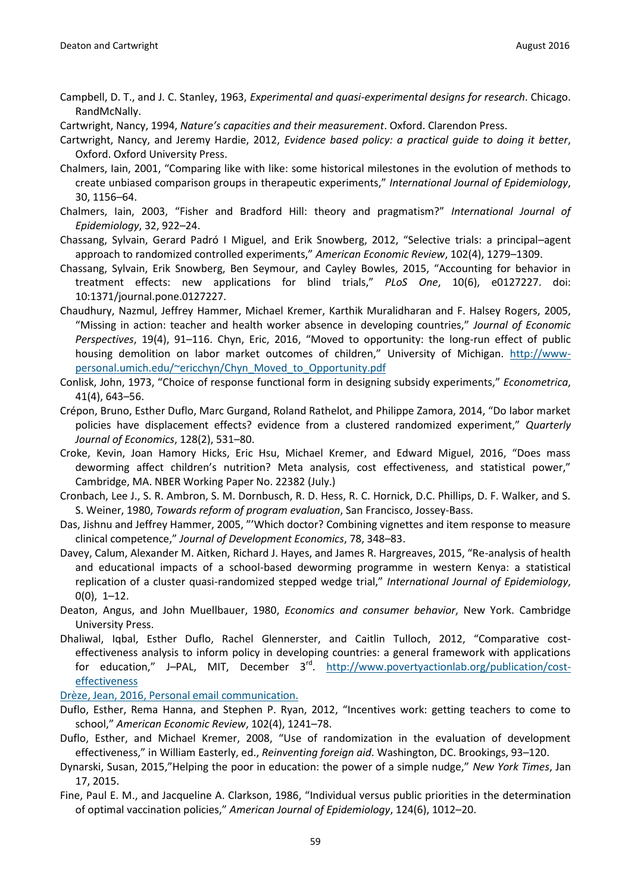- Campbell, D. T., and J. C. Stanley, 1963, *Experimental and quasi-experimental designs for research*. Chicago. RandMcNally.
- Cartwright, Nancy, 1994, *Nature's capacities and their measurement*. Oxford. Clarendon Press.
- Cartwright, Nancy, and Jeremy Hardie, 2012, *Evidence based policy: a practical guide to doing it better*, Oxford. Oxford University Press.
- Chalmers, Iain, 2001, "Comparing like with like: some historical milestones in the evolution of methods to create unbiased comparison groups in therapeutic experiments," *International Journal of Epidemiology*, 30, 1156–64.
- Chalmers, Iain, 2003, "Fisher and Bradford Hill: theory and pragmatism?" *International Journal of Epidemiology*, 32, 922–24.
- Chassang, Sylvain, Gerard Padró I Miguel, and Erik Snowberg, 2012, "Selective trials: a principal–agent approach to randomized controlled experiments," *American Economic Review*, 102(4), 1279–1309.
- Chassang, Sylvain, Erik Snowberg, Ben Seymour, and Cayley Bowles, 2015, "Accounting for behavior in treatment effects: new applications for blind trials," *PLoS One*, 10(6), e0127227. doi: 10:1371/journal.pone.0127227.
- Chaudhury, Nazmul, Jeffrey Hammer, Michael Kremer, Karthik Muralidharan and F. Halsey Rogers, 2005, "Missing in action: teacher and health worker absence in developing countries," *Journal of Economic Perspectives*, 19(4), 91–116. Chyn, Eric, 2016, "Moved to opportunity: the long-run effect of public housing demolition on labor market outcomes of children," University of Michigan. [http://www](http://www-personal.umich.edu/~ericchyn/Chyn_Moved_to_Opportunity.pdf)[personal.umich.edu/~ericchyn/Chyn\\_Moved\\_to\\_Opportunity.pdf](http://www-personal.umich.edu/~ericchyn/Chyn_Moved_to_Opportunity.pdf)
- Conlisk, John, 1973, "Choice of response functional form in designing subsidy experiments," *Econometrica*, 41(4), 643–56.
- Crépon, Bruno, Esther Duflo, Marc Gurgand, Roland Rathelot, and Philippe Zamora, 2014, "Do labor market policies have displacement effects? evidence from a clustered randomized experiment," *Quarterly Journal of Economics*, 128(2), 531–80.
- Croke, Kevin, Joan Hamory Hicks, Eric Hsu, Michael Kremer, and Edward Miguel, 2016, "Does mass deworming affect children's nutrition? Meta analysis, cost effectiveness, and statistical power," Cambridge, MA. NBER Working Paper No. 22382 (July.)
- Cronbach, Lee J., S. R. Ambron, S. M. Dornbusch, R. D. Hess, R. C. Hornick, D.C. Phillips, D. F. Walker, and S. S. Weiner, 1980, *Towards reform of program evaluation*, San Francisco, Jossey-Bass.
- Das, Jishnu and Jeffrey Hammer, 2005, "'Which doctor? Combining vignettes and item response to measure clinical competence," *Journal of Development Economics*, 78, 348–83.
- Davey, Calum, Alexander M. Aitken, Richard J. Hayes, and James R. Hargreaves, 2015, "Re-analysis of health and educational impacts of a school-based deworming programme in western Kenya: a statistical replication of a cluster quasi-randomized stepped wedge trial," *International Journal of Epidemiology*,  $0(0), 1-12.$
- Deaton, Angus, and John Muellbauer, 1980, *Economics and consumer behavior*, New York. Cambridge University Press.
- Dhaliwal, Iqbal, Esther Duflo, Rachel Glennerster, and Caitlin Tulloch, 2012, "Comparative costeffectiveness analysis to inform policy in developing countries: a general framework with applications for education," J-PAL, MIT, December 3<sup>rd</sup>. [http://www.povertyactionlab.org/publication/cost](http://www.povertyactionlab.org/publication/cost-effectiveness)[effectiveness](http://www.povertyactionlab.org/publication/cost-effectiveness)

Drèze, Jean, 2016, Personal email communication.

- Duflo, Esther, Rema Hanna, and Stephen P. Ryan, 2012, "Incentives work: getting teachers to come to school," *American Economic Review*, 102(4), 1241–78.
- Duflo, Esther, and Michael Kremer, 2008, "Use of randomization in the evaluation of development effectiveness," in William Easterly, ed., *Reinventing foreign aid*. Washington, DC. Brookings, 93–120.
- Dynarski, Susan, 2015,"Helping the poor in education: the power of a simple nudge," *New York Times*, Jan 17, 2015.
- Fine, Paul E. M., and Jacqueline A. Clarkson, 1986, "Individual versus public priorities in the determination of optimal vaccination policies," *American Journal of Epidemiology*, 124(6), 1012–20.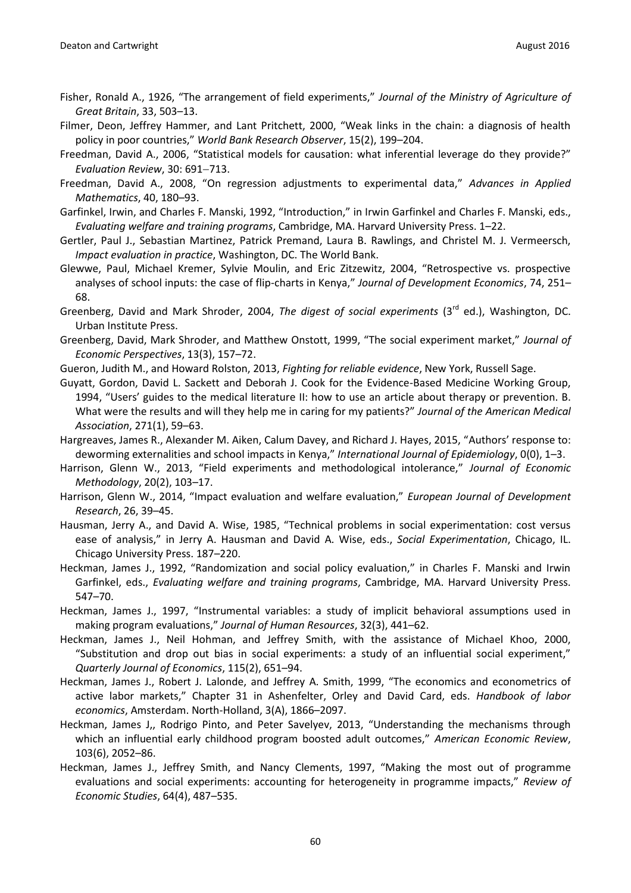- Fisher, Ronald A., 1926, "The arrangement of field experiments," *Journal of the Ministry of Agriculture of Great Britain*, 33, 503–13.
- Filmer, Deon, Jeffrey Hammer, and Lant Pritchett, 2000, "Weak links in the chain: a diagnosis of health policy in poor countries," *World Bank Research Observer*, 15(2), 199–204.
- Freedman, David A., 2006, "Statistical models for causation: what inferential leverage do they provide?" *Evaluation Review, 30: 691-713.*
- Freedman, David A., 2008, "On regression adjustments to experimental data," *Advances in Applied Mathematics*, 40, 180–93.
- Garfinkel, Irwin, and Charles F. Manski, 1992, "Introduction," in Irwin Garfinkel and Charles F. Manski, eds., *Evaluating welfare and training programs*, Cambridge, MA. Harvard University Press. 1–22.
- Gertler, Paul J., Sebastian Martinez, Patrick Premand, Laura B. Rawlings, and Christel M. J. Vermeersch, *Impact evaluation in practice*, Washington, DC. The World Bank.
- Glewwe, Paul, Michael Kremer, Sylvie Moulin, and Eric Zitzewitz, 2004, "Retrospective vs. prospective analyses of school inputs: the case of flip-charts in Kenya," *Journal of Development Economics*, 74, 251– 68.
- Greenberg, David and Mark Shroder, 2004, *The digest of social experiments* (3rd ed.), Washington, DC. Urban Institute Press.
- Greenberg, David, Mark Shroder, and Matthew Onstott, 1999, "The social experiment market," *Journal of Economic Perspectives*, 13(3), 157–72.
- Gueron, Judith M., and Howard Rolston, 2013, *Fighting for reliable evidence*, New York, Russell Sage.
- Guyatt, Gordon, David L. Sackett and Deborah J. Cook for the Evidence-Based Medicine Working Group, 1994, "Users' guides to the medical literature II: how to use an article about therapy or prevention. B. What were the results and will they help me in caring for my patients?" *Journal of the American Medical Association*, 271(1), 59–63.
- Hargreaves, James R., Alexander M. Aiken, Calum Davey, and Richard J. Hayes, 2015, "Authors' response to: deworming externalities and school impacts in Kenya," *International Journal of Epidemiology*, 0(0), 1–3.
- Harrison, Glenn W., 2013, "Field experiments and methodological intolerance," *Journal of Economic Methodology*, 20(2), 103–17.
- Harrison, Glenn W., 2014, "Impact evaluation and welfare evaluation," *European Journal of Development Research*, 26, 39–45.
- Hausman, Jerry A., and David A. Wise, 1985, "Technical problems in social experimentation: cost versus ease of analysis," in Jerry A. Hausman and David A. Wise, eds., *Social Experimentation*, Chicago, IL. Chicago University Press. 187–220.
- Heckman, James J., 1992, "Randomization and social policy evaluation," in Charles F. Manski and Irwin Garfinkel, eds., *Evaluating welfare and training programs*, Cambridge, MA. Harvard University Press. 547–70.
- Heckman, James J., 1997, "Instrumental variables: a study of implicit behavioral assumptions used in making program evaluations," *Journal of Human Resources*, 32(3), 441–62.
- Heckman, James J., Neil Hohman, and Jeffrey Smith, with the assistance of Michael Khoo, 2000, "Substitution and drop out bias in social experiments: a study of an influential social experiment," *Quarterly Journal of Economics*, 115(2), 651–94.
- Heckman, James J., Robert J. Lalonde, and Jeffrey A. Smith, 1999, "The economics and econometrics of active labor markets," Chapter 31 in Ashenfelter, Orley and David Card, eds. *Handbook of labor economics*, Amsterdam. North-Holland, 3(A), 1866–2097.
- Heckman, James J,, Rodrigo Pinto, and Peter Savelyev, 2013, "Understanding the mechanisms through which an influential early childhood program boosted adult outcomes," *American Economic Review*, 103(6), 2052–86.
- Heckman, James J., Jeffrey Smith, and Nancy Clements, 1997, "Making the most out of programme evaluations and social experiments: accounting for heterogeneity in programme impacts," *Review of Economic Studies*, 64(4), 487–535.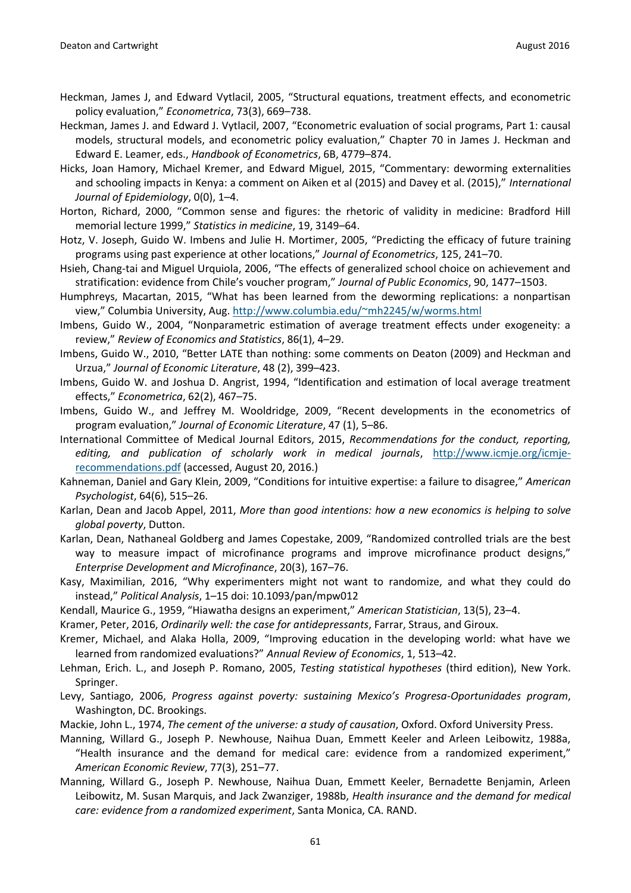- Heckman, James J, and Edward Vytlacil, 2005, "Structural equations, treatment effects, and econometric policy evaluation," *Econometrica*, 73(3), 669–738.
- Heckman, James J. and Edward J. Vytlacil, 2007, "Econometric evaluation of social programs, Part 1: causal models, structural models, and econometric policy evaluation," Chapter 70 in James J. Heckman and Edward E. Leamer, eds., *Handbook of Econometrics*, 6B, 4779–874.
- Hicks, Joan Hamory, Michael Kremer, and Edward Miguel, 2015, "Commentary: deworming externalities and schooling impacts in Kenya: a comment on Aiken et al (2015) and Davey et al. (2015)," *International Journal of Epidemiology*, 0(0), 1–4.
- Horton, Richard, 2000, "Common sense and figures: the rhetoric of validity in medicine: Bradford Hill memorial lecture 1999," *Statistics in medicine*, 19, 3149–64.
- Hotz, V. Joseph, Guido W. Imbens and Julie H. Mortimer, 2005, "Predicting the efficacy of future training programs using past experience at other locations," *Journal of Econometrics*, 125, 241–70.
- Hsieh, Chang-tai and Miguel Urquiola, 2006, "The effects of generalized school choice on achievement and stratification: evidence from Chile's voucher program," *Journal of Public Economics*, 90, 1477–1503.
- Humphreys, Macartan, 2015, "What has been learned from the deworming replications: a nonpartisan view," Columbia University, Aug. <http://www.columbia.edu/~mh2245/w/worms.html>
- Imbens, Guido W., 2004, "Nonparametric estimation of average treatment effects under exogeneity: a review," *Review of Economics and Statistics*, 86(1), 4–29.
- Imbens, Guido W., 2010, "Better LATE than nothing: some comments on Deaton (2009) and Heckman and Urzua," *Journal of Economic Literature*, 48 (2), 399–423.
- Imbens, Guido W. and Joshua D. Angrist, 1994, "Identification and estimation of local average treatment effects," *Econometrica*, 62(2), 467–75.
- Imbens, Guido W., and Jeffrey M. Wooldridge, 2009, "Recent developments in the econometrics of program evaluation," *Journal of Economic Literature*, 47 (1), 5–86.
- International Committee of Medical Journal Editors, 2015, *Recommendations for the conduct, reporting, editing, and publication of scholarly work in medical journals*, [http://www.icmje.org/icmje](http://www.icmje.org/icmje-recommendations.pdf)[recommendations.pdf](http://www.icmje.org/icmje-recommendations.pdf) (accessed, August 20, 2016.)
- Kahneman, Daniel and Gary Klein, 2009, "Conditions for intuitive expertise: a failure to disagree," *American Psychologist*, 64(6), 515–26.
- Karlan, Dean and Jacob Appel, 2011, *More than good intentions: how a new economics is helping to solve global poverty*, Dutton.
- Karlan, Dean, Nathaneal Goldberg and James Copestake, 2009, "Randomized controlled trials are the best way to measure impact of microfinance programs and improve microfinance product designs," *Enterprise Development and Microfinance*, 20(3), 167–76.
- Kasy, Maximilian, 2016, "Why experimenters might not want to randomize, and what they could do instead," *Political Analysis*, 1–15 doi: 10.1093/pan/mpw012
- Kendall, Maurice G., 1959, "Hiawatha designs an experiment," *American Statistician*, 13(5), 23–4.
- Kramer, Peter, 2016, *Ordinarily well: the case for antidepressants*, Farrar, Straus, and Giroux.
- Kremer, Michael, and Alaka Holla, 2009, "Improving education in the developing world: what have we learned from randomized evaluations?" *Annual Review of Economics*, 1, 513–42.
- Lehman, Erich. L., and Joseph P. Romano, 2005, *Testing statistical hypotheses* (third edition), New York. Springer.
- Levy, Santiago, 2006, *Progress against poverty: sustaining Mexico's Progresa-Oportunidades program*, Washington, DC. Brookings.
- Mackie, John L., 1974, *The cement of the universe: a study of causation*, Oxford. Oxford University Press.
- Manning, Willard G., Joseph P. Newhouse, Naihua Duan, Emmett Keeler and Arleen Leibowitz, 1988a, "Health insurance and the demand for medical care: evidence from a randomized experiment," *American Economic Review*, 77(3), 251–77.
- Manning, Willard G., Joseph P. Newhouse, Naihua Duan, Emmett Keeler, Bernadette Benjamin, Arleen Leibowitz, M. Susan Marquis, and Jack Zwanziger, 1988b, *Health insurance and the demand for medical care: evidence from a randomized experiment*, Santa Monica, CA. RAND.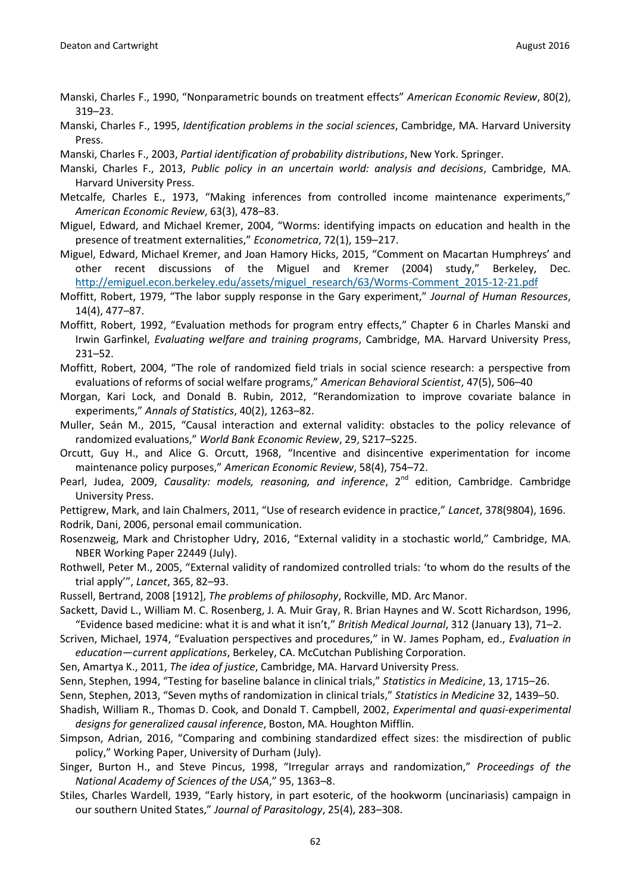- Manski, Charles F., 1990, "Nonparametric bounds on treatment effects" *American Economic Review*, 80(2), 319–23.
- Manski, Charles F., 1995, *Identification problems in the social sciences*, Cambridge, MA. Harvard University Press.
- Manski, Charles F., 2003, *Partial identification of probability distributions*, New York. Springer.
- Manski, Charles F., 2013, *Public policy in an uncertain world: analysis and decisions*, Cambridge, MA. Harvard University Press.
- Metcalfe, Charles E., 1973, "Making inferences from controlled income maintenance experiments," *American Economic Review*, 63(3), 478–83.
- Miguel, Edward, and Michael Kremer, 2004, "Worms: identifying impacts on education and health in the presence of treatment externalities," *Econometrica*, 72(1), 159–217.
- Miguel, Edward, Michael Kremer, and Joan Hamory Hicks, 2015, "Comment on Macartan Humphreys' and other recent discussions of the Miguel and Kremer (2004) study," Berkeley, Dec. [http://emiguel.econ.berkeley.edu/assets/miguel\\_research/63/Worms-Comment\\_2015-12-21.pdf](http://emiguel.econ.berkeley.edu/assets/miguel_research/63/Worms-Comment_2015-12-21.pdf)
- Moffitt, Robert, 1979, "The labor supply response in the Gary experiment," *Journal of Human Resources*, 14(4), 477–87.
- Moffitt, Robert, 1992, "Evaluation methods for program entry effects," Chapter 6 in Charles Manski and Irwin Garfinkel, *Evaluating welfare and training programs*, Cambridge, MA. Harvard University Press, 231–52.
- Moffitt, Robert, 2004, "The role of randomized field trials in social science research: a perspective from evaluations of reforms of social welfare programs," *American Behavioral Scientist*, 47(5), 506–40
- Morgan, Kari Lock, and Donald B. Rubin, 2012, "Rerandomization to improve covariate balance in experiments," *Annals of Statistics*, 40(2), 1263–82.
- Muller, Seán M., 2015, "Causal interaction and external validity: obstacles to the policy relevance of randomized evaluations," *World Bank Economic Review*, 29, S217–S225.
- Orcutt, Guy H., and Alice G. Orcutt, 1968, "Incentive and disincentive experimentation for income maintenance policy purposes," *American Economic Review*, 58(4), 754–72.
- Pearl, Judea, 2009, *Causality: models, reasoning, and inference*, 2<sup>nd</sup> edition, Cambridge. Cambridge University Press.
- Pettigrew, Mark, and Iain Chalmers, 2011, "Use of research evidence in practice," *Lancet*, 378(9804), 1696. Rodrik, Dani, 2006, personal email communication.
- Rosenzweig, Mark and Christopher Udry, 2016, "External validity in a stochastic world," Cambridge, MA. NBER Working Paper 22449 (July).
- Rothwell, Peter M., 2005, "External validity of randomized controlled trials: 'to whom do the results of the trial apply'", *Lancet*, 365, 82–93.
- Russell, Bertrand, 2008 [1912], *The problems of philosophy*, Rockville, MD. Arc Manor.
- Sackett, David L., William M. C. Rosenberg, J. A. Muir Gray, R. Brian Haynes and W. Scott Richardson, 1996, "Evidence based medicine: what it is and what it isn't," *British Medical Journal*, 312 (January 13), 71–2.
- Scriven, Michael, 1974, "Evaluation perspectives and procedures," in W. James Popham, ed., *Evaluation in education—current applications*, Berkeley, CA. McCutchan Publishing Corporation.
- Sen, Amartya K., 2011, *The idea of justice*, Cambridge, MA. Harvard University Press.
- Senn, Stephen, 1994, "Testing for baseline balance in clinical trials," *Statistics in Medicine*, 13, 1715–26.
- Senn, Stephen, 2013, "Seven myths of randomization in clinical trials," *Statistics in Medicine* 32, 1439–50.
- Shadish, William R., Thomas D. Cook, and Donald T. Campbell, 2002, *Experimental and quasi-experimental designs for generalized causal inference*, Boston, MA. Houghton Mifflin.
- Simpson, Adrian, 2016, "Comparing and combining standardized effect sizes: the misdirection of public policy," Working Paper, University of Durham (July).
- Singer, Burton H., and Steve Pincus, 1998, "Irregular arrays and randomization," *Proceedings of the National Academy of Sciences of the USA*," 95, 1363–8.
- Stiles, Charles Wardell, 1939, "Early history, in part esoteric, of the hookworm (uncinariasis) campaign in our southern United States," *Journal of Parasitology*, 25(4), 283–308.